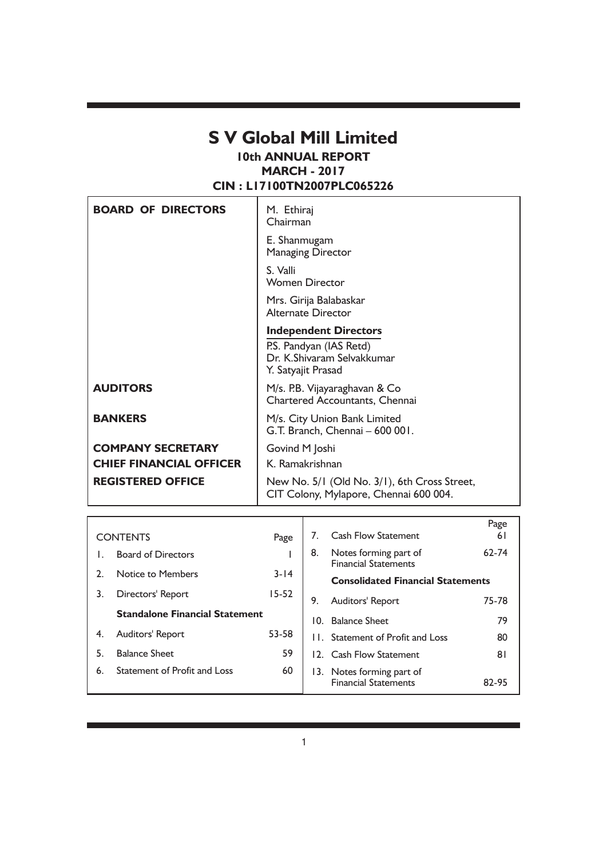# **S V Global Mill Limited 10th ANNUAL REPORT MARCH - 2017 CIN : L17100TN2007PLC065226**

| <b>BOARD OF DIRECTORS</b>      | M. Ethiraj<br>Chairman                                                                 |
|--------------------------------|----------------------------------------------------------------------------------------|
|                                | E. Shanmugam<br><b>Managing Director</b>                                               |
|                                | S. Valli<br><b>Women Director</b>                                                      |
|                                | Mrs. Girija Balabaskar<br>Alternate Director                                           |
|                                | <b>Independent Directors</b>                                                           |
|                                | P.S. Pandyan (IAS Retd)<br>Dr. K.Shivaram Selvakkumar<br>Y. Satyajit Prasad            |
| <b>AUDITORS</b>                | M/s. P.B. Vijayaraghavan & Co<br>Chartered Accountants, Chennai                        |
| <b>BANKERS</b>                 | M/s. City Union Bank Limited<br>G.T. Branch, Chennai - 600 001.                        |
| <b>COMPANY SECRETARY</b>       | Govind M Joshi                                                                         |
| <b>CHIEF FINANCIAL OFFICER</b> | K. Ramakrishnan                                                                        |
| <b>REGISTERED OFFICE</b>       | New No. 5/1 (Old No. 3/1), 6th Cross Street,<br>CIT Colony, Mylapore, Chennai 600 004. |

|               |                                       |           |                 |                                                          | Page      |
|---------------|---------------------------------------|-----------|-----------------|----------------------------------------------------------|-----------|
|               | <b>CONTENTS</b>                       | Page      |                 | <b>Cash Flow Statement</b>                               | 6 I       |
|               | <b>Board of Directors</b>             |           | 8.              | Notes forming part of<br><b>Financial Statements</b>     | $62 - 74$ |
| $\mathcal{P}$ | Notice to Members                     | $3 - 14$  |                 | <b>Consolidated Financial Statements</b>                 |           |
|               | Directors' Report                     | $15 - 52$ | 9.              | Auditors' Report                                         | 75-78     |
|               | <b>Standalone Financial Statement</b> |           | 10 <sup>1</sup> | <b>Balance Sheet</b>                                     | 79        |
| 4.            | Auditors' Report                      | 53-58     |                 | Statement of Profit and Loss                             | 80        |
| 5.            | <b>Balance Sheet</b>                  | 59        |                 | 12. Cash Flow Statement                                  | 81        |
| 6.            | Statement of Profit and Loss          | 60        |                 | 13. Notes forming part of<br><b>Financial Statements</b> | 82-95     |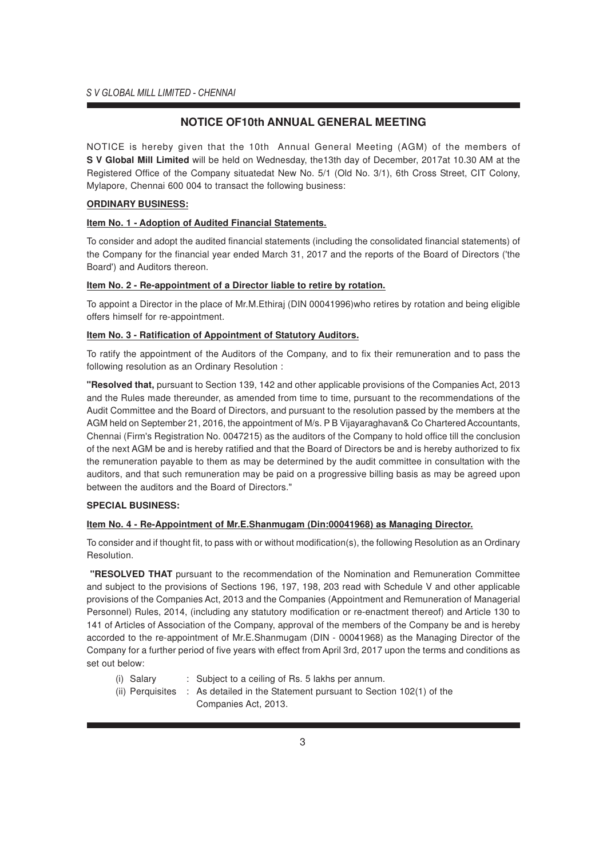# **NOTICE OF10th ANNUAL GENERAL MEETING**

NOTICE is hereby given that the 10th Annual General Meeting (AGM) of the members of **S V Global Mill Limited** will be held on Wednesday, the13th day of December, 2017at 10.30 AM at the Registered Office of the Company situatedat New No. 5/1 (Old No. 3/1), 6th Cross Street, CIT Colony, Mylapore, Chennai 600 004 to transact the following business:

## **ORDINARY BUSINESS:**

#### **Item No. 1 - Adoption of Audited Financial Statements.**

To consider and adopt the audited financial statements (including the consolidated financial statements) of the Company for the financial year ended March 31, 2017 and the reports of the Board of Directors ('the Board') and Auditors thereon.

#### **Item No. 2 - Re-appointment of a Director liable to retire by rotation.**

To appoint a Director in the place of Mr.M.Ethiraj (DIN 00041996)who retires by rotation and being eligible offers himself for re-appointment.

#### **Item No. 3 - Ratification of Appointment of Statutory Auditors.**

To ratify the appointment of the Auditors of the Company, and to fix their remuneration and to pass the following resolution as an Ordinary Resolution :

**"Resolved that,** pursuant to Section 139, 142 and other applicable provisions of the Companies Act, 2013 and the Rules made thereunder, as amended from time to time, pursuant to the recommendations of the Audit Committee and the Board of Directors, and pursuant to the resolution passed by the members at the AGM held on September 21, 2016, the appointment of M/s. P B Vijayaraghavan& Co Chartered Accountants, Chennai (Firm's Registration No. 0047215) as the auditors of the Company to hold office till the conclusion of the next AGM be and is hereby ratified and that the Board of Directors be and is hereby authorized to fix the remuneration payable to them as may be determined by the audit committee in consultation with the auditors, and that such remuneration may be paid on a progressive billing basis as may be agreed upon between the auditors and the Board of Directors."

#### **SPECIAL BUSINESS:**

## **Item No. 4 - Re-Appointment of Mr.E.Shanmugam (Din:00041968) as Managing Director.**

To consider and if thought fit, to pass with or without modification(s), the following Resolution as an Ordinary Resolution.

 **"RESOLVED THAT** pursuant to the recommendation of the Nomination and Remuneration Committee and subject to the provisions of Sections 196, 197, 198, 203 read with Schedule V and other applicable provisions of the Companies Act, 2013 and the Companies (Appointment and Remuneration of Managerial Personnel) Rules, 2014, (including any statutory modification or re-enactment thereof) and Article 130 to 141 of Articles of Association of the Company, approval of the members of the Company be and is hereby accorded to the re-appointment of Mr.E.Shanmugam (DIN - 00041968) as the Managing Director of the Company for a further period of five years with effect from April 3rd, 2017 upon the terms and conditions as set out below:

- (i) Salary : Subject to a ceiling of Rs. 5 lakhs per annum.
- (ii) Perquisites : As detailed in the Statement pursuant to Section 102(1) of the Companies Act, 2013.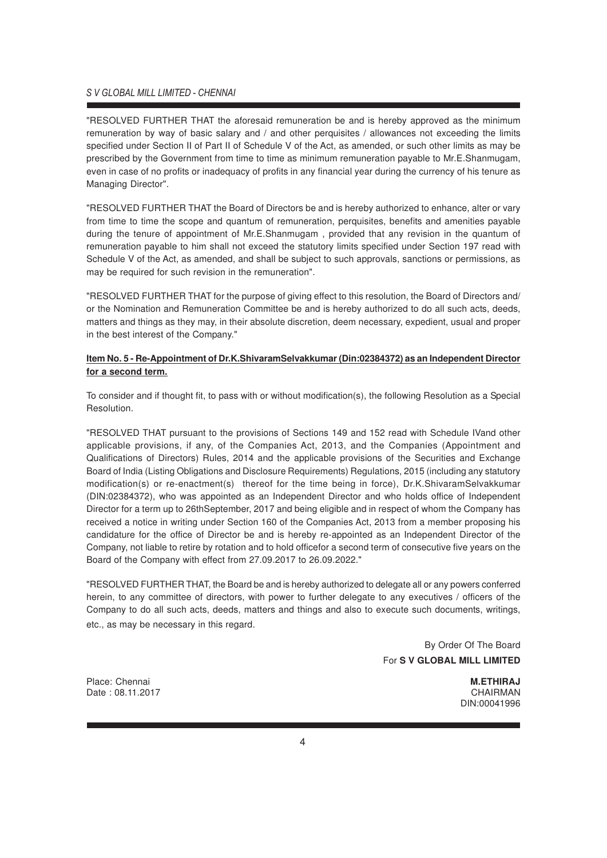"RESOLVED FURTHER THAT the aforesaid remuneration be and is hereby approved as the minimum remuneration by way of basic salary and / and other perquisites / allowances not exceeding the limits specified under Section II of Part II of Schedule V of the Act, as amended, or such other limits as may be prescribed by the Government from time to time as minimum remuneration payable to Mr.E.Shanmugam, even in case of no profits or inadequacy of profits in any financial year during the currency of his tenure as Managing Director".

"RESOLVED FURTHER THAT the Board of Directors be and is hereby authorized to enhance, alter or vary from time to time the scope and quantum of remuneration, perquisites, benefits and amenities payable during the tenure of appointment of Mr.E.Shanmugam , provided that any revision in the quantum of remuneration payable to him shall not exceed the statutory limits specified under Section 197 read with Schedule V of the Act, as amended, and shall be subject to such approvals, sanctions or permissions, as may be required for such revision in the remuneration".

"RESOLVED FURTHER THAT for the purpose of giving effect to this resolution, the Board of Directors and/ or the Nomination and Remuneration Committee be and is hereby authorized to do all such acts, deeds, matters and things as they may, in their absolute discretion, deem necessary, expedient, usual and proper in the best interest of the Company."

## **Item No. 5 - Re-Appointment of Dr.K.ShivaramSelvakkumar (Din:02384372) as an Independent Director for a second term.**

To consider and if thought fit, to pass with or without modification(s), the following Resolution as a Special Resolution.

"RESOLVED THAT pursuant to the provisions of Sections 149 and 152 read with Schedule IVand other applicable provisions, if any, of the Companies Act, 2013, and the Companies (Appointment and Qualifications of Directors) Rules, 2014 and the applicable provisions of the Securities and Exchange Board of India (Listing Obligations and Disclosure Requirements) Regulations, 2015 (including any statutory modification(s) or re-enactment(s) thereof for the time being in force), Dr.K.ShivaramSelvakkumar (DIN:02384372), who was appointed as an Independent Director and who holds office of Independent Director for a term up to 26thSeptember, 2017 and being eligible and in respect of whom the Company has received a notice in writing under Section 160 of the Companies Act, 2013 from a member proposing his candidature for the office of Director be and is hereby re-appointed as an Independent Director of the Company, not liable to retire by rotation and to hold officefor a second term of consecutive five years on the Board of the Company with effect from 27.09.2017 to 26.09.2022."

"RESOLVED FURTHER THAT, the Board be and is hereby authorized to delegate all or any powers conferred herein, to any committee of directors, with power to further delegate to any executives / officers of the Company to do all such acts, deeds, matters and things and also to execute such documents, writings, etc., as may be necessary in this regard.

> By Order Of The Board For **S V GLOBAL MILL LIMITED**

Place: Chennai **M.ETHIRAJ** Date : 08.11.2017 CHAIRMAN

DIN:00041996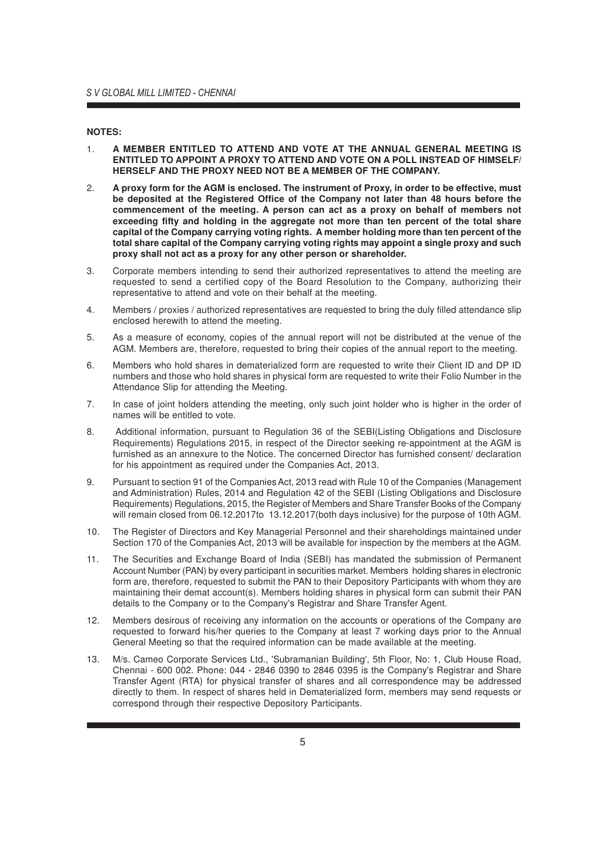**NOTES:**

- 1. **A MEMBER ENTITLED TO ATTEND AND VOTE AT THE ANNUAL GENERAL MEETING IS ENTITLED TO APPOINT A PROXY TO ATTEND AND VOTE ON A POLL INSTEAD OF HIMSELF/ HERSELF AND THE PROXY NEED NOT BE A MEMBER OF THE COMPANY.**
- 2. **A proxy form for the AGM is enclosed. The instrument of Proxy, in order to be effective, must be deposited at the Registered Office of the Company not later than 48 hours before the commencement of the meeting. A person can act as a proxy on behalf of members not exceeding fifty and holding in the aggregate not more than ten percent of the total share capital of the Company carrying voting rights. A member holding more than ten percent of the total share capital of the Company carrying voting rights may appoint a single proxy and such proxy shall not act as a proxy for any other person or shareholder.**
- 3. Corporate members intending to send their authorized representatives to attend the meeting are requested to send a certified copy of the Board Resolution to the Company, authorizing their representative to attend and vote on their behalf at the meeting.
- 4. Members / proxies / authorized representatives are requested to bring the duly filled attendance slip enclosed herewith to attend the meeting.
- 5. As a measure of economy, copies of the annual report will not be distributed at the venue of the AGM. Members are, therefore, requested to bring their copies of the annual report to the meeting.
- 6. Members who hold shares in dematerialized form are requested to write their Client ID and DP ID numbers and those who hold shares in physical form are requested to write their Folio Number in the Attendance Slip for attending the Meeting.
- 7. In case of joint holders attending the meeting, only such joint holder who is higher in the order of names will be entitled to vote.
- 8. Additional information, pursuant to Regulation 36 of the SEBI(Listing Obligations and Disclosure Requirements) Regulations 2015, in respect of the Director seeking re-appointment at the AGM is furnished as an annexure to the Notice. The concerned Director has furnished consent/ declaration for his appointment as required under the Companies Act, 2013.
- 9. Pursuant to section 91 of the Companies Act, 2013 read with Rule 10 of the Companies (Management and Administration) Rules, 2014 and Regulation 42 of the SEBI (Listing Obligations and Disclosure Requirements) Regulations, 2015, the Register of Members and Share Transfer Books of the Company will remain closed from 06.12.2017to 13.12.2017(both days inclusive) for the purpose of 10th AGM.
- 10. The Register of Directors and Key Managerial Personnel and their shareholdings maintained under Section 170 of the Companies Act, 2013 will be available for inspection by the members at the AGM.
- 11. The Securities and Exchange Board of India (SEBI) has mandated the submission of Permanent Account Number (PAN) by every participant in securities market. Members holding shares in electronic form are, therefore, requested to submit the PAN to their Depository Participants with whom they are maintaining their demat account(s). Members holding shares in physical form can submit their PAN details to the Company or to the Company's Registrar and Share Transfer Agent.
- 12. Members desirous of receiving any information on the accounts or operations of the Company are requested to forward his/her queries to the Company at least 7 working days prior to the Annual General Meeting so that the required information can be made available at the meeting.
- 13. M/s. Cameo Corporate Services Ltd., 'Subramanian Building', 5th Floor, No: 1, Club House Road, Chennai - 600 002. Phone: 044 - 2846 0390 to 2846 0395 is the Company's Registrar and Share Transfer Agent (RTA) for physical transfer of shares and all correspondence may be addressed directly to them. In respect of shares held in Dematerialized form, members may send requests or correspond through their respective Depository Participants.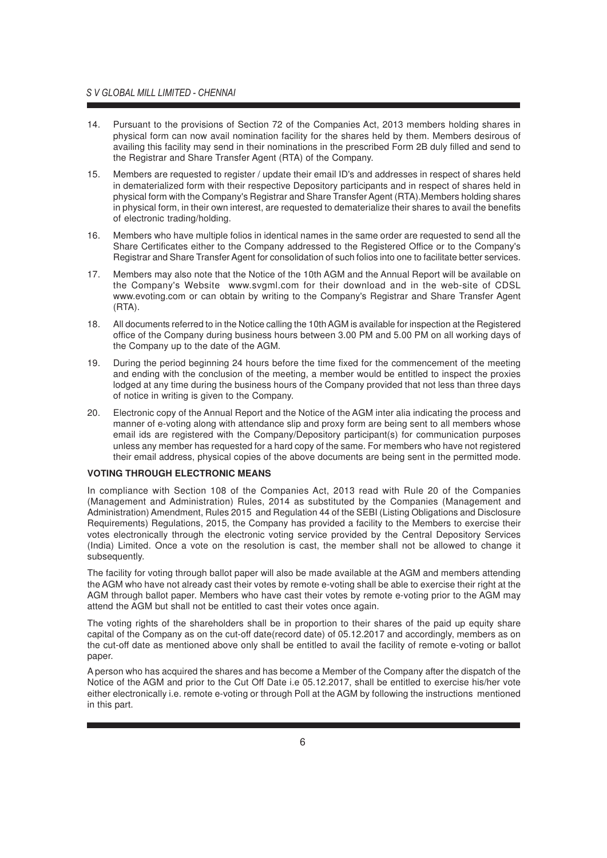- 14. Pursuant to the provisions of Section 72 of the Companies Act, 2013 members holding shares in physical form can now avail nomination facility for the shares held by them. Members desirous of availing this facility may send in their nominations in the prescribed Form 2B duly filled and send to the Registrar and Share Transfer Agent (RTA) of the Company.
- 15. Members are requested to register / update their email ID's and addresses in respect of shares held in dematerialized form with their respective Depository participants and in respect of shares held in physical form with the Company's Registrar and Share Transfer Agent (RTA).Members holding shares in physical form, in their own interest, are requested to dematerialize their shares to avail the benefits of electronic trading/holding.
- 16. Members who have multiple folios in identical names in the same order are requested to send all the Share Certificates either to the Company addressed to the Registered Office or to the Company's Registrar and Share Transfer Agent for consolidation of such folios into one to facilitate better services.
- 17. Members may also note that the Notice of the 10th AGM and the Annual Report will be available on the Company's Website www.svgml.com for their download and in the web-site of CDSL www.evoting.com or can obtain by writing to the Company's Registrar and Share Transfer Agent (RTA).
- 18. All documents referred to in the Notice calling the 10th AGM is available for inspection at the Registered office of the Company during business hours between 3.00 PM and 5.00 PM on all working days of the Company up to the date of the AGM.
- 19. During the period beginning 24 hours before the time fixed for the commencement of the meeting and ending with the conclusion of the meeting, a member would be entitled to inspect the proxies lodged at any time during the business hours of the Company provided that not less than three days of notice in writing is given to the Company.
- 20. Electronic copy of the Annual Report and the Notice of the AGM inter alia indicating the process and manner of e-voting along with attendance slip and proxy form are being sent to all members whose email ids are registered with the Company/Depository participant(s) for communication purposes unless any member has requested for a hard copy of the same. For members who have not registered their email address, physical copies of the above documents are being sent in the permitted mode.

## **VOTING THROUGH ELECTRONIC MEANS**

In compliance with Section 108 of the Companies Act, 2013 read with Rule 20 of the Companies (Management and Administration) Rules, 2014 as substituted by the Companies (Management and Administration) Amendment, Rules 2015 and Regulation 44 of the SEBI (Listing Obligations and Disclosure Requirements) Regulations, 2015, the Company has provided a facility to the Members to exercise their votes electronically through the electronic voting service provided by the Central Depository Services (India) Limited. Once a vote on the resolution is cast, the member shall not be allowed to change it subsequently.

The facility for voting through ballot paper will also be made available at the AGM and members attending the AGM who have not already cast their votes by remote e-voting shall be able to exercise their right at the AGM through ballot paper. Members who have cast their votes by remote e-voting prior to the AGM may attend the AGM but shall not be entitled to cast their votes once again.

The voting rights of the shareholders shall be in proportion to their shares of the paid up equity share capital of the Company as on the cut-off date(record date) of 05.12.2017 and accordingly, members as on the cut-off date as mentioned above only shall be entitled to avail the facility of remote e-voting or ballot paper.

A person who has acquired the shares and has become a Member of the Company after the dispatch of the Notice of the AGM and prior to the Cut Off Date i.e 05.12.2017, shall be entitled to exercise his/her vote either electronically i.e. remote e-voting or through Poll at the AGM by following the instructions mentioned in this part.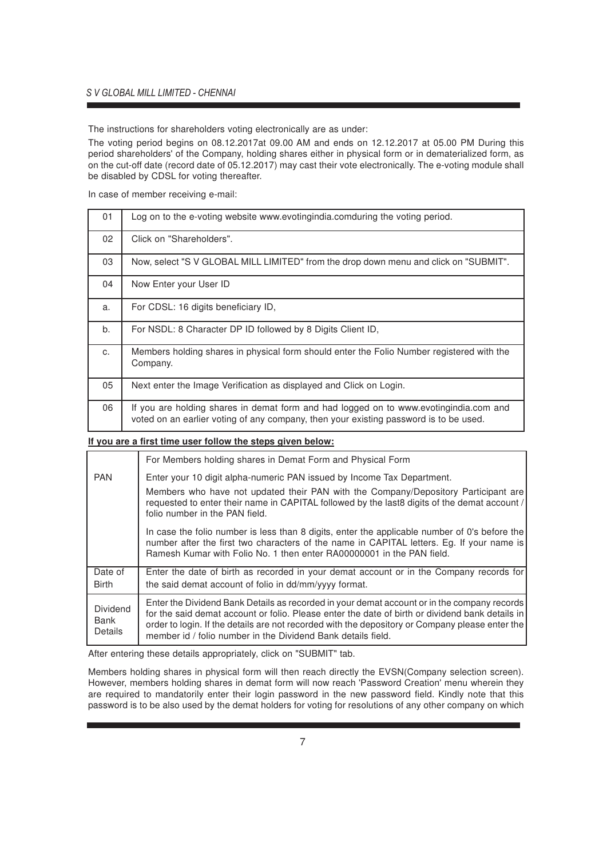The instructions for shareholders voting electronically are as under:

The voting period begins on 08.12.2017at 09.00 AM and ends on 12.12.2017 at 05.00 PM During this period shareholders' of the Company, holding shares either in physical form or in dematerialized form, as on the cut-off date (record date of 05.12.2017) may cast their vote electronically. The e-voting module shall be disabled by CDSL for voting thereafter.

In case of member receiving e-mail:

| 01              | Log on to the e-voting website www.evotingindia.comduring the voting period.                                                                                                   |
|-----------------|--------------------------------------------------------------------------------------------------------------------------------------------------------------------------------|
| 02 <sup>°</sup> | Click on "Shareholders".                                                                                                                                                       |
| 03              | Now, select "S V GLOBAL MILL LIMITED" from the drop down menu and click on "SUBMIT".                                                                                           |
| 04              | Now Enter your User ID                                                                                                                                                         |
| a.              | For CDSL: 16 digits beneficiary ID,                                                                                                                                            |
| b <sub>1</sub>  | For NSDL: 8 Character DP ID followed by 8 Digits Client ID,                                                                                                                    |
| C.              | Members holding shares in physical form should enter the Folio Number registered with the<br>Company.                                                                          |
| 05              | Next enter the Image Verification as displayed and Click on Login.                                                                                                             |
| 06              | If you are holding shares in demat form and had logged on to www.evotingindia.com and<br>voted on an earlier voting of any company, then your existing password is to be used. |

## **If you are a first time user follow the steps given below:**

|                                    | For Members holding shares in Demat Form and Physical Form                                                                                                                                                                                                                                                                                                        |
|------------------------------------|-------------------------------------------------------------------------------------------------------------------------------------------------------------------------------------------------------------------------------------------------------------------------------------------------------------------------------------------------------------------|
| <b>PAN</b>                         | Enter your 10 digit alpha-numeric PAN issued by Income Tax Department.                                                                                                                                                                                                                                                                                            |
|                                    | Members who have not updated their PAN with the Company/Depository Participant are<br>requested to enter their name in CAPITAL followed by the last8 digits of the demat account /<br>folio number in the PAN field.                                                                                                                                              |
|                                    | In case the folio number is less than 8 digits, enter the applicable number of 0's before the<br>number after the first two characters of the name in CAPITAL letters. Eq. If your name is<br>Ramesh Kumar with Folio No. 1 then enter RA00000001 in the PAN field.                                                                                               |
| Date of<br><b>Birth</b>            | Enter the date of birth as recorded in your demat account or in the Company records for<br>the said demat account of folio in dd/mm/yyyy format.                                                                                                                                                                                                                  |
| Dividend<br>Bank<br><b>Details</b> | Enter the Dividend Bank Details as recorded in your demat account or in the company records<br>for the said demat account or folio. Please enter the date of birth or dividend bank details in<br>order to login. If the details are not recorded with the depository or Company please enter the<br>member id / folio number in the Dividend Bank details field. |

After entering these details appropriately, click on "SUBMIT" tab.

Members holding shares in physical form will then reach directly the EVSN(Company selection screen). However, members holding shares in demat form will now reach 'Password Creation' menu wherein they are required to mandatorily enter their login password in the new password field. Kindly note that this password is to be also used by the demat holders for voting for resolutions of any other company on which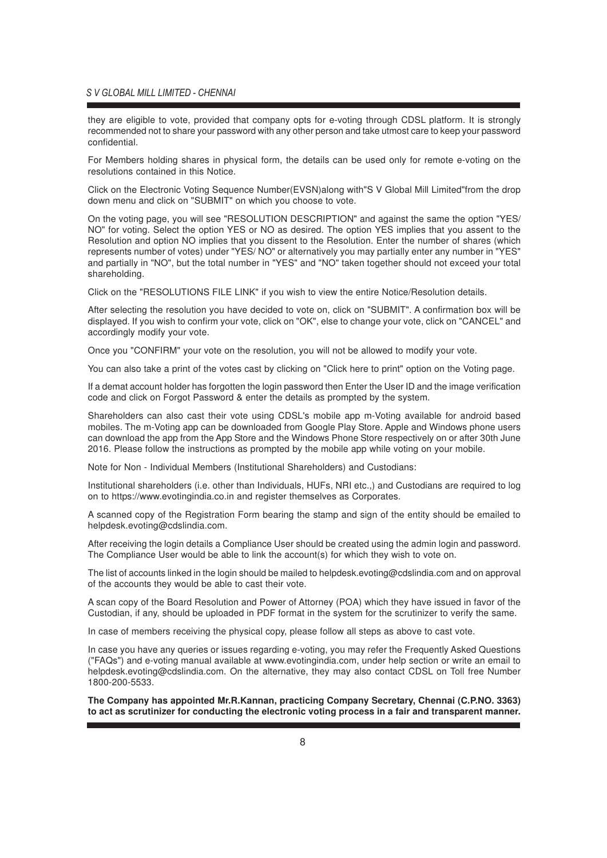they are eligible to vote, provided that company opts for e-voting through CDSL platform. It is strongly recommended not to share your password with any other person and take utmost care to keep your password confidential.

For Members holding shares in physical form, the details can be used only for remote e-voting on the resolutions contained in this Notice.

Click on the Electronic Voting Sequence Number(EVSN)along with"S V Global Mill Limited"from the drop down menu and click on "SUBMIT" on which you choose to vote.

On the voting page, you will see "RESOLUTION DESCRIPTION" and against the same the option "YES/ NO" for voting. Select the option YES or NO as desired. The option YES implies that you assent to the Resolution and option NO implies that you dissent to the Resolution. Enter the number of shares (which represents number of votes) under "YES/ NO" or alternatively you may partially enter any number in "YES" and partially in "NO", but the total number in "YES" and "NO" taken together should not exceed your total shareholding.

Click on the "RESOLUTIONS FILE LINK" if you wish to view the entire Notice/Resolution details.

After selecting the resolution you have decided to vote on, click on "SUBMIT". A confirmation box will be displayed. If you wish to confirm your vote, click on "OK", else to change your vote, click on "CANCEL" and accordingly modify your vote.

Once you "CONFIRM" your vote on the resolution, you will not be allowed to modify your vote.

You can also take a print of the votes cast by clicking on "Click here to print" option on the Voting page.

If a demat account holder has forgotten the login password then Enter the User ID and the image verification code and click on Forgot Password & enter the details as prompted by the system.

Shareholders can also cast their vote using CDSL's mobile app m-Voting available for android based mobiles. The m-Voting app can be downloaded from Google Play Store. Apple and Windows phone users can download the app from the App Store and the Windows Phone Store respectively on or after 30th June 2016. Please follow the instructions as prompted by the mobile app while voting on your mobile.

Note for Non - Individual Members (Institutional Shareholders) and Custodians:

Institutional shareholders (i.e. other than Individuals, HUFs, NRI etc.,) and Custodians are required to log on to https://www.evotingindia.co.in and register themselves as Corporates.

A scanned copy of the Registration Form bearing the stamp and sign of the entity should be emailed to helpdesk.evoting@cdslindia.com.

After receiving the login details a Compliance User should be created using the admin login and password. The Compliance User would be able to link the account(s) for which they wish to vote on.

The list of accounts linked in the login should be mailed to helpdesk.evoting@cdslindia.com and on approval of the accounts they would be able to cast their vote.

A scan copy of the Board Resolution and Power of Attorney (POA) which they have issued in favor of the Custodian, if any, should be uploaded in PDF format in the system for the scrutinizer to verify the same.

In case of members receiving the physical copy, please follow all steps as above to cast vote.

In case you have any queries or issues regarding e-voting, you may refer the Frequently Asked Questions ("FAQs") and e-voting manual available at www.evotingindia.com, under help section or write an email to helpdesk.evoting@cdslindia.com. On the alternative, they may also contact CDSL on Toll free Number 1800-200-5533.

**The Company has appointed Mr.R.Kannan, practicing Company Secretary, Chennai (C.P.NO. 3363) to act as scrutinizer for conducting the electronic voting process in a fair and transparent manner.**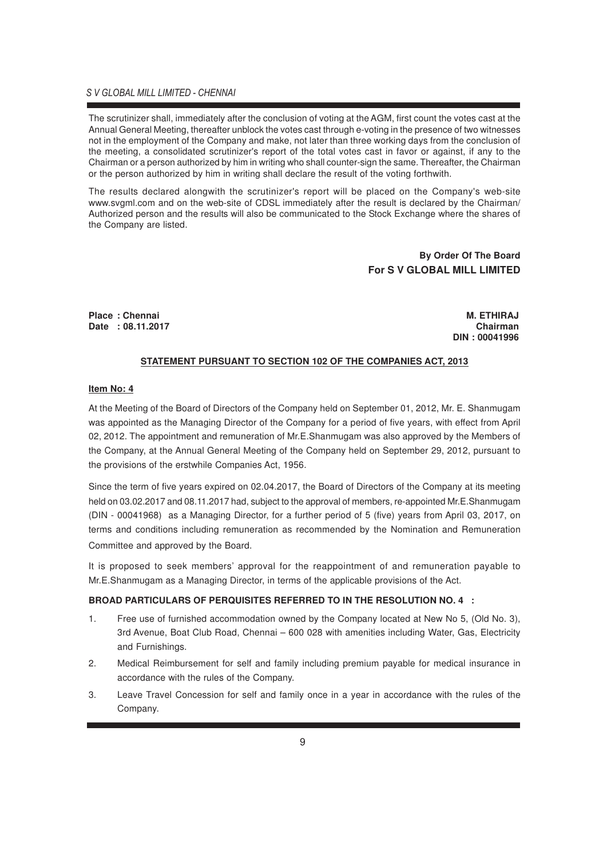The scrutinizer shall, immediately after the conclusion of voting at the AGM, first count the votes cast at the Annual General Meeting, thereafter unblock the votes cast through e-voting in the presence of two witnesses not in the employment of the Company and make, not later than three working days from the conclusion of the meeting, a consolidated scrutinizer's report of the total votes cast in favor or against, if any to the Chairman or a person authorized by him in writing who shall counter-sign the same. Thereafter, the Chairman or the person authorized by him in writing shall declare the result of the voting forthwith.

The results declared alongwith the scrutinizer's report will be placed on the Company's web-site www.svgml.com and on the web-site of CDSL immediately after the result is declared by the Chairman/ Authorized person and the results will also be communicated to the Stock Exchange where the shares of the Company are listed.

> **By Order Of The Board For S V GLOBAL MILL LIMITED**

**Place : Chennai M. ETHIRAJ Date : 08.11.2017 Chairman**

**DIN : 00041996**

## **STATEMENT PURSUANT TO SECTION 102 OF THE COMPANIES ACT, 2013**

#### **Item No: 4**

At the Meeting of the Board of Directors of the Company held on September 01, 2012, Mr. E. Shanmugam was appointed as the Managing Director of the Company for a period of five years, with effect from April 02, 2012. The appointment and remuneration of Mr.E.Shanmugam was also approved by the Members of the Company, at the Annual General Meeting of the Company held on September 29, 2012, pursuant to the provisions of the erstwhile Companies Act, 1956.

Since the term of five years expired on 02.04.2017, the Board of Directors of the Company at its meeting held on 03.02.2017 and 08.11.2017 had, subject to the approval of members, re-appointed Mr.E.Shanmugam (DIN - 00041968) as a Managing Director, for a further period of 5 (five) years from April 03, 2017, on terms and conditions including remuneration as recommended by the Nomination and Remuneration Committee and approved by the Board.

It is proposed to seek members' approval for the reappointment of and remuneration payable to Mr.E.Shanmugam as a Managing Director, in terms of the applicable provisions of the Act.

## **BROAD PARTICULARS OF PERQUISITES REFERRED TO IN THE RESOLUTION NO. 4 :**

- 1. Free use of furnished accommodation owned by the Company located at New No 5, (Old No. 3), 3rd Avenue, Boat Club Road, Chennai – 600 028 with amenities including Water, Gas, Electricity and Furnishings.
- 2. Medical Reimbursement for self and family including premium payable for medical insurance in accordance with the rules of the Company.
- 3. Leave Travel Concession for self and family once in a year in accordance with the rules of the Company.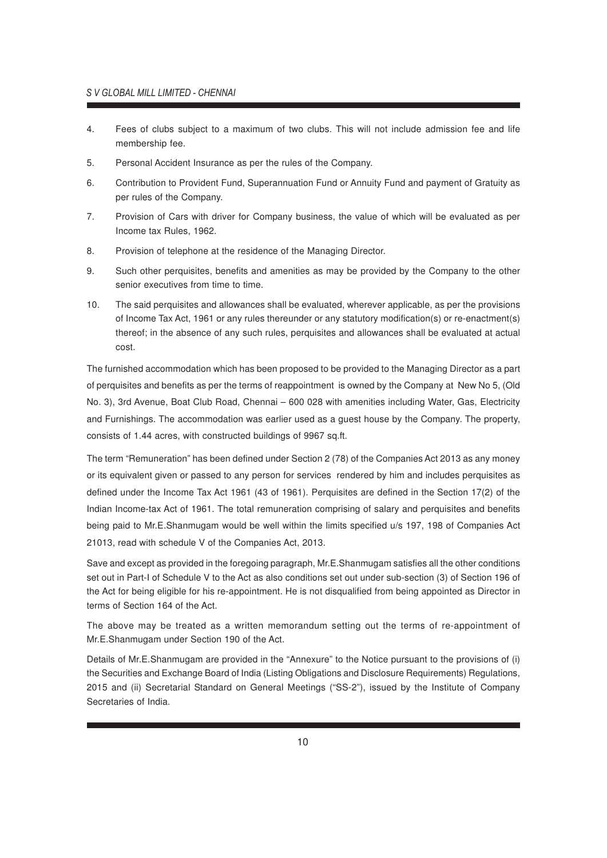- 4. Fees of clubs subject to a maximum of two clubs. This will not include admission fee and life membership fee.
- 5. Personal Accident Insurance as per the rules of the Company.
- 6. Contribution to Provident Fund, Superannuation Fund or Annuity Fund and payment of Gratuity as per rules of the Company.
- 7. Provision of Cars with driver for Company business, the value of which will be evaluated as per Income tax Rules, 1962.
- 8. Provision of telephone at the residence of the Managing Director.
- 9. Such other perquisites, benefits and amenities as may be provided by the Company to the other senior executives from time to time.
- 10. The said perquisites and allowances shall be evaluated, wherever applicable, as per the provisions of Income Tax Act, 1961 or any rules thereunder or any statutory modification(s) or re-enactment(s) thereof; in the absence of any such rules, perquisites and allowances shall be evaluated at actual cost.

The furnished accommodation which has been proposed to be provided to the Managing Director as a part of perquisites and benefits as per the terms of reappointment is owned by the Company at New No 5, (Old No. 3), 3rd Avenue, Boat Club Road, Chennai – 600 028 with amenities including Water, Gas, Electricity and Furnishings. The accommodation was earlier used as a guest house by the Company. The property, consists of 1.44 acres, with constructed buildings of 9967 sq.ft.

The term "Remuneration" has been defined under Section 2 (78) of the Companies Act 2013 as any money or its equivalent given or passed to any person for services rendered by him and includes perquisites as defined under the Income Tax Act 1961 (43 of 1961). Perquisites are defined in the Section 17(2) of the Indian Income-tax Act of 1961. The total remuneration comprising of salary and perquisites and benefits being paid to Mr.E.Shanmugam would be well within the limits specified u/s 197, 198 of Companies Act 21013, read with schedule V of the Companies Act, 2013.

Save and except as provided in the foregoing paragraph, Mr.E.Shanmugam satisfies all the other conditions set out in Part-I of Schedule V to the Act as also conditions set out under sub-section (3) of Section 196 of the Act for being eligible for his re-appointment. He is not disqualified from being appointed as Director in terms of Section 164 of the Act.

The above may be treated as a written memorandum setting out the terms of re-appointment of Mr.E.Shanmugam under Section 190 of the Act.

Details of Mr.E.Shanmugam are provided in the "Annexure" to the Notice pursuant to the provisions of (i) the Securities and Exchange Board of India (Listing Obligations and Disclosure Requirements) Regulations, 2015 and (ii) Secretarial Standard on General Meetings ("SS-2"), issued by the Institute of Company Secretaries of India.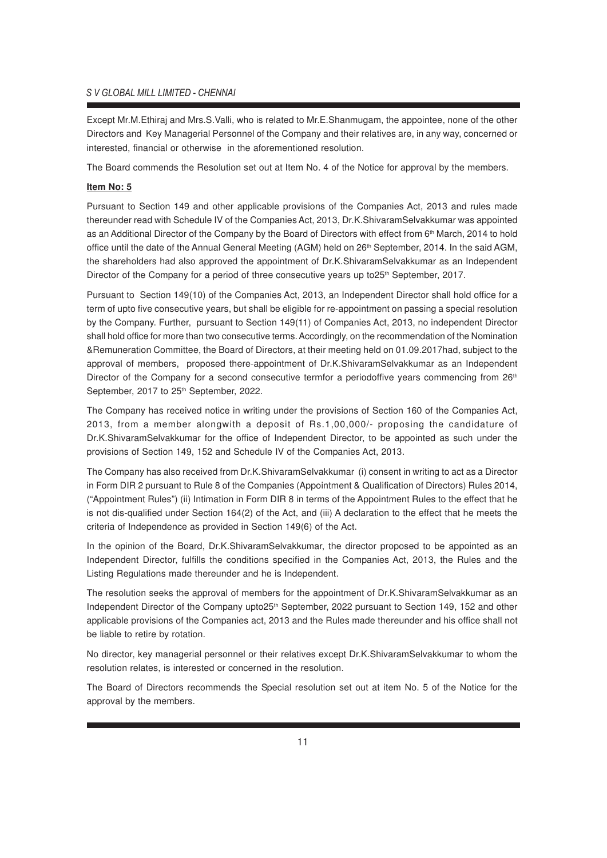Except Mr.M.Ethiraj and Mrs.S.Valli, who is related to Mr.E.Shanmugam, the appointee, none of the other Directors and Key Managerial Personnel of the Company and their relatives are, in any way, concerned or interested, financial or otherwise in the aforementioned resolution.

The Board commends the Resolution set out at Item No. 4 of the Notice for approval by the members.

#### **Item No: 5**

Pursuant to Section 149 and other applicable provisions of the Companies Act, 2013 and rules made thereunder read with Schedule IV of the Companies Act, 2013, Dr.K.ShivaramSelvakkumar was appointed as an Additional Director of the Company by the Board of Directors with effect from 6<sup>th</sup> March, 2014 to hold office until the date of the Annual General Meeting (AGM) held on 26<sup>th</sup> September, 2014. In the said AGM, the shareholders had also approved the appointment of Dr.K.ShivaramSelvakkumar as an Independent Director of the Company for a period of three consecutive years up to25<sup>th</sup> September, 2017.

Pursuant to Section 149(10) of the Companies Act, 2013, an Independent Director shall hold office for a term of upto five consecutive years, but shall be eligible for re-appointment on passing a special resolution by the Company. Further, pursuant to Section 149(11) of Companies Act, 2013, no independent Director shall hold office for more than two consecutive terms. Accordingly, on the recommendation of the Nomination &Remuneration Committee, the Board of Directors, at their meeting held on 01.09.2017had, subject to the approval of members, proposed there-appointment of Dr.K.ShivaramSelvakkumar as an Independent Director of the Company for a second consecutive termfor a periodoffive years commencing from  $26<sup>th</sup>$ September, 2017 to 25<sup>th</sup> September, 2022.

The Company has received notice in writing under the provisions of Section 160 of the Companies Act, 2013, from a member alongwith a deposit of Rs.1,00,000/- proposing the candidature of Dr.K.ShivaramSelvakkumar for the office of Independent Director, to be appointed as such under the provisions of Section 149, 152 and Schedule IV of the Companies Act, 2013.

The Company has also received from Dr.K.ShivaramSelvakkumar (i) consent in writing to act as a Director in Form DIR 2 pursuant to Rule 8 of the Companies (Appointment & Qualification of Directors) Rules 2014, ("Appointment Rules") (ii) Intimation in Form DIR 8 in terms of the Appointment Rules to the effect that he is not dis-qualified under Section 164(2) of the Act, and (iii) A declaration to the effect that he meets the criteria of Independence as provided in Section 149(6) of the Act.

In the opinion of the Board, Dr.K.ShivaramSelvakkumar, the director proposed to be appointed as an Independent Director, fulfills the conditions specified in the Companies Act, 2013, the Rules and the Listing Regulations made thereunder and he is Independent.

The resolution seeks the approval of members for the appointment of Dr.K.ShivaramSelvakkumar as an Independent Director of the Company upto25<sup>th</sup> September, 2022 pursuant to Section 149, 152 and other applicable provisions of the Companies act, 2013 and the Rules made thereunder and his office shall not be liable to retire by rotation.

No director, key managerial personnel or their relatives except Dr.K.ShivaramSelvakkumar to whom the resolution relates, is interested or concerned in the resolution.

The Board of Directors recommends the Special resolution set out at item No. 5 of the Notice for the approval by the members.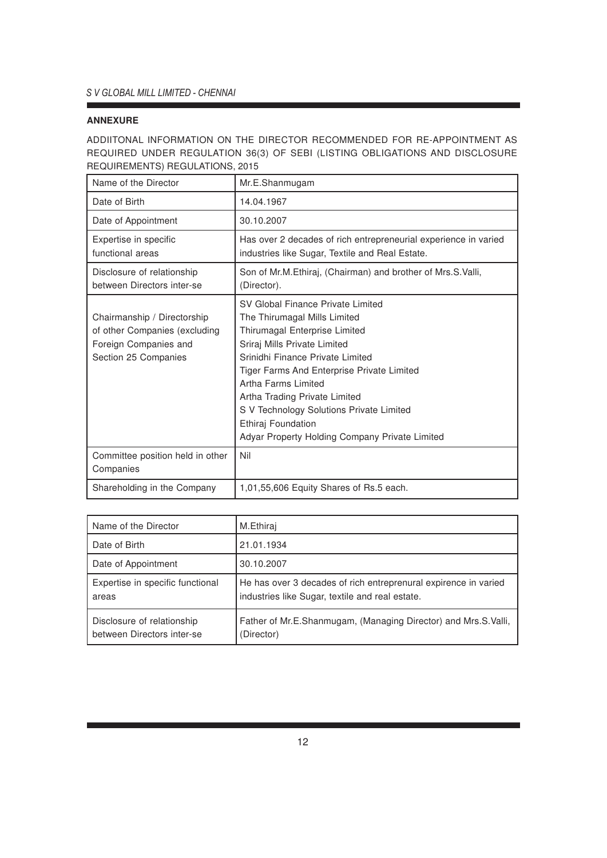## **ANNEXURE**

ADDIITONAL INFORMATION ON THE DIRECTOR RECOMMENDED FOR RE-APPOINTMENT AS REQUIRED UNDER REGULATION 36(3) OF SEBI (LISTING OBLIGATIONS AND DISCLOSURE REQUIREMENTS) REGULATIONS, 2015

| Name of the Director                                                                                          | Mr.E.Shanmugam                                                                                                                                                                                                                                                                                                                                                                                   |
|---------------------------------------------------------------------------------------------------------------|--------------------------------------------------------------------------------------------------------------------------------------------------------------------------------------------------------------------------------------------------------------------------------------------------------------------------------------------------------------------------------------------------|
| Date of Birth                                                                                                 | 14.04.1967                                                                                                                                                                                                                                                                                                                                                                                       |
| Date of Appointment                                                                                           | 30.10.2007                                                                                                                                                                                                                                                                                                                                                                                       |
| Expertise in specific<br>functional areas                                                                     | Has over 2 decades of rich entrepreneurial experience in varied<br>industries like Sugar, Textile and Real Estate.                                                                                                                                                                                                                                                                               |
| Disclosure of relationship<br>between Directors inter-se                                                      | Son of Mr.M. Ethiraj, (Chairman) and brother of Mrs. S. Valli,<br>(Director).                                                                                                                                                                                                                                                                                                                    |
| Chairmanship / Directorship<br>of other Companies (excluding<br>Foreign Companies and<br>Section 25 Companies | SV Global Finance Private Limited<br>The Thirumagal Mills Limited<br>Thirumagal Enterprise Limited<br>Sriraj Mills Private Limited<br>Srinidhi Finance Private Limited<br>Tiger Farms And Enterprise Private Limited<br>Artha Farms Limited<br>Artha Trading Private Limited<br>S V Technology Solutions Private Limited<br>Ethiraj Foundation<br>Adyar Property Holding Company Private Limited |
| Committee position held in other<br>Companies                                                                 | Nil                                                                                                                                                                                                                                                                                                                                                                                              |
| Shareholding in the Company                                                                                   | 1,01,55,606 Equity Shares of Rs.5 each.                                                                                                                                                                                                                                                                                                                                                          |

| Name of the Director                                     | M.Ethiraj                                                                                                          |
|----------------------------------------------------------|--------------------------------------------------------------------------------------------------------------------|
| Date of Birth                                            | 21.01.1934                                                                                                         |
| Date of Appointment                                      | 30.10.2007                                                                                                         |
| Expertise in specific functional<br>areas                | He has over 3 decades of rich entreprenural expirence in varied<br>industries like Sugar, textile and real estate. |
| Disclosure of relationship<br>between Directors inter-se | Father of Mr.E.Shanmugam, (Managing Director) and Mrs.S.Valli,<br>(Director)                                       |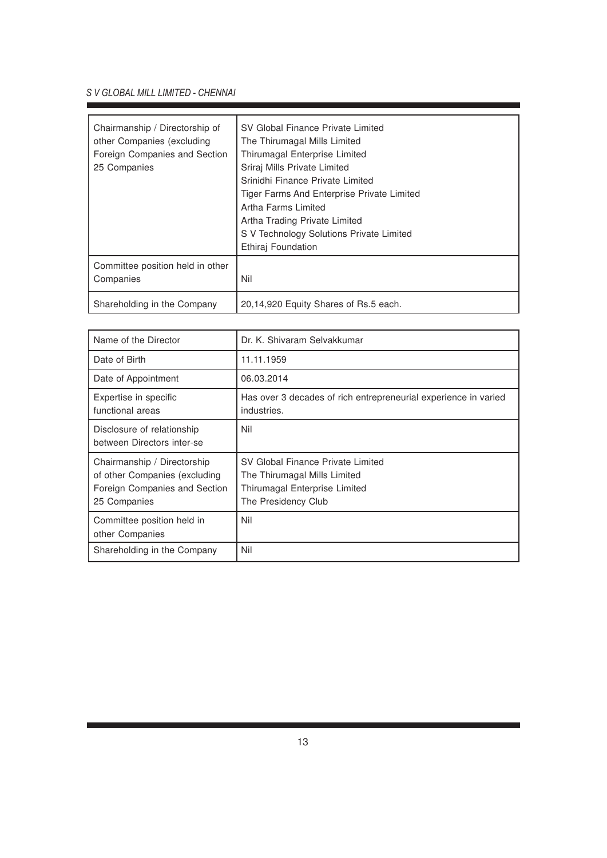| Chairmanship / Directorship of<br>other Companies (excluding<br>Foreign Companies and Section<br>25 Companies | SV Global Finance Private Limited<br>The Thirumagal Mills Limited<br>Thirumagal Enterprise Limited<br>Sriraj Mills Private Limited<br>Srinidhi Finance Private Limited<br>Tiger Farms And Enterprise Private Limited<br>Artha Farms Limited<br>Artha Trading Private Limited<br>S V Technology Solutions Private Limited<br>Ethiraj Foundation |
|---------------------------------------------------------------------------------------------------------------|------------------------------------------------------------------------------------------------------------------------------------------------------------------------------------------------------------------------------------------------------------------------------------------------------------------------------------------------|
| Committee position held in other<br>Companies                                                                 | Nil                                                                                                                                                                                                                                                                                                                                            |
| Shareholding in the Company                                                                                   | 20,14,920 Equity Shares of Rs.5 each.                                                                                                                                                                                                                                                                                                          |

| Name of the Director                                                                                          | Dr. K. Shivaram Selvakkumar                                                                                               |
|---------------------------------------------------------------------------------------------------------------|---------------------------------------------------------------------------------------------------------------------------|
| Date of Birth                                                                                                 | 11.11.1959                                                                                                                |
| Date of Appointment                                                                                           | 06.03.2014                                                                                                                |
| Expertise in specific<br>functional areas                                                                     | Has over 3 decades of rich entrepreneurial experience in varied<br>industries.                                            |
| Disclosure of relationship<br>between Directors inter-se                                                      | Nil                                                                                                                       |
| Chairmanship / Directorship<br>of other Companies (excluding<br>Foreign Companies and Section<br>25 Companies | SV Global Finance Private Limited<br>The Thirumagal Mills Limited<br>Thirumagal Enterprise Limited<br>The Presidency Club |
| Committee position held in<br>other Companies                                                                 | Nil                                                                                                                       |
| Shareholding in the Company                                                                                   | Nil                                                                                                                       |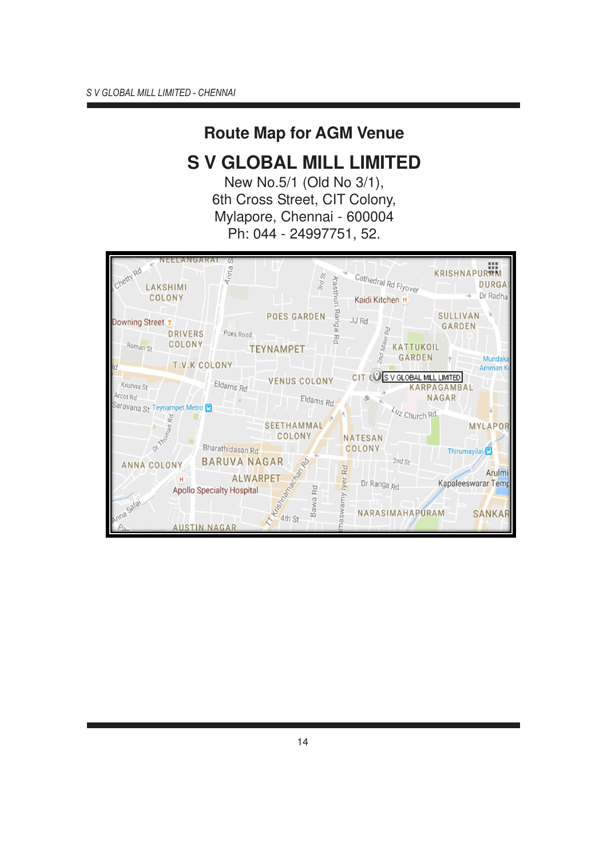# **Route Map for AGM Venue**

# **S V GLOBAL MILL LIMITED**

New No.5/1 (Old No 3/1), 6th Cross Street, CIT Colony, Mylapore, Chennai - 600004 Ph: 044 - 24997751, 52.

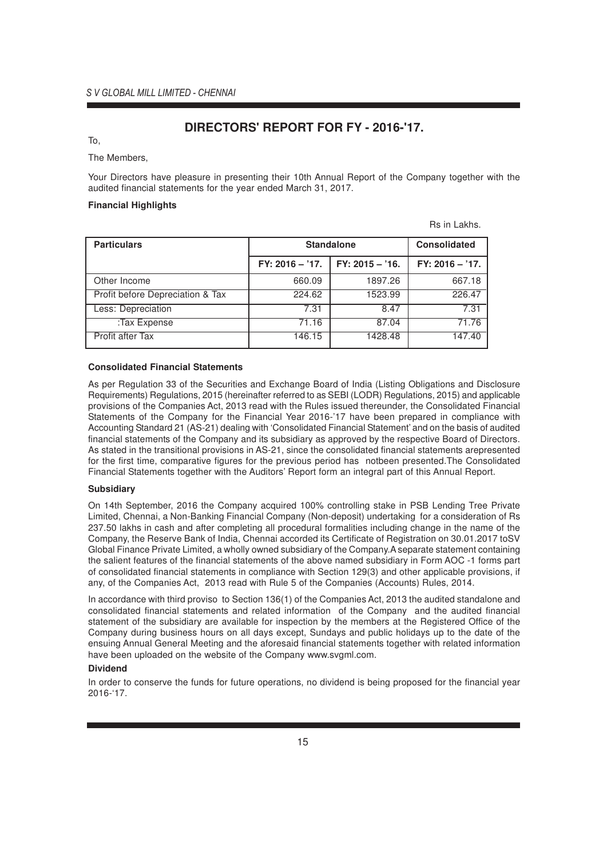**DIRECTORS' REPORT FOR FY - 2016-'17.**

To,

The Members,

Your Directors have pleasure in presenting their 10th Annual Report of the Company together with the audited financial statements for the year ended March 31, 2017.

## **Financial Highlights**

Rs in Lakhs.

| <b>Particulars</b>               | <b>Standalone</b> | <b>Consolidated</b> |                   |
|----------------------------------|-------------------|---------------------|-------------------|
|                                  | $FY: 2016 - '17.$ | $FY: 2015 - '16.$   | $FY: 2016 - '17.$ |
| Other Income                     | 660.09            | 1897.26             | 667.18            |
| Profit before Depreciation & Tax | 224.62            | 1523.99             | 226.47            |
| Less: Depreciation               | 7.31              | 8.47                | 7.31              |
| :Tax Expense                     | 71.16             | 87.04               | 71.76             |
| <b>Profit after Tax</b>          | 146.15            | 1428.48             | 147.40            |

## **Consolidated Financial Statements**

As per Regulation 33 of the Securities and Exchange Board of India (Listing Obligations and Disclosure Requirements) Regulations, 2015 (hereinafter referred to as SEBI (LODR) Regulations, 2015) and applicable provisions of the Companies Act, 2013 read with the Rules issued thereunder, the Consolidated Financial Statements of the Company for the Financial Year 2016-'17 have been prepared in compliance with Accounting Standard 21 (AS-21) dealing with 'Consolidated Financial Statement' and on the basis of audited financial statements of the Company and its subsidiary as approved by the respective Board of Directors. As stated in the transitional provisions in AS-21, since the consolidated financial statements arepresented for the first time, comparative figures for the previous period has notbeen presented.The Consolidated Financial Statements together with the Auditors' Report form an integral part of this Annual Report.

#### **Subsidiary**

On 14th September, 2016 the Company acquired 100% controlling stake in PSB Lending Tree Private Limited, Chennai, a Non-Banking Financial Company (Non-deposit) undertaking for a consideration of Rs 237.50 lakhs in cash and after completing all procedural formalities including change in the name of the Company, the Reserve Bank of India, Chennai accorded its Certificate of Registration on 30.01.2017 toSV Global Finance Private Limited, a wholly owned subsidiary of the Company.A separate statement containing the salient features of the financial statements of the above named subsidiary in Form AOC -1 forms part of consolidated financial statements in compliance with Section 129(3) and other applicable provisions, if any, of the Companies Act, 2013 read with Rule 5 of the Companies (Accounts) Rules, 2014.

In accordance with third proviso to Section 136(1) of the Companies Act, 2013 the audited standalone and consolidated financial statements and related information of the Company and the audited financial statement of the subsidiary are available for inspection by the members at the Registered Office of the Company during business hours on all days except, Sundays and public holidays up to the date of the ensuing Annual General Meeting and the aforesaid financial statements together with related information have been uploaded on the website of the Company www.svgml.com.

#### **Dividend**

In order to conserve the funds for future operations, no dividend is being proposed for the financial year 2016-'17.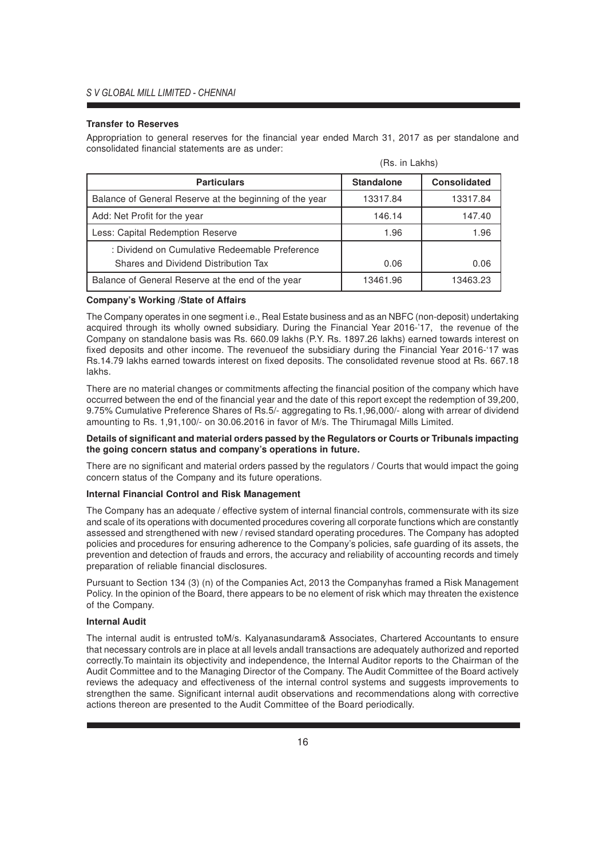## **Transfer to Reserves**

Appropriation to general reserves for the financial year ended March 31, 2017 as per standalone and consolidated financial statements are as under:

| <b>Particulars</b>                                      | <b>Standalone</b> | <b>Consolidated</b> |
|---------------------------------------------------------|-------------------|---------------------|
| Balance of General Reserve at the beginning of the year | 13317.84          | 13317.84            |
| Add: Net Profit for the year                            | 146.14            | 147.40              |
| Less: Capital Redemption Reserve                        | 1.96              | 1.96                |
| : Dividend on Cumulative Redeemable Preference          |                   |                     |
| Shares and Dividend Distribution Tax                    | 0.06              | 0.06                |
| Balance of General Reserve at the end of the year       | 13461.96          | 13463.23            |

# (Rs. in Lakhs)

#### **Company's Working /State of Affairs**

The Company operates in one segment i.e., Real Estate business and as an NBFC (non-deposit) undertaking acquired through its wholly owned subsidiary. During the Financial Year 2016-'17, the revenue of the Company on standalone basis was Rs. 660.09 lakhs (P.Y. Rs. 1897.26 lakhs) earned towards interest on fixed deposits and other income. The revenueof the subsidiary during the Financial Year 2016-'17 was Rs.14.79 lakhs earned towards interest on fixed deposits. The consolidated revenue stood at Rs. 667.18 lakhs.

There are no material changes or commitments affecting the financial position of the company which have occurred between the end of the financial year and the date of this report except the redemption of 39,200, 9.75% Cumulative Preference Shares of Rs.5/- aggregating to Rs.1,96,000/- along with arrear of dividend amounting to Rs. 1,91,100/- on 30.06.2016 in favor of M/s. The Thirumagal Mills Limited.

#### **Details of significant and material orders passed by the Regulators or Courts or Tribunals impacting the going concern status and company's operations in future.**

There are no significant and material orders passed by the regulators / Courts that would impact the going concern status of the Company and its future operations.

#### **Internal Financial Control and Risk Management**

The Company has an adequate / effective system of internal financial controls, commensurate with its size and scale of its operations with documented procedures covering all corporate functions which are constantly assessed and strengthened with new / revised standard operating procedures. The Company has adopted policies and procedures for ensuring adherence to the Company's policies, safe guarding of its assets, the prevention and detection of frauds and errors, the accuracy and reliability of accounting records and timely preparation of reliable financial disclosures.

Pursuant to Section 134 (3) (n) of the Companies Act, 2013 the Companyhas framed a Risk Management Policy. In the opinion of the Board, there appears to be no element of risk which may threaten the existence of the Company.

## **Internal Audit**

The internal audit is entrusted toM/s. Kalyanasundaram& Associates, Chartered Accountants to ensure that necessary controls are in place at all levels andall transactions are adequately authorized and reported correctly.To maintain its objectivity and independence, the Internal Auditor reports to the Chairman of the Audit Committee and to the Managing Director of the Company. The Audit Committee of the Board actively reviews the adequacy and effectiveness of the internal control systems and suggests improvements to strengthen the same. Significant internal audit observations and recommendations along with corrective actions thereon are presented to the Audit Committee of the Board periodically.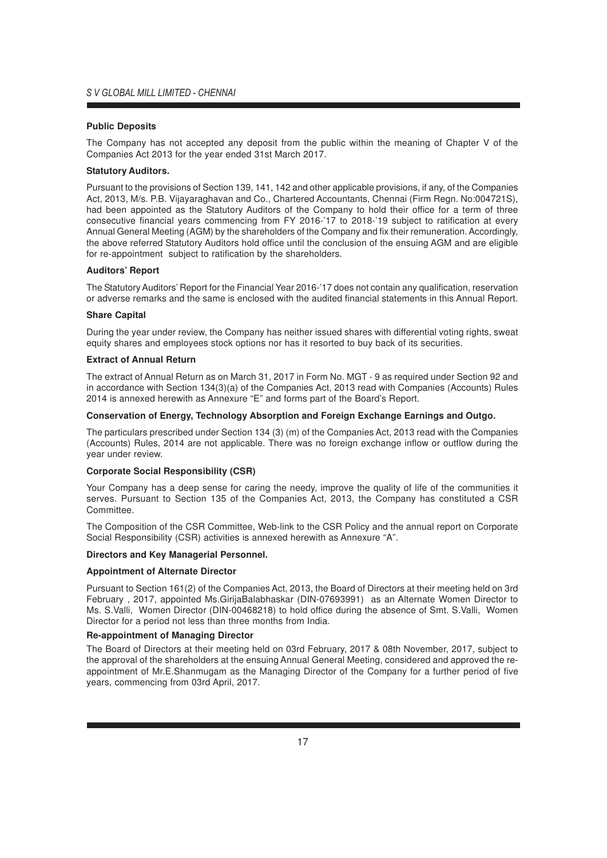#### **Public Deposits**

The Company has not accepted any deposit from the public within the meaning of Chapter V of the Companies Act 2013 for the year ended 31st March 2017.

#### **Statutory Auditors.**

Pursuant to the provisions of Section 139, 141, 142 and other applicable provisions, if any, of the Companies Act, 2013, M/s. P.B. Vijayaraghavan and Co., Chartered Accountants, Chennai (Firm Regn. No:004721S), had been appointed as the Statutory Auditors of the Company to hold their office for a term of three consecutive financial years commencing from FY 2016-'17 to 2018-'19 subject to ratification at every Annual General Meeting (AGM) by the shareholders of the Company and fix their remuneration. Accordingly, the above referred Statutory Auditors hold office until the conclusion of the ensuing AGM and are eligible for re-appointment subject to ratification by the shareholders.

#### **Auditors' Report**

The Statutory Auditors' Report for the Financial Year 2016-'17 does not contain any qualification, reservation or adverse remarks and the same is enclosed with the audited financial statements in this Annual Report.

#### **Share Capital**

During the year under review, the Company has neither issued shares with differential voting rights, sweat equity shares and employees stock options nor has it resorted to buy back of its securities.

#### **Extract of Annual Return**

The extract of Annual Return as on March 31, 2017 in Form No. MGT - 9 as required under Section 92 and in accordance with Section 134(3)(a) of the Companies Act, 2013 read with Companies (Accounts) Rules 2014 is annexed herewith as Annexure "E" and forms part of the Board's Report.

#### **Conservation of Energy, Technology Absorption and Foreign Exchange Earnings and Outgo.**

The particulars prescribed under Section 134 (3) (m) of the Companies Act, 2013 read with the Companies (Accounts) Rules, 2014 are not applicable. There was no foreign exchange inflow or outflow during the year under review.

#### **Corporate Social Responsibility (CSR)**

Your Company has a deep sense for caring the needy, improve the quality of life of the communities it serves. Pursuant to Section 135 of the Companies Act, 2013, the Company has constituted a CSR Committee.

The Composition of the CSR Committee, Web-link to the CSR Policy and the annual report on Corporate Social Responsibility (CSR) activities is annexed herewith as Annexure "A".

#### **Directors and Key Managerial Personnel.**

#### **Appointment of Alternate Director**

Pursuant to Section 161(2) of the Companies Act, 2013, the Board of Directors at their meeting held on 3rd February , 2017, appointed Ms.GirijaBalabhaskar (DIN-07693991) as an Alternate Women Director to Ms. S.Valli, Women Director (DIN-00468218) to hold office during the absence of Smt. S.Valli, Women Director for a period not less than three months from India.

#### **Re-appointment of Managing Director**

The Board of Directors at their meeting held on 03rd February, 2017 & 08th November, 2017, subject to the approval of the shareholders at the ensuing Annual General Meeting, considered and approved the reappointment of Mr.E.Shanmugam as the Managing Director of the Company for a further period of five years, commencing from 03rd April, 2017.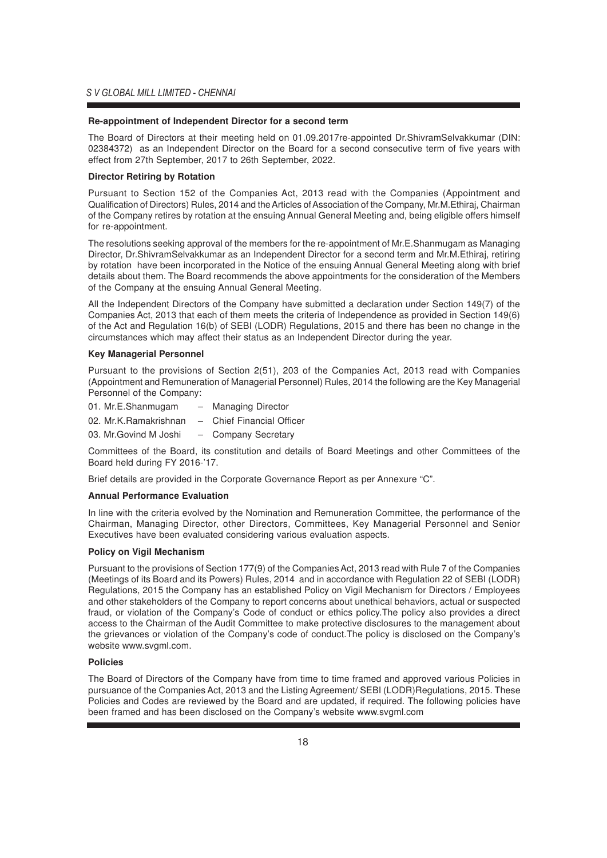#### **Re-appointment of Independent Director for a second term**

The Board of Directors at their meeting held on 01.09.2017re-appointed Dr.ShivramSelvakkumar (DIN: 02384372) as an Independent Director on the Board for a second consecutive term of five years with effect from 27th September, 2017 to 26th September, 2022.

#### **Director Retiring by Rotation**

Pursuant to Section 152 of the Companies Act, 2013 read with the Companies (Appointment and Qualification of Directors) Rules, 2014 and the Articles of Association of the Company, Mr.M.Ethiraj, Chairman of the Company retires by rotation at the ensuing Annual General Meeting and, being eligible offers himself for re-appointment.

The resolutions seeking approval of the members for the re-appointment of Mr.E.Shanmugam as Managing Director, Dr.ShivramSelvakkumar as an Independent Director for a second term and Mr.M.Ethiraj, retiring by rotation have been incorporated in the Notice of the ensuing Annual General Meeting along with brief details about them. The Board recommends the above appointments for the consideration of the Members of the Company at the ensuing Annual General Meeting.

All the Independent Directors of the Company have submitted a declaration under Section 149(7) of the Companies Act, 2013 that each of them meets the criteria of Independence as provided in Section 149(6) of the Act and Regulation 16(b) of SEBI (LODR) Regulations, 2015 and there has been no change in the circumstances which may affect their status as an Independent Director during the year.

#### **Key Managerial Personnel**

Pursuant to the provisions of Section 2(51), 203 of the Companies Act, 2013 read with Companies (Appointment and Remuneration of Managerial Personnel) Rules, 2014 the following are the Key Managerial Personnel of the Company:

01. Mr.E.Shanmugam - Managing Director

- 02. Mr.K.Ramakrishnan Chief Financial Officer
- 03. Mr.Govind M Joshi Company Secretary

Committees of the Board, its constitution and details of Board Meetings and other Committees of the Board held during FY 2016-'17.

Brief details are provided in the Corporate Governance Report as per Annexure "C".

## **Annual Performance Evaluation**

In line with the criteria evolved by the Nomination and Remuneration Committee, the performance of the Chairman, Managing Director, other Directors, Committees, Key Managerial Personnel and Senior Executives have been evaluated considering various evaluation aspects.

#### **Policy on Vigil Mechanism**

Pursuant to the provisions of Section 177(9) of the Companies Act, 2013 read with Rule 7 of the Companies (Meetings of its Board and its Powers) Rules, 2014 and in accordance with Regulation 22 of SEBI (LODR) Regulations, 2015 the Company has an established Policy on Vigil Mechanism for Directors / Employees and other stakeholders of the Company to report concerns about unethical behaviors, actual or suspected fraud, or violation of the Company's Code of conduct or ethics policy.The policy also provides a direct access to the Chairman of the Audit Committee to make protective disclosures to the management about the grievances or violation of the Company's code of conduct.The policy is disclosed on the Company's website www.svgml.com.

## **Policies**

The Board of Directors of the Company have from time to time framed and approved various Policies in pursuance of the Companies Act, 2013 and the Listing Agreement/ SEBI (LODR)Regulations, 2015. These Policies and Codes are reviewed by the Board and are updated, if required. The following policies have been framed and has been disclosed on the Company's website www.svgml.com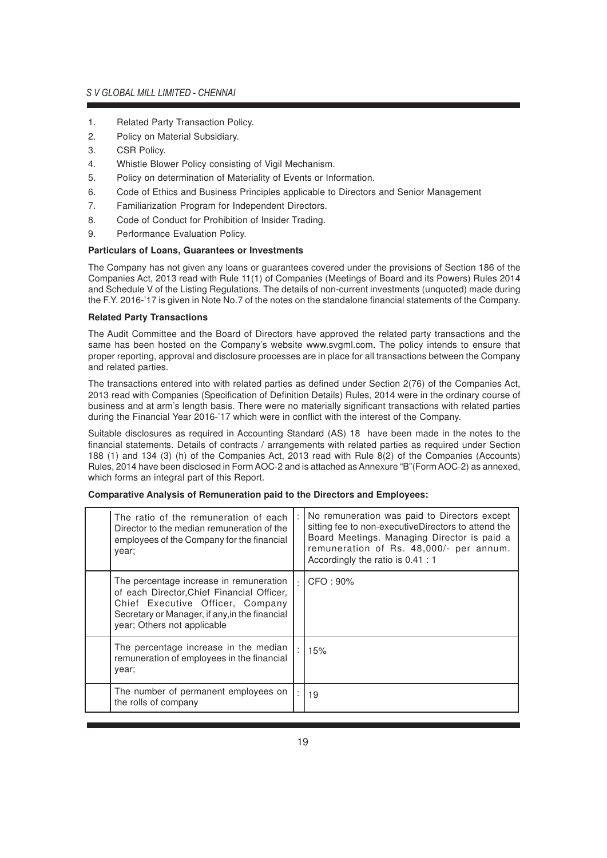- 1. Related Party Transaction Policy.
- 2. Policy on Material Subsidiary.
- 3. CSR Policy.
- 4. Whistle Blower Policy consisting of Vigil Mechanism.
- 5. Policy on determination of Materiality of Events or Information.
- 6. Code of Ethics and Business Principles applicable to Directors and Senior Management
- 7. Familiarization Program for Independent Directors.
- 8. Code of Conduct for Prohibition of Insider Trading.
- 9. Performance Evaluation Policy.

#### **Particulars of Loans, Guarantees or Investments**

The Company has not given any loans or guarantees covered under the provisions of Section 186 of the Companies Act, 2013 read with Rule 11(1) of Companies (Meetings of Board and its Powers) Rules 2014 and Schedule V of the Listing Regulations. The details of non-current investments (unquoted) made during the F.Y. 2016-'17 is given in Note No.7 of the notes on the standalone financial statements of the Company.

#### **Related Party Transactions**

The Audit Committee and the Board of Directors have approved the related party transactions and the same has been hosted on the Company's website www.svgml.com. The policy intends to ensure that proper reporting, approval and disclosure processes are in place for all transactions between the Company and related parties.

The transactions entered into with related parties as defined under Section 2(76) of the Companies Act, 2013 read with Companies (Specification of Definition Details) Rules, 2014 were in the ordinary course of business and at arm's length basis. There were no materially significant transactions with related parties during the Financial Year 2016-'17 which were in conflict with the interest of the Company.

Suitable disclosures as required in Accounting Standard (AS) 18 have been made in the notes to the financial statements. Details of contracts / arrangements with related parties as required under Section 188 (1) and 134 (3) (h) of the Companies Act, 2013 read with Rule 8(2) of the Companies (Accounts) Rules, 2014 have been disclosed in Form AOC-2 and is attached as Annexure "B"(Form AOC-2) as annexed, which forms an integral part of this Report.

| The ratio of the remuneration of each<br>Director to the median remuneration of the<br>employees of the Company for the financial<br>year;                                                                 | No remuneration was paid to Directors except<br>sitting fee to non-executiveDirectors to attend the<br>Board Meetings. Managing Director is paid a<br>remuneration of Rs. 48,000/- per annum.<br>Accordingly the ratio is 0.41 : 1 |
|------------------------------------------------------------------------------------------------------------------------------------------------------------------------------------------------------------|------------------------------------------------------------------------------------------------------------------------------------------------------------------------------------------------------------------------------------|
| The percentage increase in remuneration<br>of each Director, Chief Financial Officer,<br>Chief Executive Officer, Company<br>Secretary or Manager, if any, in the financial<br>year; Others not applicable | CFO: 90%                                                                                                                                                                                                                           |
| The percentage increase in the median<br>remuneration of employees in the financial<br>year;                                                                                                               | 15%                                                                                                                                                                                                                                |
| The number of permanent employees on<br>the rolls of company                                                                                                                                               | 19                                                                                                                                                                                                                                 |

#### **Comparative Analysis of Remuneration paid to the Directors and Employees:**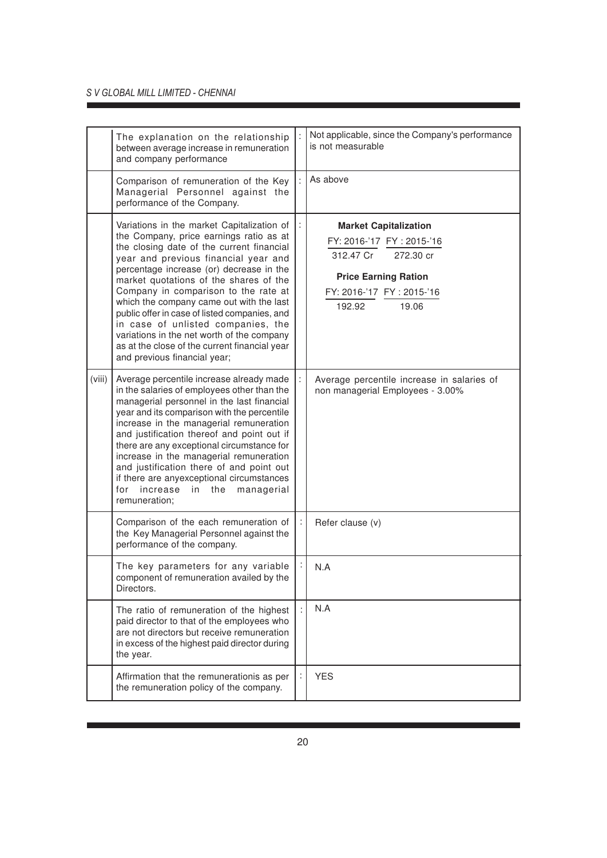|        | The explanation on the relationship<br>between average increase in remuneration<br>and company performance                                                                                                                                                                                                                                                                                                                                                                                                                                                                 | Not applicable, since the Company's performance<br>is not measurable                                                                                               |
|--------|----------------------------------------------------------------------------------------------------------------------------------------------------------------------------------------------------------------------------------------------------------------------------------------------------------------------------------------------------------------------------------------------------------------------------------------------------------------------------------------------------------------------------------------------------------------------------|--------------------------------------------------------------------------------------------------------------------------------------------------------------------|
|        | Comparison of remuneration of the Key<br>Managerial Personnel against the<br>performance of the Company.                                                                                                                                                                                                                                                                                                                                                                                                                                                                   | As above                                                                                                                                                           |
|        | Variations in the market Capitalization of<br>the Company, price earnings ratio as at<br>the closing date of the current financial<br>year and previous financial year and<br>percentage increase (or) decrease in the<br>market quotations of the shares of the<br>Company in comparison to the rate at<br>which the company came out with the last<br>public offer in case of listed companies, and<br>in case of unlisted companies, the<br>variations in the net worth of the company<br>as at the close of the current financial year<br>and previous financial year; | <b>Market Capitalization</b><br>FY: 2016-'17 FY: 2015-'16<br>312.47 Cr<br>272.30 cr<br><b>Price Earning Ration</b><br>FY: 2016-'17 FY: 2015-'16<br>192.92<br>19.06 |
| (viii) | Average percentile increase already made<br>in the salaries of employees other than the<br>managerial personnel in the last financial<br>year and its comparison with the percentile<br>increase in the managerial remuneration<br>and justification thereof and point out if<br>there are any exceptional circumstance for<br>increase in the managerial remuneration<br>and justification there of and point out<br>if there are anyexceptional circumstances<br>increase<br>for<br>in the<br>managerial<br>remuneration;                                                | Average percentile increase in salaries of<br>non managerial Employees - 3.00%                                                                                     |
|        | Comparison of the each remuneration of<br>the Key Managerial Personnel against the<br>performance of the company.                                                                                                                                                                                                                                                                                                                                                                                                                                                          | Refer clause (v)                                                                                                                                                   |
|        | The key parameters for any variable<br>component of remuneration availed by the<br>Directors.                                                                                                                                                                                                                                                                                                                                                                                                                                                                              | N.A                                                                                                                                                                |
|        | The ratio of remuneration of the highest<br>paid director to that of the employees who<br>are not directors but receive remuneration<br>in excess of the highest paid director during<br>the year.                                                                                                                                                                                                                                                                                                                                                                         | N.A                                                                                                                                                                |
|        | Affirmation that the remunerationis as per<br>the remuneration policy of the company.                                                                                                                                                                                                                                                                                                                                                                                                                                                                                      | <b>YES</b>                                                                                                                                                         |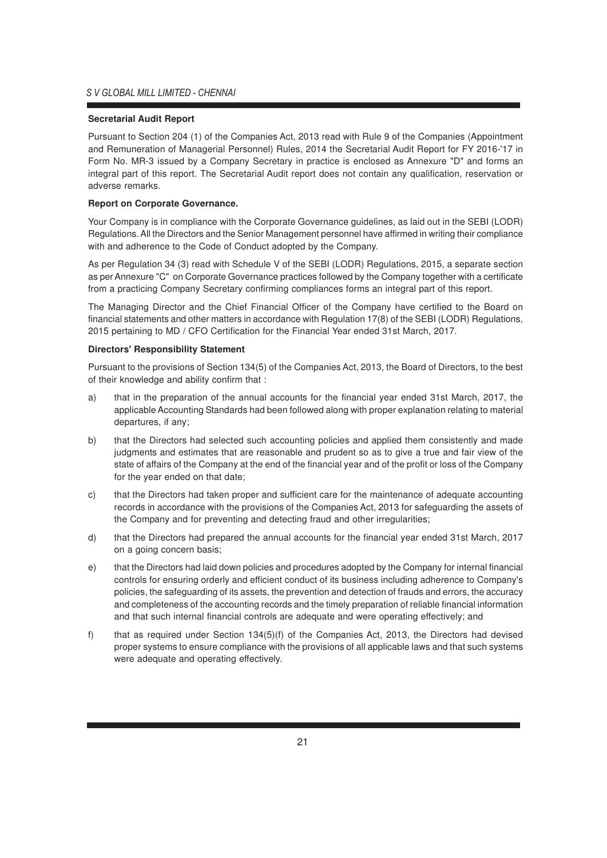## **Secretarial Audit Report**

Pursuant to Section 204 (1) of the Companies Act, 2013 read with Rule 9 of the Companies (Appointment and Remuneration of Managerial Personnel) Rules, 2014 the Secretarial Audit Report for FY 2016-'17 in Form No. MR-3 issued by a Company Secretary in practice is enclosed as Annexure "D" and forms an integral part of this report. The Secretarial Audit report does not contain any qualification, reservation or adverse remarks.

## **Report on Corporate Governance.**

Your Company is in compliance with the Corporate Governance guidelines, as laid out in the SEBI (LODR) Regulations. All the Directors and the Senior Management personnel have affirmed in writing their compliance with and adherence to the Code of Conduct adopted by the Company.

As per Regulation 34 (3) read with Schedule V of the SEBI (LODR) Regulations, 2015, a separate section as per Annexure "C" on Corporate Governance practices followed by the Company together with a certificate from a practicing Company Secretary confirming compliances forms an integral part of this report.

The Managing Director and the Chief Financial Officer of the Company have certified to the Board on financial statements and other matters in accordance with Regulation 17(8) of the SEBI (LODR) Regulations, 2015 pertaining to MD / CFO Certification for the Financial Year ended 31st March, 2017.

#### **Directors' Responsibility Statement**

Pursuant to the provisions of Section 134(5) of the Companies Act, 2013, the Board of Directors, to the best of their knowledge and ability confirm that :

- a) that in the preparation of the annual accounts for the financial year ended 31st March, 2017, the applicable Accounting Standards had been followed along with proper explanation relating to material departures, if any;
- b) that the Directors had selected such accounting policies and applied them consistently and made judgments and estimates that are reasonable and prudent so as to give a true and fair view of the state of affairs of the Company at the end of the financial year and of the profit or loss of the Company for the year ended on that date;
- c) that the Directors had taken proper and sufficient care for the maintenance of adequate accounting records in accordance with the provisions of the Companies Act, 2013 for safeguarding the assets of the Company and for preventing and detecting fraud and other irregularities;
- d) that the Directors had prepared the annual accounts for the financial year ended 31st March, 2017 on a going concern basis;
- e) that the Directors had laid down policies and procedures adopted by the Company for internal financial controls for ensuring orderly and efficient conduct of its business including adherence to Company's policies, the safeguarding of its assets, the prevention and detection of frauds and errors, the accuracy and completeness of the accounting records and the timely preparation of reliable financial information and that such internal financial controls are adequate and were operating effectively; and
- f) that as required under Section 134(5)(f) of the Companies Act, 2013, the Directors had devised proper systems to ensure compliance with the provisions of all applicable laws and that such systems were adequate and operating effectively.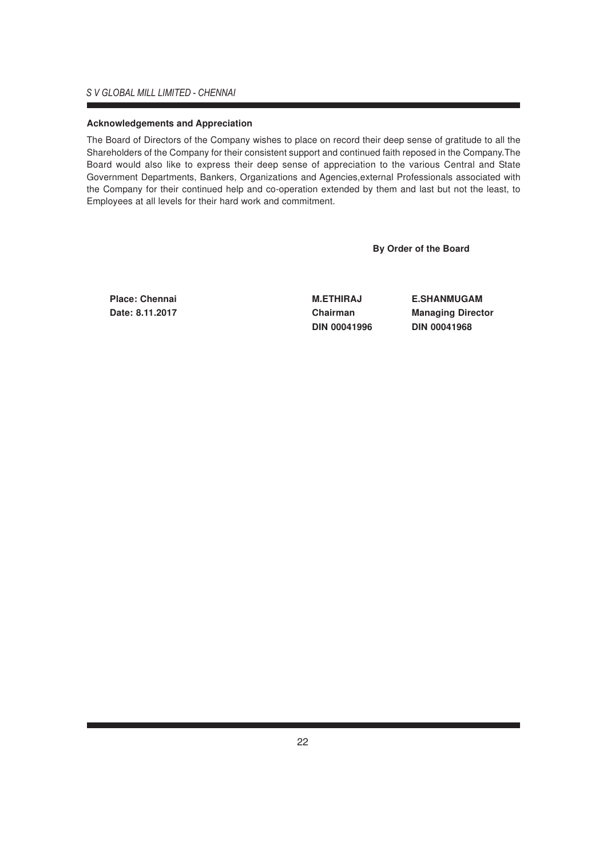## **Acknowledgements and Appreciation**

The Board of Directors of the Company wishes to place on record their deep sense of gratitude to all the Shareholders of the Company for their consistent support and continued faith reposed in the Company.The Board would also like to express their deep sense of appreciation to the various Central and State Government Departments, Bankers, Organizations and Agencies,external Professionals associated with the Company for their continued help and co-operation extended by them and last but not the least, to Employees at all levels for their hard work and commitment.

**By Order of the Board**

**DIN 00041996 DIN 00041968**

**Place: Chennai M.ETHIRAJ E.SHANMUGAM Date: 8.11.2017 Chairman Managing Director**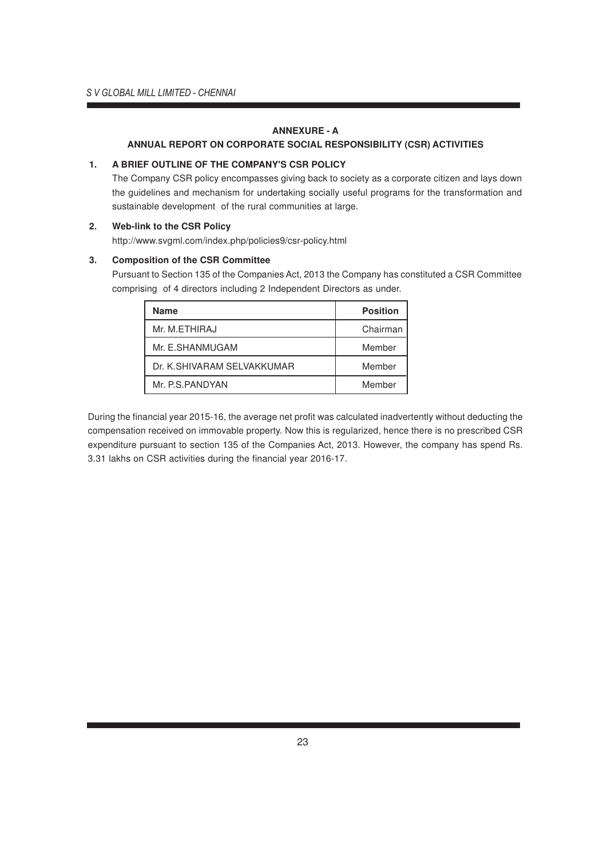## **ANNEXURE - A**

## **ANNUAL REPORT ON CORPORATE SOCIAL RESPONSIBILITY (CSR) ACTIVITIES**

# **1. A BRIEF OUTLINE OF THE COMPANY'S CSR POLICY**

The Company CSR policy encompasses giving back to society as a corporate citizen and lays down the guidelines and mechanism for undertaking socially useful programs for the transformation and sustainable development of the rural communities at large.

# **2. Web-link to the CSR Policy**

http://www.svgml.com/index.php/policies9/csr-policy.html

#### **3. Composition of the CSR Committee**

Pursuant to Section 135 of the Companies Act, 2013 the Company has constituted a CSR Committee comprising of 4 directors including 2 Independent Directors as under.

| <b>Name</b>                | <b>Position</b> |
|----------------------------|-----------------|
| Mr. M.ETHIRAJ              | Chairman        |
| Mr. E.SHANMUGAM            | Member          |
| Dr. K.SHIVARAM SELVAKKUMAR | Member          |
| Mr. P.S.PANDYAN            | Member          |

During the financial year 2015-16, the average net profit was calculated inadvertently without deducting the compensation received on immovable property. Now this is regularized, hence there is no prescribed CSR expenditure pursuant to section 135 of the Companies Act, 2013. However, the company has spend Rs. 3.31 lakhs on CSR activities during the financial year 2016-17.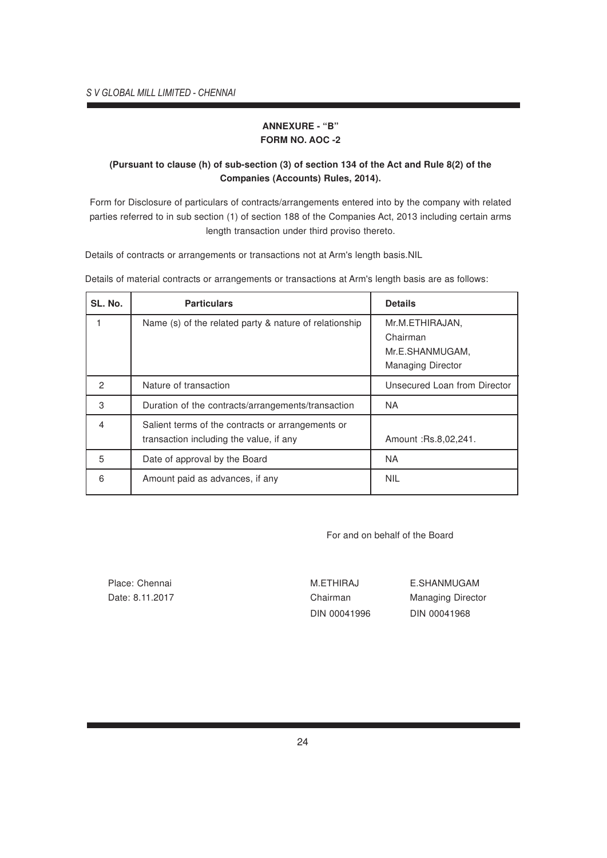# **ANNEXURE - "B" FORM NO. AOC -2**

# **(Pursuant to clause (h) of sub-section (3) of section 134 of the Act and Rule 8(2) of the Companies (Accounts) Rules, 2014).**

Form for Disclosure of particulars of contracts/arrangements entered into by the company with related parties referred to in sub section (1) of section 188 of the Companies Act, 2013 including certain arms length transaction under third proviso thereto.

Details of contracts or arrangements or transactions not at Arm's length basis.NIL

Details of material contracts or arrangements or transactions at Arm's length basis are as follows:

| SL. No.       | <b>Particulars</b>                                                                           | <b>Details</b>                                                             |
|---------------|----------------------------------------------------------------------------------------------|----------------------------------------------------------------------------|
|               | Name (s) of the related party & nature of relationship                                       | Mr.M.ETHIRAJAN,<br>Chairman<br>Mr.E.SHANMUGAM.<br><b>Managing Director</b> |
| $\mathcal{P}$ | Nature of transaction                                                                        | Unsecured Loan from Director                                               |
| 3             | Duration of the contracts/arrangements/transaction                                           | NA.                                                                        |
| 4             | Salient terms of the contracts or arrangements or<br>transaction including the value, if any | Amount : Rs.8,02,241.                                                      |
| 5             | Date of approval by the Board                                                                | NA.                                                                        |
| 6             | Amount paid as advances, if any                                                              | <b>NIL</b>                                                                 |

For and on behalf of the Board

Place: Chennai **M.ETHIRAJ E.SHANMUGAM** Date: 8.11.2017 Chairman Managing Director DIN 00041996 DIN 00041968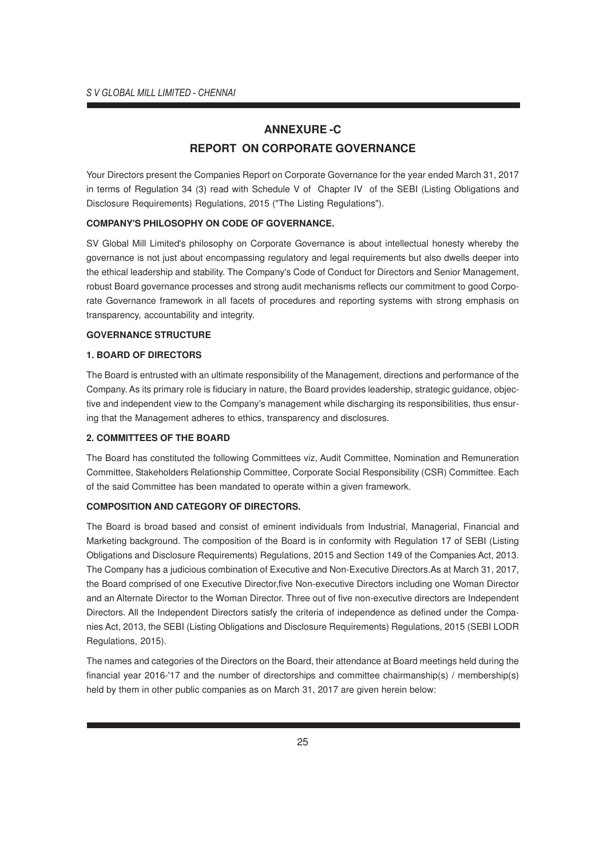# **ANNEXURE -C REPORT ON CORPORATE GOVERNANCE**

Your Directors present the Companies Report on Corporate Governance for the year ended March 31, 2017 in terms of Regulation 34 (3) read with Schedule V of Chapter IV of the SEBI (Listing Obligations and Disclosure Requirements) Regulations, 2015 ("The Listing Regulations").

## **COMPANY'S PHILOSOPHY ON CODE OF GOVERNANCE.**

SV Global Mill Limited's philosophy on Corporate Governance is about intellectual honesty whereby the governance is not just about encompassing regulatory and legal requirements but also dwells deeper into the ethical leadership and stability. The Company's Code of Conduct for Directors and Senior Management, robust Board governance processes and strong audit mechanisms reflects our commitment to good Corporate Governance framework in all facets of procedures and reporting systems with strong emphasis on transparency, accountability and integrity.

## **GOVERNANCE STRUCTURE**

## **1. BOARD OF DIRECTORS**

The Board is entrusted with an ultimate responsibility of the Management, directions and performance of the Company. As its primary role is fiduciary in nature, the Board provides leadership, strategic guidance, objective and independent view to the Company's management while discharging its responsibilities, thus ensuring that the Management adheres to ethics, transparency and disclosures.

#### **2. COMMITTEES OF THE BOARD**

The Board has constituted the following Committees viz, Audit Committee, Nomination and Remuneration Committee, Stakeholders Relationship Committee, Corporate Social Responsibility (CSR) Committee. Each of the said Committee has been mandated to operate within a given framework.

## **COMPOSITION AND CATEGORY OF DIRECTORS.**

The Board is broad based and consist of eminent individuals from Industrial, Managerial, Financial and Marketing background. The composition of the Board is in conformity with Regulation 17 of SEBI (Listing Obligations and Disclosure Requirements) Regulations, 2015 and Section 149 of the Companies Act, 2013. The Company has a judicious combination of Executive and Non-Executive Directors.As at March 31, 2017, the Board comprised of one Executive Director,five Non-executive Directors including one Woman Director and an Alternate Director to the Woman Director. Three out of five non-executive directors are Independent Directors. All the Independent Directors satisfy the criteria of independence as defined under the Companies Act, 2013, the SEBI (Listing Obligations and Disclosure Requirements) Regulations, 2015 (SEBI LODR Regulations, 2015).

The names and categories of the Directors on the Board, their attendance at Board meetings held during the financial year 2016-'17 and the number of directorships and committee chairmanship(s) / membership(s) held by them in other public companies as on March 31, 2017 are given herein below: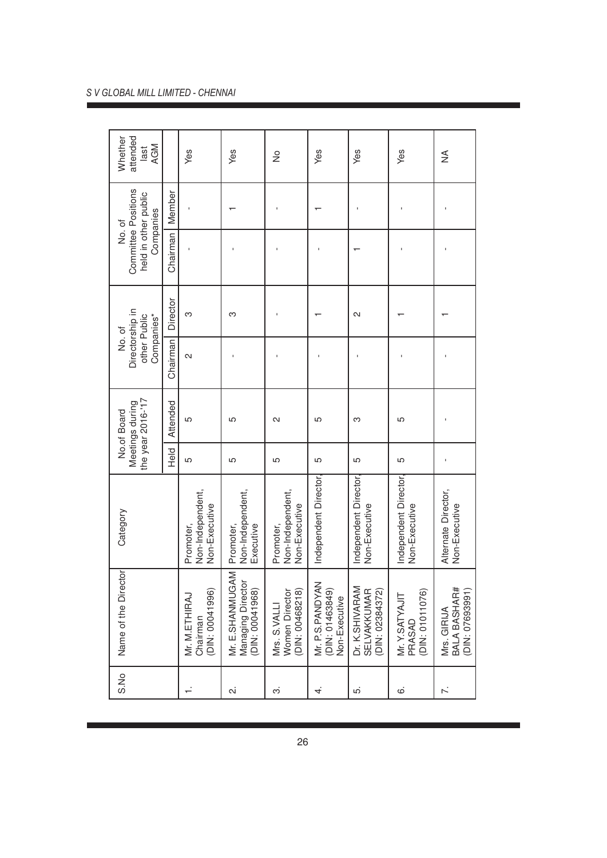| Whether<br>attended<br><b>AGM</b><br>last                          |                   | Yes                                            | Yes                                                                               | $\frac{1}{2}$                                     | Yes                                                  | Yes                                              | Yes                                         | ≸                                              |
|--------------------------------------------------------------------|-------------------|------------------------------------------------|-----------------------------------------------------------------------------------|---------------------------------------------------|------------------------------------------------------|--------------------------------------------------|---------------------------------------------|------------------------------------------------|
|                                                                    |                   |                                                |                                                                                   |                                                   |                                                      |                                                  |                                             |                                                |
|                                                                    |                   |                                                |                                                                                   |                                                   |                                                      |                                                  |                                             |                                                |
| Committee Positions<br>held in other public<br>Companies<br>No. of | Chairman   Member |                                                |                                                                                   |                                                   |                                                      |                                                  |                                             |                                                |
|                                                                    | Director          | ო                                              | ო                                                                                 |                                                   |                                                      | 2                                                |                                             |                                                |
| Directorship in<br>other Public<br>Companies*<br>No. of            | Chairman          | $\mathbf{\Omega}$                              |                                                                                   |                                                   |                                                      |                                                  |                                             |                                                |
| the year 2016-'17<br>Meetings during<br>No.of Board                | Attended          | 5                                              | က                                                                                 | Z                                                 | LO                                                   | က                                                | 5                                           |                                                |
|                                                                    | Held              | 5                                              | 5                                                                                 | 5                                                 | 5                                                    | 5                                                | 5                                           | $\mathbf{I}$                                   |
| Category                                                           |                   | Non-Independent,<br>Non-Executive<br>Promoter, | Non-Independent,<br>Promoter,<br>Executive                                        | Non-Independent,<br>Non-Executive<br>Promoter,    | Independent Director,                                | Independent Director,<br>Non-Executive           | Independent Director,<br>Non-Executive      | Alternate Director,<br>Non-Executive           |
| Name of the Director                                               |                   | (DIN: 00041996)<br>Mr. M.ETHIRAJ<br>Chairman   | $\overline{\mathsf{z}}$<br>Mr. E.SHANMUGA<br>Managing Director<br>(DIN: 00041968) | (DIN: 00468218)<br>Women Director<br>Mrs. S.VALLI | Mr. P.S. PANDYAN<br>(DIN: 01463849)<br>Non-Executive | Dr. K.SHIVARAM<br>(DIN: 02384372)<br>SELVAKKUMAR | (DIN: 01011076)<br>Mr. Y.SATYAJIT<br>PRASAD | BALA BASHAR#<br>(DIN: 07693991)<br>Mrs. GIRIJA |
| S.No                                                               |                   |                                                | ۵i                                                                                | က                                                 | 4                                                    | ς.                                               | ဖ                                           | $\overline{r}$ .                               |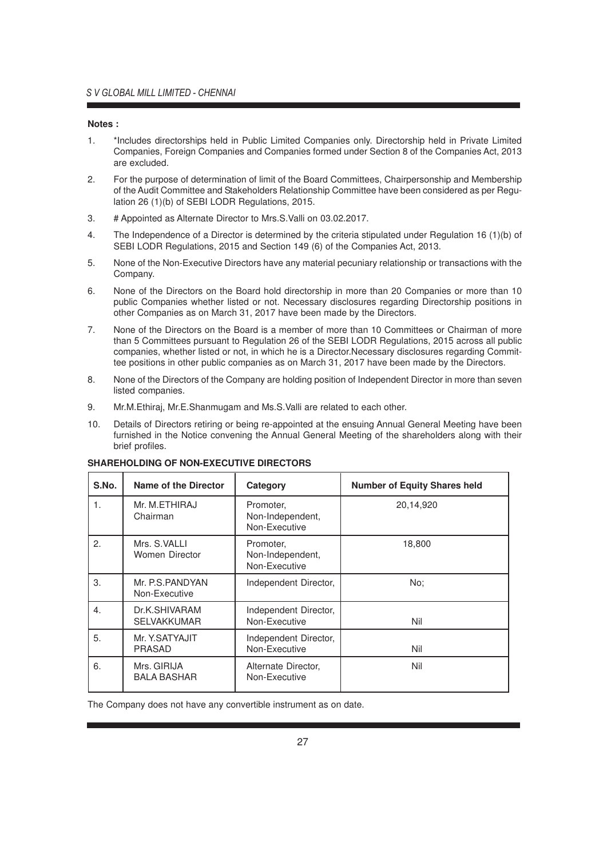#### **Notes :**

- 1. \*Includes directorships held in Public Limited Companies only. Directorship held in Private Limited Companies, Foreign Companies and Companies formed under Section 8 of the Companies Act, 2013 are excluded.
- 2. For the purpose of determination of limit of the Board Committees, Chairpersonship and Membership of the Audit Committee and Stakeholders Relationship Committee have been considered as per Regulation 26 (1)(b) of SEBI LODR Regulations, 2015.
- 3. # Appointed as Alternate Director to Mrs.S.Valli on 03.02.2017.
- 4. The Independence of a Director is determined by the criteria stipulated under Regulation 16 (1)(b) of SEBI LODR Regulations, 2015 and Section 149 (6) of the Companies Act, 2013.
- 5. None of the Non-Executive Directors have any material pecuniary relationship or transactions with the Company.
- 6. None of the Directors on the Board hold directorship in more than 20 Companies or more than 10 public Companies whether listed or not. Necessary disclosures regarding Directorship positions in other Companies as on March 31, 2017 have been made by the Directors.
- 7. None of the Directors on the Board is a member of more than 10 Committees or Chairman of more than 5 Committees pursuant to Regulation 26 of the SEBI LODR Regulations, 2015 across all public companies, whether listed or not, in which he is a Director.Necessary disclosures regarding Committee positions in other public companies as on March 31, 2017 have been made by the Directors.
- 8. None of the Directors of the Company are holding position of Independent Director in more than seven listed companies.
- 9. Mr.M.Ethiraj, Mr.E.Shanmugam and Ms.S.Valli are related to each other.
- 10. Details of Directors retiring or being re-appointed at the ensuing Annual General Meeting have been furnished in the Notice convening the Annual General Meeting of the shareholders along with their brief profiles.

| S.No.          | <b>Name of the Director</b>         | Category                                       | <b>Number of Equity Shares held</b> |
|----------------|-------------------------------------|------------------------------------------------|-------------------------------------|
| $\mathbf{1}$ . | Mr. M.ETHIRAJ<br>Chairman           | Promoter,<br>Non-Independent,<br>Non-Executive | 20,14,920                           |
| 2.             | Mrs. S.VALLI<br>Women Director      | Promoter,<br>Non-Independent,<br>Non-Executive | 18,800                              |
| 3.             | Mr. P.S. PANDYAN<br>Non-Executive   | Independent Director,                          | No:                                 |
| 4.             | Dr.K.SHIVARAM<br><b>SELVAKKUMAR</b> | Independent Director,<br>Non-Executive         | Nil                                 |
| 5.             | Mr. Y.SATYAJIT<br><b>PRASAD</b>     | Independent Director,<br>Non-Executive         | Nil                                 |
| 6.             | Mrs. GIRIJA<br><b>BALA BASHAR</b>   | Alternate Director,<br>Non-Executive           | Nil                                 |

### **SHAREHOLDING OF NON-EXECUTIVE DIRECTORS**

The Company does not have any convertible instrument as on date.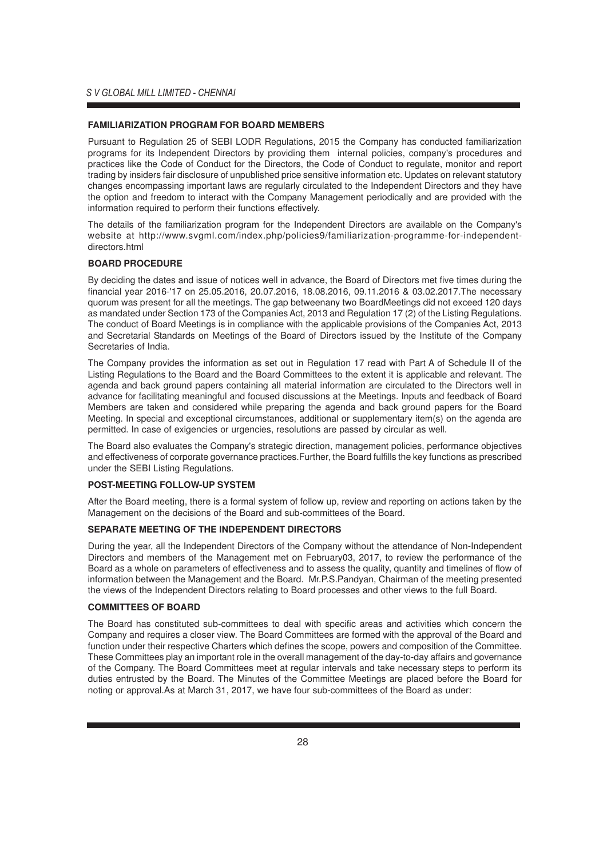## **FAMILIARIZATION PROGRAM FOR BOARD MEMBERS**

Pursuant to Regulation 25 of SEBI LODR Regulations, 2015 the Company has conducted familiarization programs for its Independent Directors by providing them internal policies, company's procedures and practices like the Code of Conduct for the Directors, the Code of Conduct to regulate, monitor and report trading by insiders fair disclosure of unpublished price sensitive information etc. Updates on relevant statutory changes encompassing important laws are regularly circulated to the Independent Directors and they have the option and freedom to interact with the Company Management periodically and are provided with the information required to perform their functions effectively.

The details of the familiarization program for the Independent Directors are available on the Company's website at http://www.svgml.com/index.php/policies9/familiarization-programme-for-independentdirectors.html

### **BOARD PROCEDURE**

By deciding the dates and issue of notices well in advance, the Board of Directors met five times during the financial year 2016-'17 on 25.05.2016, 20.07.2016, 18.08.2016, 09.11.2016 & 03.02.2017.The necessary quorum was present for all the meetings. The gap betweenany two BoardMeetings did not exceed 120 days as mandated under Section 173 of the Companies Act, 2013 and Regulation 17 (2) of the Listing Regulations. The conduct of Board Meetings is in compliance with the applicable provisions of the Companies Act, 2013 and Secretarial Standards on Meetings of the Board of Directors issued by the Institute of the Company Secretaries of India.

The Company provides the information as set out in Regulation 17 read with Part A of Schedule II of the Listing Regulations to the Board and the Board Committees to the extent it is applicable and relevant. The agenda and back ground papers containing all material information are circulated to the Directors well in advance for facilitating meaningful and focused discussions at the Meetings. Inputs and feedback of Board Members are taken and considered while preparing the agenda and back ground papers for the Board Meeting. In special and exceptional circumstances, additional or supplementary item(s) on the agenda are permitted. In case of exigencies or urgencies, resolutions are passed by circular as well.

The Board also evaluates the Company's strategic direction, management policies, performance objectives and effectiveness of corporate governance practices.Further, the Board fulfills the key functions as prescribed under the SEBI Listing Regulations.

## **POST-MEETING FOLLOW-UP SYSTEM**

After the Board meeting, there is a formal system of follow up, review and reporting on actions taken by the Management on the decisions of the Board and sub-committees of the Board.

## **SEPARATE MEETING OF THE INDEPENDENT DIRECTORS**

During the year, all the Independent Directors of the Company without the attendance of Non-Independent Directors and members of the Management met on February03, 2017, to review the performance of the Board as a whole on parameters of effectiveness and to assess the quality, quantity and timelines of flow of information between the Management and the Board. Mr.P.S.Pandyan, Chairman of the meeting presented the views of the Independent Directors relating to Board processes and other views to the full Board.

## **COMMITTEES OF BOARD**

The Board has constituted sub-committees to deal with specific areas and activities which concern the Company and requires a closer view. The Board Committees are formed with the approval of the Board and function under their respective Charters which defines the scope, powers and composition of the Committee. These Committees play an important role in the overall management of the day-to-day affairs and governance of the Company. The Board Committees meet at regular intervals and take necessary steps to perform its duties entrusted by the Board. The Minutes of the Committee Meetings are placed before the Board for noting or approval.As at March 31, 2017, we have four sub-committees of the Board as under: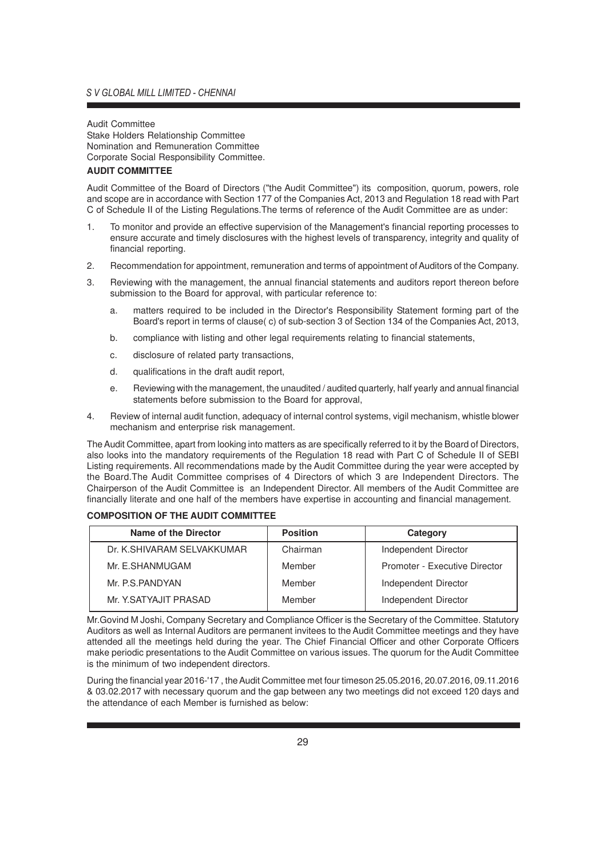Audit Committee Stake Holders Relationship Committee Nomination and Remuneration Committee Corporate Social Responsibility Committee.

## **AUDIT COMMITTEE**

Audit Committee of the Board of Directors ("the Audit Committee") its composition, quorum, powers, role and scope are in accordance with Section 177 of the Companies Act, 2013 and Regulation 18 read with Part C of Schedule II of the Listing Regulations.The terms of reference of the Audit Committee are as under:

- 1. To monitor and provide an effective supervision of the Management's financial reporting processes to ensure accurate and timely disclosures with the highest levels of transparency, integrity and quality of financial reporting.
- 2. Recommendation for appointment, remuneration and terms of appointment of Auditors of the Company.
- 3. Reviewing with the management, the annual financial statements and auditors report thereon before submission to the Board for approval, with particular reference to:
	- a. matters required to be included in the Director's Responsibility Statement forming part of the Board's report in terms of clause( c) of sub-section 3 of Section 134 of the Companies Act, 2013,
	- b. compliance with listing and other legal requirements relating to financial statements,
	- c. disclosure of related party transactions,
	- d. qualifications in the draft audit report,
	- e. Reviewing with the management, the unaudited / audited quarterly, half yearly and annual financial statements before submission to the Board for approval,
- 4. Review of internal audit function, adequacy of internal control systems, vigil mechanism, whistle blower mechanism and enterprise risk management.

The Audit Committee, apart from looking into matters as are specifically referred to it by the Board of Directors, also looks into the mandatory requirements of the Regulation 18 read with Part C of Schedule II of SEBI Listing requirements. All recommendations made by the Audit Committee during the year were accepted by the Board.The Audit Committee comprises of 4 Directors of which 3 are Independent Directors. The Chairperson of the Audit Committee is an Independent Director. All members of the Audit Committee are financially literate and one half of the members have expertise in accounting and financial management.

## **COMPOSITION OF THE AUDIT COMMITTEE**

| Name of the Director       | <b>Position</b> | Category                      |
|----------------------------|-----------------|-------------------------------|
| Dr. K.SHIVARAM SELVAKKUMAR | Chairman        | Independent Director          |
| Mr. E.SHANMUGAM            | Member          | Promoter - Executive Director |
| Mr. P.S. PANDYAN           | Member          | Independent Director          |
| Mr. Y.SATYAJIT PRASAD      | Member          | Independent Director          |

Mr.Govind M Joshi, Company Secretary and Compliance Officer is the Secretary of the Committee. Statutory Auditors as well as Internal Auditors are permanent invitees to the Audit Committee meetings and they have attended all the meetings held during the year. The Chief Financial Officer and other Corporate Officers make periodic presentations to the Audit Committee on various issues. The quorum for the Audit Committee is the minimum of two independent directors.

During the financial year 2016-'17 , the Audit Committee met four timeson 25.05.2016, 20.07.2016, 09.11.2016 & 03.02.2017 with necessary quorum and the gap between any two meetings did not exceed 120 days and the attendance of each Member is furnished as below: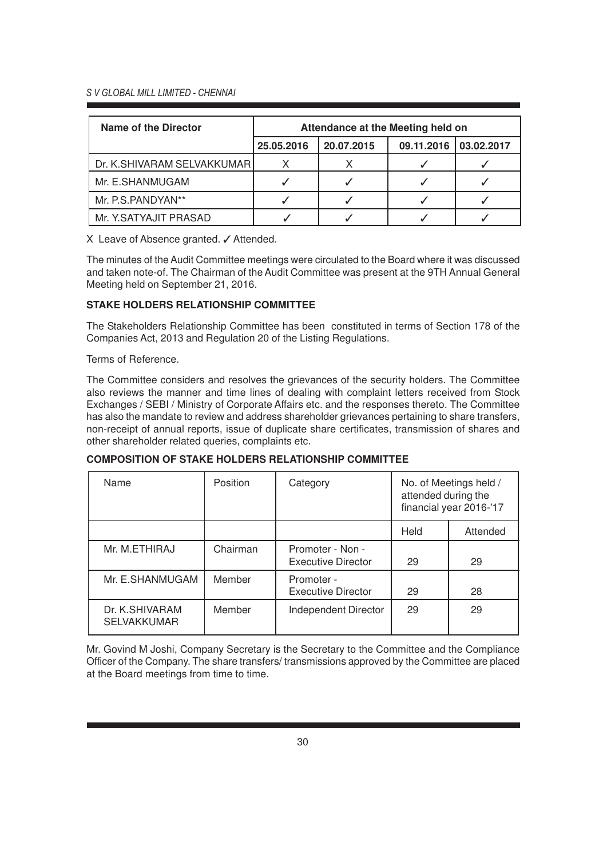| <b>Name of the Director</b> | Attendance at the Meeting held on |            |                       |  |
|-----------------------------|-----------------------------------|------------|-----------------------|--|
|                             | 25.05.2016                        | 20.07.2015 | 09.11.2016 03.02.2017 |  |
| Dr. K.SHIVARAM SELVAKKUMAR  |                                   |            |                       |  |
| Mr. E.SHANMUGAM             |                                   |            |                       |  |
| Mr. P.S. PANDYAN**          |                                   |            |                       |  |
| Mr. Y.SATYAJIT PRASAD       |                                   |            |                       |  |

 $X$  Leave of Absence granted.  $\checkmark$  Attended.

The minutes of the Audit Committee meetings were circulated to the Board where it was discussed and taken note-of. The Chairman of the Audit Committee was present at the 9TH Annual General Meeting held on September 21, 2016.

# **STAKE HOLDERS RELATIONSHIP COMMITTEE**

The Stakeholders Relationship Committee has been constituted in terms of Section 178 of the Companies Act, 2013 and Regulation 20 of the Listing Regulations.

Terms of Reference.

The Committee considers and resolves the grievances of the security holders. The Committee also reviews the manner and time lines of dealing with complaint letters received from Stock Exchanges / SEBI / Ministry of Corporate Affairs etc. and the responses thereto. The Committee has also the mandate to review and address shareholder grievances pertaining to share transfers, non-receipt of annual reports, issue of duplicate share certificates, transmission of shares and other shareholder related queries, complaints etc.

|  |  | <b>COMPOSITION OF STAKE HOLDERS RELATIONSHIP COMMITTEE</b> |  |  |
|--|--|------------------------------------------------------------|--|--|
|--|--|------------------------------------------------------------|--|--|

| Name                                 | Position | Category                                      | attended during the | No. of Meetings held /<br>financial year 2016-'17 |
|--------------------------------------|----------|-----------------------------------------------|---------------------|---------------------------------------------------|
|                                      |          |                                               | Held                | Attended                                          |
| Mr. M.ETHIRAJ                        | Chairman | Promoter - Non -<br><b>Executive Director</b> | 29                  | 29                                                |
| Mr. E.SHANMUGAM                      | Member   | Promoter -<br><b>Executive Director</b>       | 29                  | 28                                                |
| Dr. K.SHIVARAM<br><b>SELVAKKUMAR</b> | Member   | Independent Director                          | 29                  | 29                                                |

Mr. Govind M Joshi, Company Secretary is the Secretary to the Committee and the Compliance Officer of the Company. The share transfers/ transmissions approved by the Committee are placed at the Board meetings from time to time.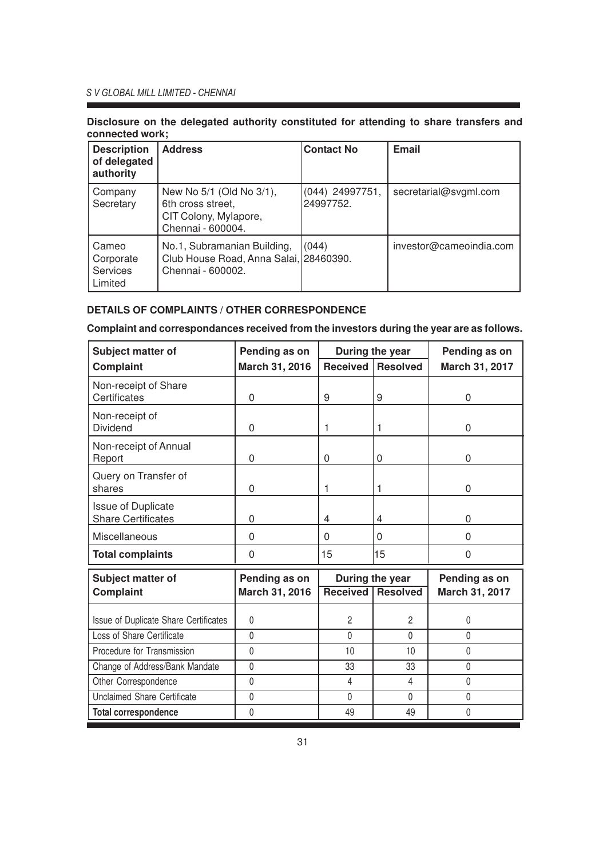# **Disclosure on the delegated authority constituted for attending to share transfers and connected work;**

| <b>Description</b><br>of delegated<br>authority  | <b>Address</b>                                                                              | <b>Contact No</b>              | <b>Email</b>            |
|--------------------------------------------------|---------------------------------------------------------------------------------------------|--------------------------------|-------------------------|
| Company<br>Secretary                             | New No 5/1 (Old No 3/1),<br>6th cross street,<br>CIT Colony, Mylapore,<br>Chennai - 600004. | $(044)$ 24997751,<br>24997752. | secretarial@svgml.com   |
| Cameo<br>Corporate<br><b>Services</b><br>Limited | No.1, Subramanian Building,<br>Club House Road, Anna Salai, 28460390.<br>Chennai - 600002.  | (044)                          | investor@cameoindia.com |

# **DETAILS OF COMPLAINTS / OTHER CORRESPONDENCE**

**Complaint and correspondances received from the investors during the year are as follows.**

| Subject matter of                                      | Pending as on                   | During the year |                                    | Pending as on                   |
|--------------------------------------------------------|---------------------------------|-----------------|------------------------------------|---------------------------------|
| <b>Complaint</b>                                       | March 31, 2016                  | <b>Received</b> | <b>Resolved</b>                    | March 31, 2017                  |
| Non-receipt of Share<br>Certificates                   | 0                               | 9               | 9                                  | $\Omega$                        |
| Non-receipt of<br><b>Dividend</b>                      | 0                               | 1               | 1                                  | 0                               |
| Non-receipt of Annual<br>Report                        | 0                               | 0               | 0                                  | $\Omega$                        |
| Query on Transfer of<br>shares                         | 0                               | 1               | 1                                  | $\Omega$                        |
| <b>Issue of Duplicate</b><br><b>Share Certificates</b> | 0                               | 4               | 4                                  | 0                               |
| Miscellaneous                                          | 0                               | 0               | 0                                  | 0                               |
| <b>Total complaints</b>                                | 0                               | 15              | 15                                 | 0                               |
| Subject matter of<br><b>Complaint</b>                  | Pending as on<br>March 31, 2016 | <b>Received</b> | During the year<br><b>Resolved</b> | Pending as on<br>March 31, 2017 |
| Issue of Duplicate Share Certificates                  | 0                               | $\overline{2}$  | $\overline{2}$                     | $\mathbf 0$                     |
| Loss of Share Certificate                              | 0                               | 0               | $\Omega$                           | $\mathbf 0$                     |
| Procedure for Transmission                             | 0                               | 10              | 10                                 | $\mathbf{0}$                    |
| Change of Address/Bank Mandate                         | 0                               | 33              | 33                                 | $\mathbf 0$                     |
| Other Correspondence                                   | 0                               | $\overline{4}$  | 4                                  | $\mathbf 0$                     |
| Unclaimed Share Certificate                            | $\mathbf 0$                     | $\Omega$        | $\Omega$                           | $\mathbf 0$                     |
| <b>Total correspondence</b>                            | 0                               | 49              | 49                                 | $\mathbf 0$                     |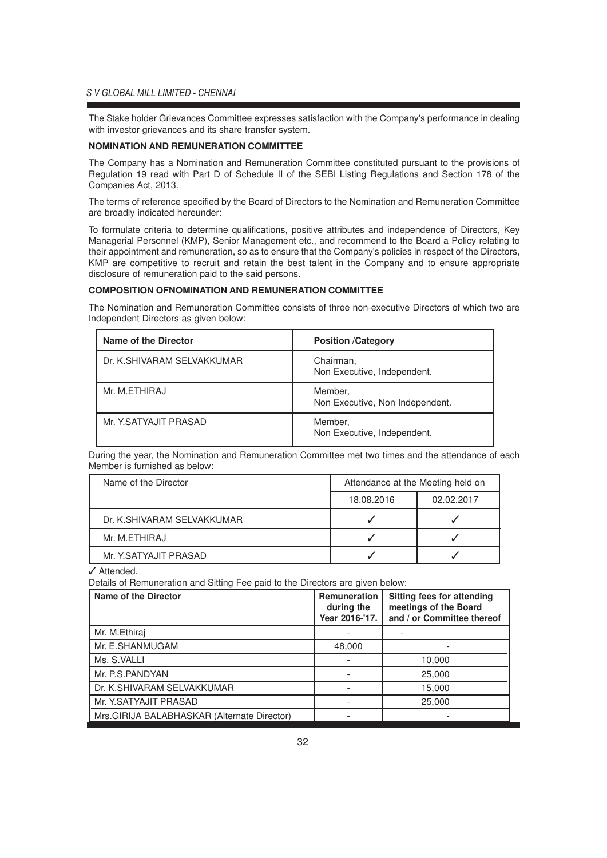The Stake holder Grievances Committee expresses satisfaction with the Company's performance in dealing with investor grievances and its share transfer system.

#### **NOMINATION AND REMUNERATION COMMITTEE**

The Company has a Nomination and Remuneration Committee constituted pursuant to the provisions of Regulation 19 read with Part D of Schedule II of the SEBI Listing Regulations and Section 178 of the Companies Act, 2013.

The terms of reference specified by the Board of Directors to the Nomination and Remuneration Committee are broadly indicated hereunder:

To formulate criteria to determine qualifications, positive attributes and independence of Directors, Key Managerial Personnel (KMP), Senior Management etc., and recommend to the Board a Policy relating to their appointment and remuneration, so as to ensure that the Company's policies in respect of the Directors, KMP are competitive to recruit and retain the best talent in the Company and to ensure appropriate disclosure of remuneration paid to the said persons.

### **COMPOSITION OFNOMINATION AND REMUNERATION COMMITTEE**

The Nomination and Remuneration Committee consists of three non-executive Directors of which two are Independent Directors as given below:

| Name of the Director       | <b>Position /Category</b>                  |
|----------------------------|--------------------------------------------|
| Dr. K.SHIVARAM SELVAKKUMAR | Chairman,<br>Non Executive, Independent.   |
| Mr. M.ETHIRAJ              | Member,<br>Non Executive, Non Independent. |
| Mr. Y.SATYAJIT PRASAD      | Member,<br>Non Executive, Independent.     |

During the year, the Nomination and Remuneration Committee met two times and the attendance of each Member is furnished as below:

| Name of the Director       | Attendance at the Meeting held on |            |
|----------------------------|-----------------------------------|------------|
|                            | 18.08.2016                        | 02.02.2017 |
| Dr. K.SHIVARAM SELVAKKUMAR |                                   |            |
| Mr. M.ETHIRAJ              |                                   |            |
| Mr. Y.SATYAJIT PRASAD      |                                   |            |

 $\checkmark$  Attended.

Details of Remuneration and Sitting Fee paid to the Directors are given below:

| Name of the Director                        | <b>Remuneration</b><br>during the<br>Year 2016-'17. | Sitting fees for attending<br>meetings of the Board<br>and / or Committee thereof |
|---------------------------------------------|-----------------------------------------------------|-----------------------------------------------------------------------------------|
| Mr. M.Ethiraj                               |                                                     |                                                                                   |
| Mr. E.SHANMUGAM                             | 48,000                                              |                                                                                   |
| Ms. S.VALLI                                 |                                                     | 10,000                                                                            |
| Mr. P.S.PANDYAN                             |                                                     | 25,000                                                                            |
| Dr. K.SHIVARAM SELVAKKUMAR                  |                                                     | 15,000                                                                            |
| Mr. Y.SATYAJIT PRASAD                       |                                                     | 25,000                                                                            |
| Mrs.GIRIJA BALABHASKAR (Alternate Director) |                                                     |                                                                                   |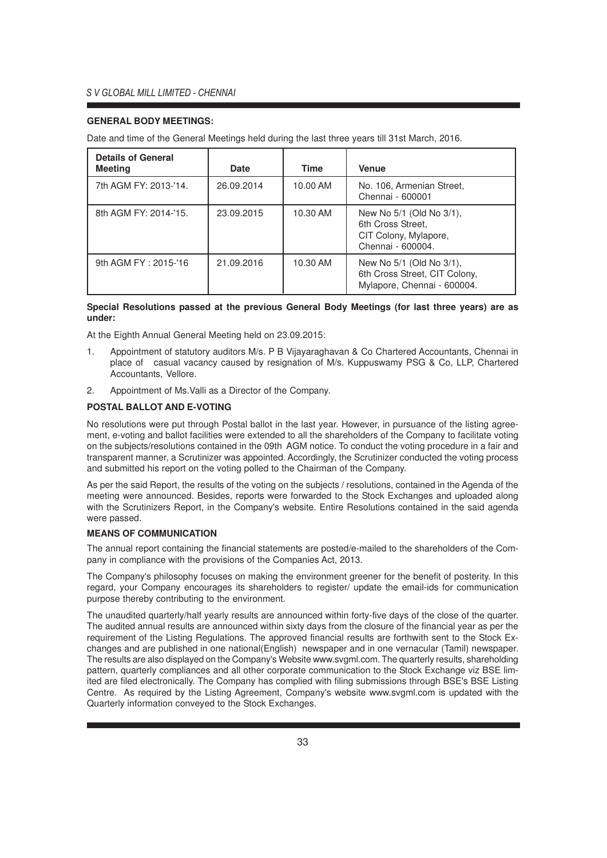## **GENERAL BODY MEETINGS:**

Date and time of the General Meetings held during the last three years till 31st March, 2016.

| <b>Details of General</b><br><b>Meeting</b> | Date       | Time     | <b>Venue</b>                                                                                |
|---------------------------------------------|------------|----------|---------------------------------------------------------------------------------------------|
| 7th AGM FY: 2013-'14.                       | 26.09.2014 | 10.00 AM | No. 106, Armenian Street,<br>Chennai - 600001                                               |
| 8th AGM FY: 2014-'15.                       | 23.09.2015 | 10.30 AM | New No 5/1 (Old No 3/1),<br>6th Cross Street,<br>CIT Colony, Mylapore,<br>Chennai - 600004. |
| 9th AGM FY: 2015-'16                        | 21.09.2016 | 10.30 AM | New No 5/1 (Old No 3/1),<br>6th Cross Street, CIT Colony,<br>Mylapore, Chennai - 600004.    |

## **Special Resolutions passed at the previous General Body Meetings (for last three years) are as under:**

At the Eighth Annual General Meeting held on 23.09.2015:

- 1. Appointment of statutory auditors M/s. P B Vijayaraghavan & Co Chartered Accountants, Chennai in place of casual vacancy caused by resignation of M/s. Kuppuswamy PSG & Co, LLP, Chartered Accountants, Vellore.
- 2. Appointment of Ms.Valli as a Director of the Company.

# **POSTAL BALLOT AND E-VOTING**

No resolutions were put through Postal ballot in the last year. However, in pursuance of the listing agreement, e-voting and ballot facilities were extended to all the shareholders of the Company to facilitate voting on the subjects/resolutions contained in the 09th AGM notice. To conduct the voting procedure in a fair and transparent manner, a Scrutinizer was appointed. Accordingly, the Scrutinizer conducted the voting process and submitted his report on the voting polled to the Chairman of the Company.

As per the said Report, the results of the voting on the subjects / resolutions, contained in the Agenda of the meeting were announced. Besides, reports were forwarded to the Stock Exchanges and uploaded along with the Scrutinizers Report, in the Company's website. Entire Resolutions contained in the said agenda were passed.

#### **MEANS OF COMMUNICATION**

The annual report containing the financial statements are posted/e-mailed to the shareholders of the Company in compliance with the provisions of the Companies Act, 2013.

The Company's philosophy focuses on making the environment greener for the benefit of posterity. In this regard, your Company encourages its shareholders to register/ update the email-ids for communication purpose thereby contributing to the environment.

The unaudited quarterly/half yearly results are announced within forty-five days of the close of the quarter. The audited annual results are announced within sixty days from the closure of the financial year as per the requirement of the Listing Regulations. The approved financial results are forthwith sent to the Stock Exchanges and are published in one national(English) newspaper and in one vernacular (Tamil) newspaper. The results are also displayed on the Company's Website www.svgml.com. The quarterly results, shareholding pattern, quarterly compliances and all other corporate communication to the Stock Exchange viz BSE limited are filed electronically. The Company has complied with filing submissions through BSE's BSE Listing Centre. As required by the Listing Agreement, Company's website www.svgml.com is updated with the Quarterly information conveyed to the Stock Exchanges.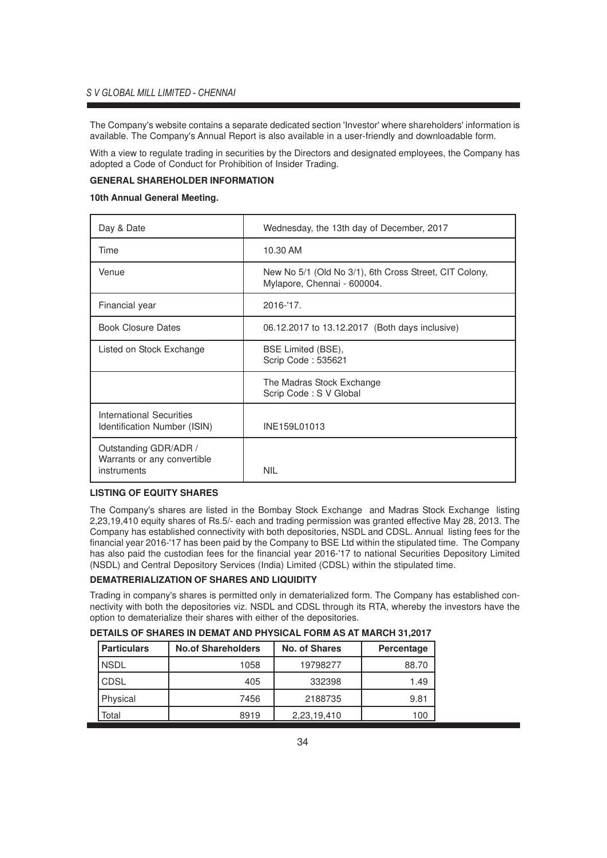The Company's website contains a separate dedicated section 'Investor' where shareholders' information is available. The Company's Annual Report is also available in a user-friendly and downloadable form.

With a view to regulate trading in securities by the Directors and designated employees, the Company has adopted a Code of Conduct for Prohibition of Insider Trading.

#### **GENERAL SHAREHOLDER INFORMATION**

## **10th Annual General Meeting.**

| Day & Date                                                          | Wednesday, the 13th day of December, 2017                                             |
|---------------------------------------------------------------------|---------------------------------------------------------------------------------------|
| Time                                                                | 10.30 AM                                                                              |
| Venue                                                               | New No 5/1 (Old No 3/1), 6th Cross Street, CIT Colony,<br>Mylapore, Chennai - 600004. |
| Financial year                                                      | 2016-'17.                                                                             |
| <b>Book Closure Dates</b>                                           | 06.12.2017 to 13.12.2017 (Both days inclusive)                                        |
| Listed on Stock Exchange                                            | BSE Limited (BSE),<br>Scrip Code: 535621                                              |
|                                                                     | The Madras Stock Exchange<br>Scrip Code: S V Global                                   |
| International Securities<br>Identification Number (ISIN)            | INE159L01013                                                                          |
| Outstanding GDR/ADR /<br>Warrants or any convertible<br>instruments | <b>NIL</b>                                                                            |

## **LISTING OF EQUITY SHARES**

The Company's shares are listed in the Bombay Stock Exchange and Madras Stock Exchange listing 2,23,19,410 equity shares of Rs.5/- each and trading permission was granted effective May 28, 2013. The Company has established connectivity with both depositories, NSDL and CDSL. Annual listing fees for the financial year 2016-'17 has been paid by the Company to BSE Ltd within the stipulated time. The Company has also paid the custodian fees for the financial year 2016-'17 to national Securities Depository Limited (NSDL) and Central Depository Services (India) Limited (CDSL) within the stipulated time.

## **DEMATRERIALIZATION OF SHARES AND LIQUIDITY**

Trading in company's shares is permitted only in dematerialized form. The Company has established connectivity with both the depositories viz. NSDL and CDSL through its RTA, whereby the investors have the option to dematerialize their shares with either of the depositories.

## **DETAILS OF SHARES IN DEMAT AND PHYSICAL FORM AS AT MARCH 31,2017**

| <b>Particulars</b> | <b>No.of Shareholders</b> | <b>No. of Shares</b> | Percentage |
|--------------------|---------------------------|----------------------|------------|
| <b>NSDL</b>        | 1058                      | 19798277             | 88.70      |
| <b>CDSL</b>        | 405                       | 332398               | 1.49       |
| Physical           | 7456                      | 2188735              | 9.81       |
| Total              | 8919                      | 2,23,19,410          | 100        |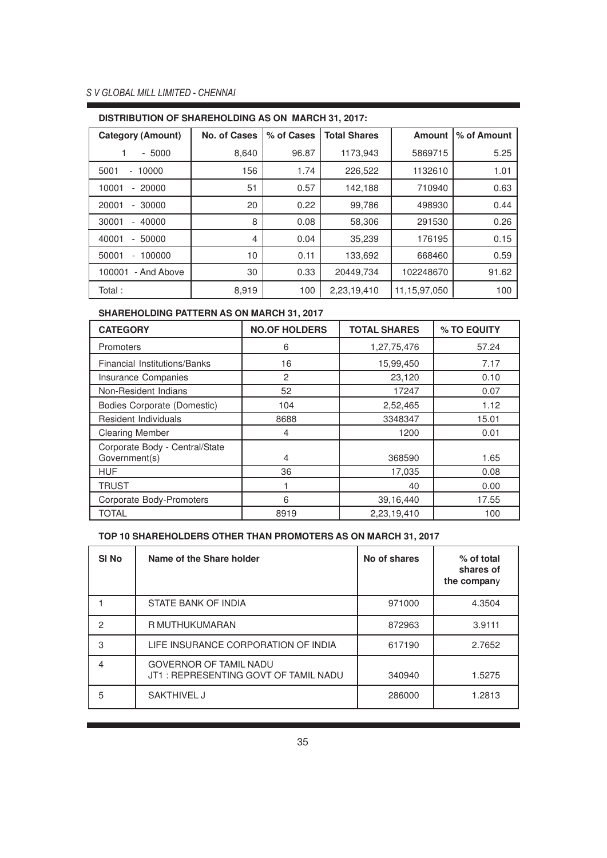# **DISTRIBUTION OF SHAREHOLDING AS ON MARCH 31, 2017:**

| <b>Category (Amount)</b>                    | No. of Cases   | % of Cases | <b>Total Shares</b> | <b>Amount</b> | % of Amount |
|---------------------------------------------|----------------|------------|---------------------|---------------|-------------|
| $-5000$                                     | 8,640          | 96.87      | 1173,943            | 5869715       | 5.25        |
| 10000<br>5001<br>$\overline{\phantom{a}}$   | 156            | 1.74       | 226,522             | 1132610       | 1.01        |
| 10001<br>$-20000$                           | 51             | 0.57       | 142,188             | 710940        | 0.63        |
| 20001<br>$-30000$                           | 20             | 0.22       | 99,786              | 498930        | 0.44        |
| 40000<br>30001<br>$\overline{a}$            | 8              | 0.08       | 58,306              | 291530        | 0.26        |
| 40001<br>50000<br>$\overline{\phantom{0}}$  | $\overline{4}$ | 0.04       | 35,239              | 176195        | 0.15        |
| 50001<br>100000<br>$\overline{\phantom{0}}$ | 10             | 0.11       | 133,692             | 668460        | 0.59        |
| - And Above<br>100001                       | 30             | 0.33       | 20449.734           | 102248670     | 91.62       |
| Total:                                      | 8,919          | 100        | 2,23,19,410         | 11,15,97,050  | 100         |

# **SHAREHOLDING PATTERN AS ON MARCH 31, 2017**

| <b>CATEGORY</b>                                 | <b>NO.OF HOLDERS</b> | <b>TOTAL SHARES</b> | % TO EQUITY |
|-------------------------------------------------|----------------------|---------------------|-------------|
| <b>Promoters</b>                                | 6                    | 1,27,75,476         | 57.24       |
| Financial Institutions/Banks                    | 16                   | 15,99,450           | 7.17        |
| Insurance Companies                             | 2                    | 23,120              | 0.10        |
| Non-Resident Indians                            | 52                   | 17247               | 0.07        |
| Bodies Corporate (Domestic)                     | 104                  | 2,52,465            | 1.12        |
| Resident Individuals                            | 8688                 | 3348347             | 15.01       |
| <b>Clearing Member</b>                          | $\overline{4}$       | 1200                | 0.01        |
| Corporate Body - Central/State<br>Government(s) | 4                    | 368590              | 1.65        |
| <b>HUF</b>                                      | 36                   | 17,035              | 0.08        |
| <b>TRUST</b>                                    | 1                    | 40                  | 0.00        |
| Corporate Body-Promoters                        | 6                    | 39,16,440           | 17.55       |
| <b>TOTAL</b>                                    | 8919                 | 2,23,19,410         | 100         |

# **TOP 10 SHAREHOLDERS OTHER THAN PROMOTERS AS ON MARCH 31, 2017**

| SI <sub>No</sub> | Name of the Share holder                                              | No of shares | % of total<br>shares of<br>the company |
|------------------|-----------------------------------------------------------------------|--------------|----------------------------------------|
|                  | STATE BANK OF INDIA                                                   | 971000       | 4.3504                                 |
| $\mathcal{P}$    | R MUTHUKUMARAN                                                        | 872963       | 3.9111                                 |
| 3                | LIFE INSURANCE CORPORATION OF INDIA                                   | 617190       | 2.7652                                 |
| 4                | <b>GOVERNOR OF TAMIL NADU</b><br>JT1: REPRESENTING GOVT OF TAMIL NADU | 340940       | 1.5275                                 |
| 5                | SAKTHIVEL J                                                           | 286000       | 1.2813                                 |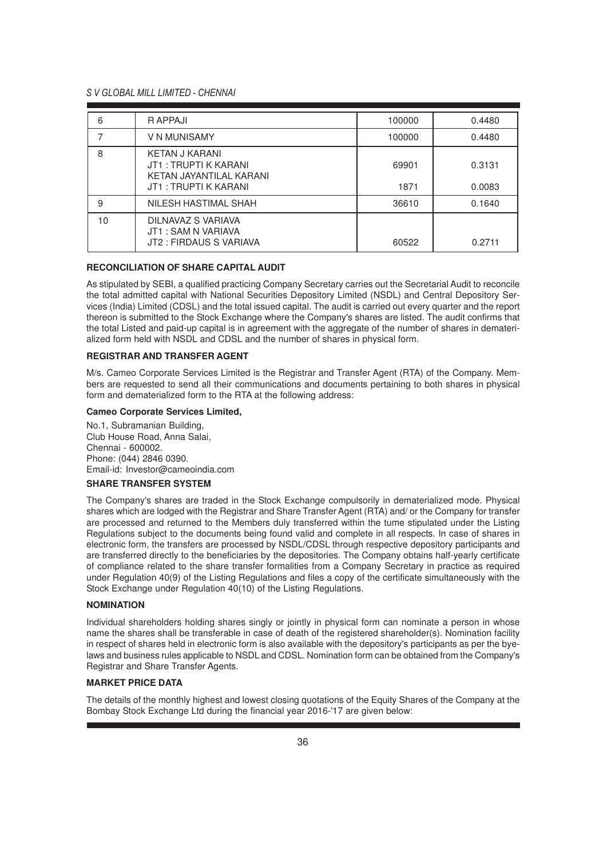| 6  | R APPAJI                                                                                           | 100000        | 0.4480           |
|----|----------------------------------------------------------------------------------------------------|---------------|------------------|
|    | V N MUNISAMY                                                                                       | 100000        | 0.4480           |
| 8  | <b>KETAN J KARANI</b><br>JT1 : TRUPTI K KARANI<br>KETAN JAYANTILAL KARANI<br>JT1 : TRUPTI K KARANI | 69901<br>1871 | 0.3131<br>0.0083 |
| 9  | NILESH HASTIMAL SHAH                                                                               | 36610         | 0.1640           |
| 10 | DILNAVAZ S VARIAVA<br>JT1: SAM N VARIAVA<br>JT2 : FIRDAUS S VARIAVA                                | 60522         | 0.2711           |

## **RECONCILIATION OF SHARE CAPITAL AUDIT**

As stipulated by SEBI, a qualified practicing Company Secretary carries out the Secretarial Audit to reconcile the total admitted capital with National Securities Depository Limited (NSDL) and Central Depository Services (India) Limited (CDSL) and the total issued capital. The audit is carried out every quarter and the report thereon is submitted to the Stock Exchange where the Company's shares are listed. The audit confirms that the total Listed and paid-up capital is in agreement with the aggregate of the number of shares in dematerialized form held with NSDL and CDSL and the number of shares in physical form.

## **REGISTRAR AND TRANSFER AGENT**

M/s. Cameo Corporate Services Limited is the Registrar and Transfer Agent (RTA) of the Company. Members are requested to send all their communications and documents pertaining to both shares in physical form and dematerialized form to the RTA at the following address:

#### **Cameo Corporate Services Limited,**

No.1, Subramanian Building, Club House Road, Anna Salai, Chennai - 600002. Phone: (044) 2846 0390. Email-id: Investor@cameoindia.com

#### **SHARE TRANSFER SYSTEM**

The Company's shares are traded in the Stock Exchange compulsorily in dematerialized mode. Physical shares which are lodged with the Registrar and Share Transfer Agent (RTA) and/ or the Company for transfer are processed and returned to the Members duly transferred within the tume stipulated under the Listing Regulations subject to the documents being found valid and complete in all respects. In case of shares in electronic form, the transfers are processed by NSDL/CDSL through respective depository participants and are transferred directly to the beneficiaries by the depositories. The Company obtains half-yearly certificate of compliance related to the share transfer formalities from a Company Secretary in practice as required under Regulation 40(9) of the Listing Regulations and files a copy of the certificate simultaneously with the Stock Exchange under Regulation 40(10) of the Listing Regulations.

#### **NOMINATION**

Individual shareholders holding shares singly or jointly in physical form can nominate a person in whose name the shares shall be transferable in case of death of the registered shareholder(s). Nomination facility in respect of shares held in electronic form is also available with the depository's participants as per the byelaws and business rules applicable to NSDL and CDSL. Nomination form can be obtained from the Company's Registrar and Share Transfer Agents.

### **MARKET PRICE DATA**

The details of the monthly highest and lowest closing quotations of the Equity Shares of the Company at the Bombay Stock Exchange Ltd during the financial year 2016-'17 are given below: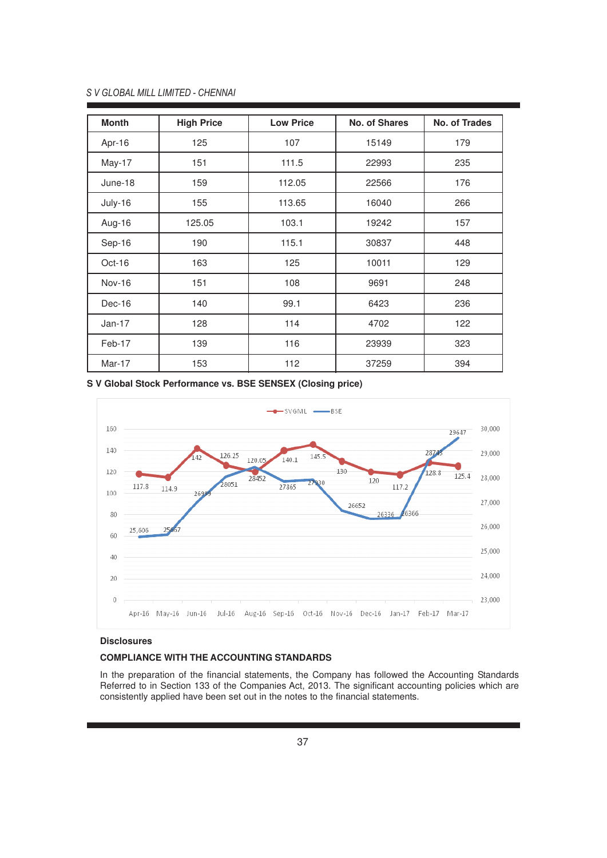|  |  |  |  | S V GLOBAL MILL LIMITED - CHENNAI |  |
|--|--|--|--|-----------------------------------|--|
|--|--|--|--|-----------------------------------|--|

| <b>Month</b> | <b>High Price</b> | <b>Low Price</b> | <b>No. of Shares</b> | No. of Trades |
|--------------|-------------------|------------------|----------------------|---------------|
| Apr-16       | 125               | 107              | 15149                | 179           |
| May-17       | 151               | 111.5            | 22993                | 235           |
| June-18      | 159               | 112.05           | 22566                | 176           |
| July-16      | 155               | 113.65           | 16040                | 266           |
| Aug-16       | 125.05            | 103.1            | 19242                | 157           |
| Sep-16       | 190               | 115.1            | 30837                | 448           |
| Oct-16       | 163               | 125              | 10011                | 129           |
| Nov-16       | 151               | 108              | 9691                 | 248           |
| Dec-16       | 140               | 99.1             | 6423                 | 236           |
| $Jan-17$     | 128               | 114              | 4702                 | 122           |
| Feb-17       | 139               | 116              | 23939                | 323           |
| $Mar-17$     | 153               | 112              | 37259                | 394           |

**S V Global Stock Performance vs. BSE SENSEX (Closing price)**



# **Disclosures**

## **COMPLIANCE WITH THE ACCOUNTING STANDARDS**

In the preparation of the financial statements, the Company has followed the Accounting Standards Referred to in Section 133 of the Companies Act, 2013. The significant accounting policies which are consistently applied have been set out in the notes to the financial statements.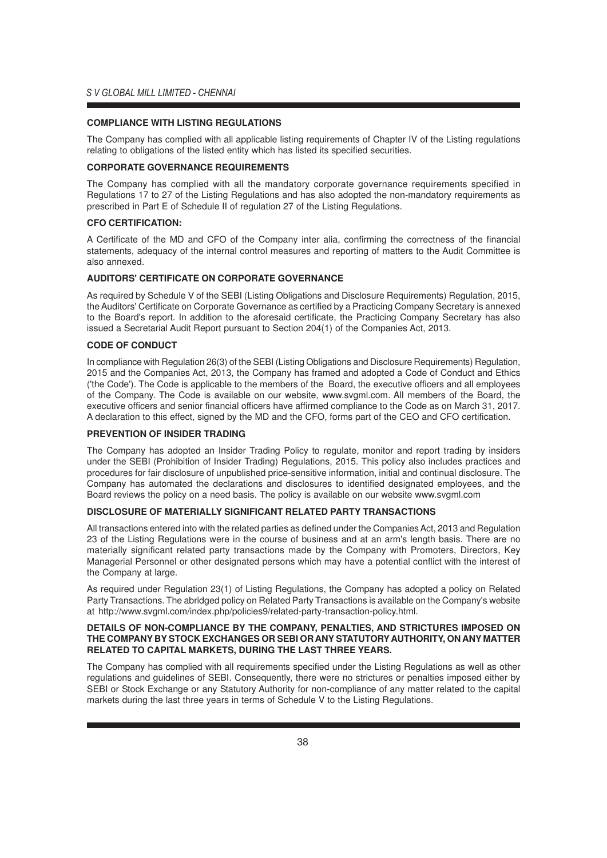#### **COMPLIANCE WITH LISTING REGULATIONS**

The Company has complied with all applicable listing requirements of Chapter IV of the Listing regulations relating to obligations of the listed entity which has listed its specified securities.

### **CORPORATE GOVERNANCE REQUIREMENTS**

The Company has complied with all the mandatory corporate governance requirements specified in Regulations 17 to 27 of the Listing Regulations and has also adopted the non-mandatory requirements as prescribed in Part E of Schedule II of regulation 27 of the Listing Regulations.

#### **CFO CERTIFICATION:**

A Certificate of the MD and CFO of the Company inter alia, confirming the correctness of the financial statements, adequacy of the internal control measures and reporting of matters to the Audit Committee is also annexed.

#### **AUDITORS' CERTIFICATE ON CORPORATE GOVERNANCE**

As required by Schedule V of the SEBI (Listing Obligations and Disclosure Requirements) Regulation, 2015, the Auditors' Certificate on Corporate Governance as certified by a Practicing Company Secretary is annexed to the Board's report. In addition to the aforesaid certificate, the Practicing Company Secretary has also issued a Secretarial Audit Report pursuant to Section 204(1) of the Companies Act, 2013.

#### **CODE OF CONDUCT**

In compliance with Regulation 26(3) of the SEBI (Listing Obligations and Disclosure Requirements) Regulation, 2015 and the Companies Act, 2013, the Company has framed and adopted a Code of Conduct and Ethics ('the Code'). The Code is applicable to the members of the Board, the executive officers and all employees of the Company. The Code is available on our website, www.svgml.com. All members of the Board, the executive officers and senior financial officers have affirmed compliance to the Code as on March 31, 2017. A declaration to this effect, signed by the MD and the CFO, forms part of the CEO and CFO certification.

#### **PREVENTION OF INSIDER TRADING**

The Company has adopted an Insider Trading Policy to regulate, monitor and report trading by insiders under the SEBI (Prohibition of Insider Trading) Regulations, 2015. This policy also includes practices and procedures for fair disclosure of unpublished price-sensitive information, initial and continual disclosure. The Company has automated the declarations and disclosures to identified designated employees, and the Board reviews the policy on a need basis. The policy is available on our website www.svgml.com

#### **DISCLOSURE OF MATERIALLY SIGNIFICANT RELATED PARTY TRANSACTIONS**

All transactions entered into with the related parties as defined under the Companies Act, 2013 and Regulation 23 of the Listing Regulations were in the course of business and at an arm's length basis. There are no materially significant related party transactions made by the Company with Promoters, Directors, Key Managerial Personnel or other designated persons which may have a potential conflict with the interest of the Company at large.

As required under Regulation 23(1) of Listing Regulations, the Company has adopted a policy on Related Party Transactions. The abridged policy on Related Party Transactions is available on the Company's website at http://www.svgml.com/index.php/policies9/related-party-transaction-policy.html.

#### **DETAILS OF NON-COMPLIANCE BY THE COMPANY, PENALTIES, AND STRICTURES IMPOSED ON THE COMPANY BY STOCK EXCHANGES OR SEBI OR ANY STATUTORY AUTHORITY, ON ANY MATTER RELATED TO CAPITAL MARKETS, DURING THE LAST THREE YEARS.**

The Company has complied with all requirements specified under the Listing Regulations as well as other regulations and guidelines of SEBI. Consequently, there were no strictures or penalties imposed either by SEBI or Stock Exchange or any Statutory Authority for non-compliance of any matter related to the capital markets during the last three years in terms of Schedule V to the Listing Regulations.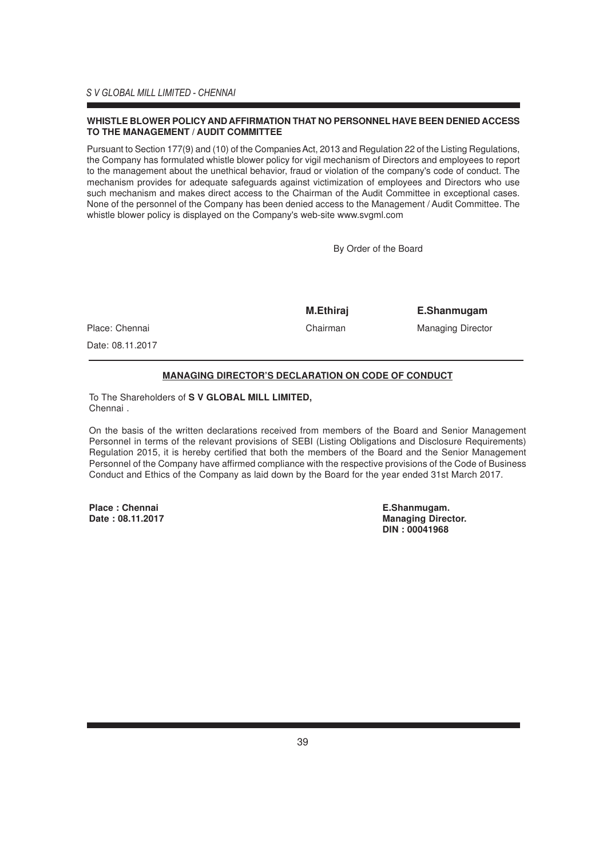#### **WHISTLE BLOWER POLICY AND AFFIRMATION THAT NO PERSONNEL HAVE BEEN DENIED ACCESS TO THE MANAGEMENT / AUDIT COMMITTEE**

Pursuant to Section 177(9) and (10) of the Companies Act, 2013 and Regulation 22 of the Listing Regulations, the Company has formulated whistle blower policy for vigil mechanism of Directors and employees to report to the management about the unethical behavior, fraud or violation of the company's code of conduct. The mechanism provides for adequate safeguards against victimization of employees and Directors who use such mechanism and makes direct access to the Chairman of the Audit Committee in exceptional cases. None of the personnel of the Company has been denied access to the Management / Audit Committee. The whistle blower policy is displayed on the Company's web-site www.svgml.com

By Order of the Board

**M.Ethiraj E.Shanmugam**

Place: Chennai **Chairman** Chairman Managing Director

Date: 08.11.2017

## **MANAGING DIRECTOR'S DECLARATION ON CODE OF CONDUCT**

To The Shareholders of **S V GLOBAL MILL LIMITED,** Chennai .

On the basis of the written declarations received from members of the Board and Senior Management Personnel in terms of the relevant provisions of SEBI (Listing Obligations and Disclosure Requirements) Regulation 2015, it is hereby certified that both the members of the Board and the Senior Management Personnel of the Company have affirmed compliance with the respective provisions of the Code of Business Conduct and Ethics of the Company as laid down by the Board for the year ended 31st March 2017.

**Place : Chennai E.Shanmugam.**

**Managing Director. DIN : 00041968**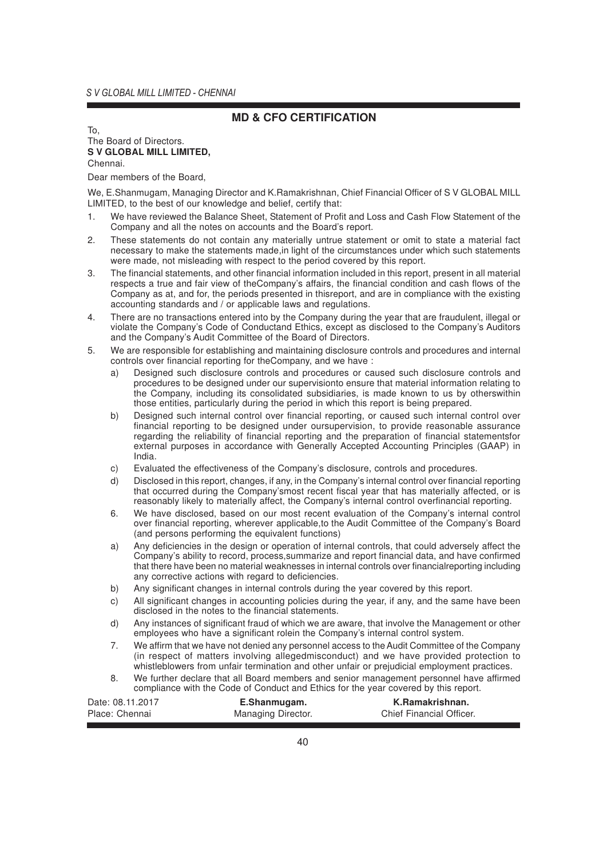# **MD & CFO CERTIFICATION**

To,

#### The Board of Directors. **S V GLOBAL MILL LIMITED,**

Chennai.

Dear members of the Board,

We, E.Shanmugam, Managing Director and K.Ramakrishnan, Chief Financial Officer of S V GLOBAL MILL LIMITED, to the best of our knowledge and belief, certify that:

- 1. We have reviewed the Balance Sheet, Statement of Profit and Loss and Cash Flow Statement of the Company and all the notes on accounts and the Board's report.
- 2. These statements do not contain any materially untrue statement or omit to state a material fact necessary to make the statements made,in light of the circumstances under which such statements were made, not misleading with respect to the period covered by this report.
- 3. The financial statements, and other financial information included in this report, present in all material respects a true and fair view of theCompany's affairs, the financial condition and cash flows of the Company as at, and for, the periods presented in thisreport, and are in compliance with the existing accounting standards and / or applicable laws and regulations.
- 4. There are no transactions entered into by the Company during the year that are fraudulent, illegal or violate the Company's Code of Conductand Ethics, except as disclosed to the Company's Auditors and the Company's Audit Committee of the Board of Directors.
- 5. We are responsible for establishing and maintaining disclosure controls and procedures and internal controls over financial reporting for theCompany, and we have :
	- a) Designed such disclosure controls and procedures or caused such disclosure controls and procedures to be designed under our supervisionto ensure that material information relating to the Company, including its consolidated subsidiaries, is made known to us by otherswithin those entities, particularly during the period in which this report is being prepared.
	- b) Designed such internal control over financial reporting, or caused such internal control over financial reporting to be designed under oursupervision, to provide reasonable assurance regarding the reliability of financial reporting and the preparation of financial statementsfor external purposes in accordance with Generally Accepted Accounting Principles (GAAP) in India.
	- c) Evaluated the effectiveness of the Company's disclosure, controls and procedures.
	- d) Disclosed in this report, changes, if any, in the Company's internal control over financial reporting that occurred during the Company'smost recent fiscal year that has materially affected, or is reasonably likely to materially affect, the Company's internal control overfinancial reporting.
	- 6. We have disclosed, based on our most recent evaluation of the Company's internal control over financial reporting, wherever applicable,to the Audit Committee of the Company's Board (and persons performing the equivalent functions)
	- a) Any deficiencies in the design or operation of internal controls, that could adversely affect the Company's ability to record, process, summarize and report financial data, and have confirmed that there have been no material weaknesses in internal controls over financialreporting including any corrective actions with regard to deficiencies.
	- b) Any significant changes in internal controls during the year covered by this report.
	- c) All significant changes in accounting policies during the year, if any, and the same have been disclosed in the notes to the financial statements.
	- d) Any instances of significant fraud of which we are aware, that involve the Management or other employees who have a significant rolein the Company's internal control system.
	- 7. We affirm that we have not denied any personnel access to the Audit Committee of the Company (in respect of matters involving allegedmisconduct) and we have provided protection to whistleblowers from unfair termination and other unfair or prejudicial employment practices.
	- 8. We further declare that all Board members and senior management personnel have affirmed compliance with the Code of Conduct and Ethics for the year covered by this report.

| Date: 08.11.2017 | E.Shanmugam.       | K.Ramakrishnan.          |
|------------------|--------------------|--------------------------|
| Place: Chennai   | Managing Director. | Chief Financial Officer. |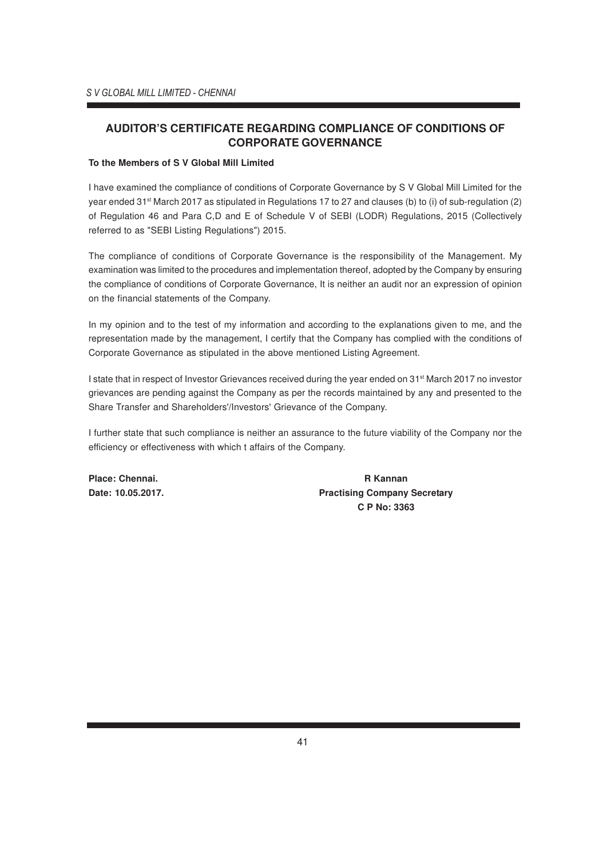# **AUDITOR'S CERTIFICATE REGARDING COMPLIANCE OF CONDITIONS OF CORPORATE GOVERNANCE**

## **To the Members of S V Global Mill Limited**

I have examined the compliance of conditions of Corporate Governance by S V Global Mill Limited for the year ended 31st March 2017 as stipulated in Regulations 17 to 27 and clauses (b) to (i) of sub-regulation (2) of Regulation 46 and Para C,D and E of Schedule V of SEBI (LODR) Regulations, 2015 (Collectively referred to as "SEBI Listing Regulations") 2015.

The compliance of conditions of Corporate Governance is the responsibility of the Management. My examination was limited to the procedures and implementation thereof, adopted by the Company by ensuring the compliance of conditions of Corporate Governance, It is neither an audit nor an expression of opinion on the financial statements of the Company.

In my opinion and to the test of my information and according to the explanations given to me, and the representation made by the management, I certify that the Company has complied with the conditions of Corporate Governance as stipulated in the above mentioned Listing Agreement.

I state that in respect of Investor Grievances received during the year ended on 31<sup>st</sup> March 2017 no investor grievances are pending against the Company as per the records maintained by any and presented to the Share Transfer and Shareholders'/Investors' Grievance of the Company.

I further state that such compliance is neither an assurance to the future viability of the Company nor the efficiency or effectiveness with which t affairs of the Company.

**Place: Chennai. R Kannan Date: 10.05.2017. Practising Company Secretary C P No: 3363**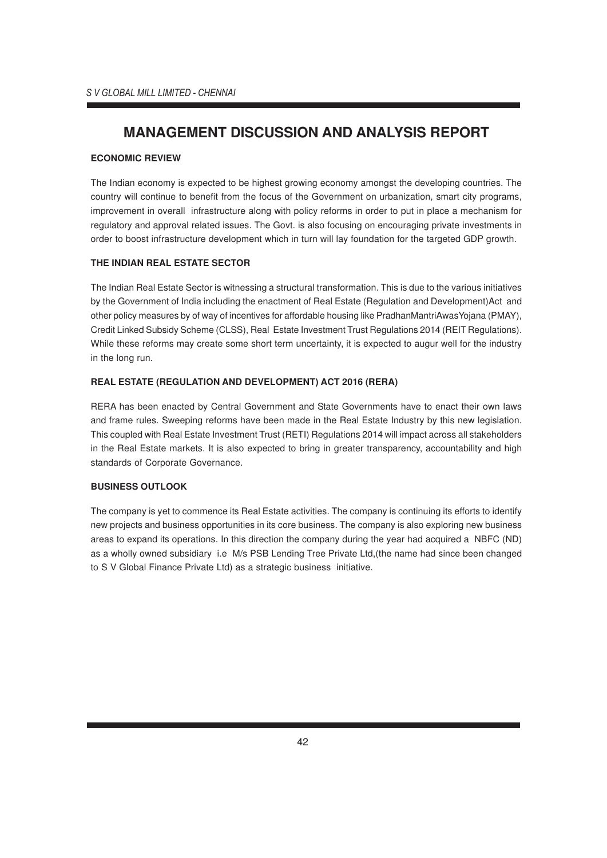# **MANAGEMENT DISCUSSION AND ANALYSIS REPORT**

## **ECONOMIC REVIEW**

The Indian economy is expected to be highest growing economy amongst the developing countries. The country will continue to benefit from the focus of the Government on urbanization, smart city programs, improvement in overall infrastructure along with policy reforms in order to put in place a mechanism for regulatory and approval related issues. The Govt. is also focusing on encouraging private investments in order to boost infrastructure development which in turn will lay foundation for the targeted GDP growth.

## **THE INDIAN REAL ESTATE SECTOR**

The Indian Real Estate Sector is witnessing a structural transformation. This is due to the various initiatives by the Government of India including the enactment of Real Estate (Regulation and Development)Act and other policy measures by of way of incentives for affordable housing like PradhanMantriAwasYojana (PMAY), Credit Linked Subsidy Scheme (CLSS), Real Estate Investment Trust Regulations 2014 (REIT Regulations). While these reforms may create some short term uncertainty, it is expected to augur well for the industry in the long run.

### **REAL ESTATE (REGULATION AND DEVELOPMENT) ACT 2016 (RERA)**

RERA has been enacted by Central Government and State Governments have to enact their own laws and frame rules. Sweeping reforms have been made in the Real Estate Industry by this new legislation. This coupled with Real Estate Investment Trust (RETI) Regulations 2014 will impact across all stakeholders in the Real Estate markets. It is also expected to bring in greater transparency, accountability and high standards of Corporate Governance.

### **BUSINESS OUTLOOK**

The company is yet to commence its Real Estate activities. The company is continuing its efforts to identify new projects and business opportunities in its core business. The company is also exploring new business areas to expand its operations. In this direction the company during the year had acquired a NBFC (ND) as a wholly owned subsidiary i.e M/s PSB Lending Tree Private Ltd,(the name had since been changed to S V Global Finance Private Ltd) as a strategic business initiative.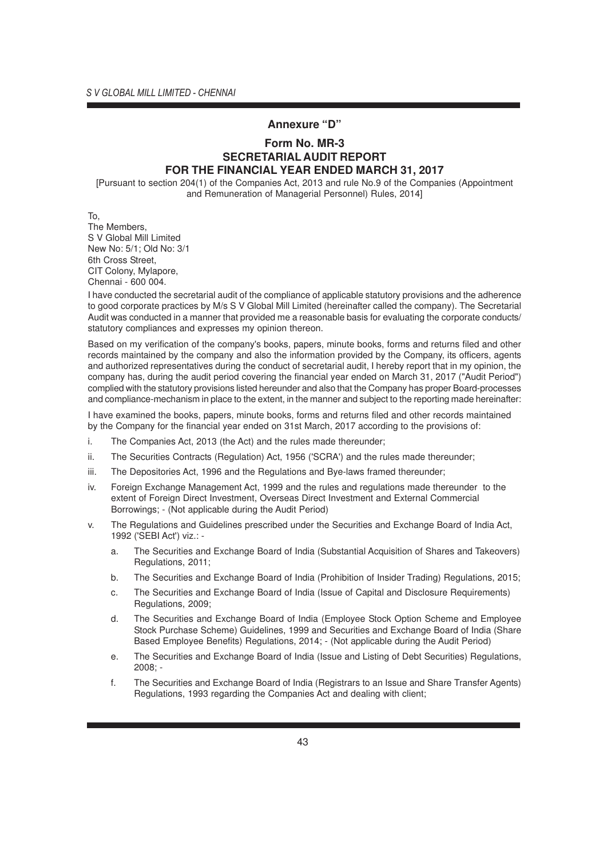## **Annexure "D"**

# **Form No. MR-3 SECRETARIALAUDIT REPORT FOR THE FINANCIAL YEAR ENDED MARCH 31, 2017**

[Pursuant to section 204(1) of the Companies Act, 2013 and rule No.9 of the Companies (Appointment and Remuneration of Managerial Personnel) Rules, 2014]

To,

The Members, S V Global Mill Limited New No: 5/1; Old No: 3/1 6th Cross Street, CIT Colony, Mylapore, Chennai - 600 004.

I have conducted the secretarial audit of the compliance of applicable statutory provisions and the adherence to good corporate practices by M/s S V Global Mill Limited (hereinafter called the company). The Secretarial Audit was conducted in a manner that provided me a reasonable basis for evaluating the corporate conducts/ statutory compliances and expresses my opinion thereon.

Based on my verification of the company's books, papers, minute books, forms and returns filed and other records maintained by the company and also the information provided by the Company, its officers, agents and authorized representatives during the conduct of secretarial audit, I hereby report that in my opinion, the company has, during the audit period covering the financial year ended on March 31, 2017 ("Audit Period") complied with the statutory provisions listed hereunder and also that the Company has proper Board-processes and compliance-mechanism in place to the extent, in the manner and subject to the reporting made hereinafter:

I have examined the books, papers, minute books, forms and returns filed and other records maintained by the Company for the financial year ended on 31st March, 2017 according to the provisions of:

- i. The Companies Act, 2013 (the Act) and the rules made thereunder;
- ii. The Securities Contracts (Regulation) Act, 1956 ('SCRA') and the rules made thereunder;
- iii. The Depositories Act, 1996 and the Regulations and Bye-laws framed thereunder;
- iv. Foreign Exchange Management Act, 1999 and the rules and regulations made thereunder to the extent of Foreign Direct Investment, Overseas Direct Investment and External Commercial Borrowings; - (Not applicable during the Audit Period)
- v. The Regulations and Guidelines prescribed under the Securities and Exchange Board of India Act, 1992 ('SEBI Act') viz.:
	- a. The Securities and Exchange Board of India (Substantial Acquisition of Shares and Takeovers) Regulations, 2011;
	- b. The Securities and Exchange Board of India (Prohibition of Insider Trading) Regulations, 2015;
	- c. The Securities and Exchange Board of India (Issue of Capital and Disclosure Requirements) Regulations, 2009;
	- d. The Securities and Exchange Board of India (Employee Stock Option Scheme and Employee Stock Purchase Scheme) Guidelines, 1999 and Securities and Exchange Board of India (Share Based Employee Benefits) Regulations, 2014; - (Not applicable during the Audit Period)
	- e. The Securities and Exchange Board of India (Issue and Listing of Debt Securities) Regulations, 2008; -
	- f. The Securities and Exchange Board of India (Registrars to an Issue and Share Transfer Agents) Regulations, 1993 regarding the Companies Act and dealing with client;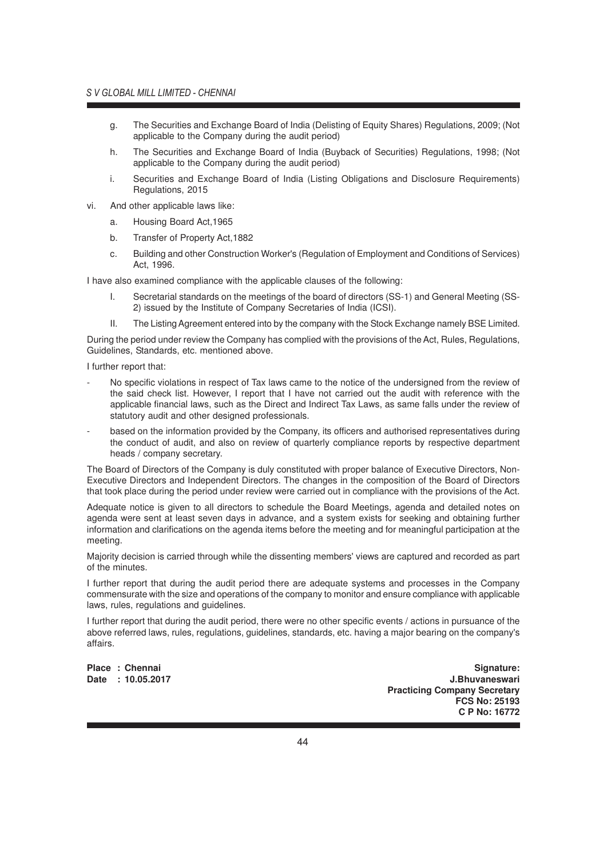- g. The Securities and Exchange Board of India (Delisting of Equity Shares) Regulations, 2009; (Not applicable to the Company during the audit period)
- h. The Securities and Exchange Board of India (Buyback of Securities) Regulations, 1998; (Not applicable to the Company during the audit period)
- i. Securities and Exchange Board of India (Listing Obligations and Disclosure Requirements) Regulations, 2015
- vi. And other applicable laws like:
	- a. Housing Board Act,1965
	- b. Transfer of Property Act,1882
	- c. Building and other Construction Worker's (Regulation of Employment and Conditions of Services) Act, 1996.

I have also examined compliance with the applicable clauses of the following:

- I. Secretarial standards on the meetings of the board of directors (SS-1) and General Meeting (SS-2) issued by the Institute of Company Secretaries of India (ICSI).
- II. The Listing Agreement entered into by the company with the Stock Exchange namely BSE Limited.

During the period under review the Company has complied with the provisions of the Act, Rules, Regulations, Guidelines, Standards, etc. mentioned above.

I further report that:

- No specific violations in respect of Tax laws came to the notice of the undersigned from the review of the said check list. However, I report that I have not carried out the audit with reference with the applicable financial laws, such as the Direct and Indirect Tax Laws, as same falls under the review of statutory audit and other designed professionals.
- based on the information provided by the Company, its officers and authorised representatives during the conduct of audit, and also on review of quarterly compliance reports by respective department heads / company secretary.

The Board of Directors of the Company is duly constituted with proper balance of Executive Directors, Non-Executive Directors and Independent Directors. The changes in the composition of the Board of Directors that took place during the period under review were carried out in compliance with the provisions of the Act.

Adequate notice is given to all directors to schedule the Board Meetings, agenda and detailed notes on agenda were sent at least seven days in advance, and a system exists for seeking and obtaining further information and clarifications on the agenda items before the meeting and for meaningful participation at the meeting.

Majority decision is carried through while the dissenting members' views are captured and recorded as part of the minutes.

I further report that during the audit period there are adequate systems and processes in the Company commensurate with the size and operations of the company to monitor and ensure compliance with applicable laws, rules, regulations and guidelines.

I further report that during the audit period, there were no other specific events / actions in pursuance of the above referred laws, rules, regulations, guidelines, standards, etc. having a major bearing on the company's affairs.

**Place : Chennai Signature: Date : 10.05.2017 J.Bhuvaneswari Practicing Company Secretary FCS No: 25193 C P No: 16772**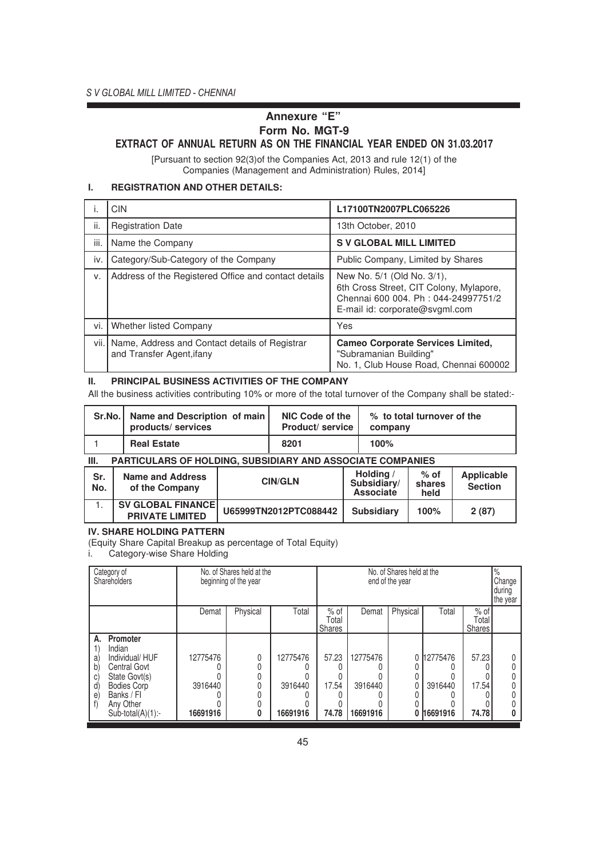# **Form No. MGT-9 Annexure "E"**

## **EXTRACT OF ANNUAL RETURN AS ON THE FINANCIAL YEAR ENDED ON 31.03.2017**

[Pursuant to section 92(3)of the Companies Act, 2013 and rule 12(1) of the Companies (Management and Administration) Rules, 2014]

## **I. REGISTRATION AND OTHER DETAILS:**

|          | <b>CIN</b>                                                                   | L17100TN2007PLC065226                                                                                                                          |
|----------|------------------------------------------------------------------------------|------------------------------------------------------------------------------------------------------------------------------------------------|
| ii.      | <b>Registration Date</b>                                                     | 13th October, 2010                                                                                                                             |
| <br>iii. | Name the Company                                                             | <b>SV GLOBAL MILL LIMITED</b>                                                                                                                  |
| iv.      | Category/Sub-Category of the Company                                         | Public Company, Limited by Shares                                                                                                              |
| v.       | Address of the Registered Office and contact details                         | New No. 5/1 (Old No. 3/1),<br>6th Cross Street, CIT Colony, Mylapore,<br>Chennai 600 004. Ph: 044-24997751/2<br>E-mail id: corporate@svgml.com |
| vi.      | Whether listed Company                                                       | Yes                                                                                                                                            |
| vii.     | Name, Address and Contact details of Registrar<br>and Transfer Agent, if any | <b>Cameo Corporate Services Limited,</b><br>"Subramanian Building"<br>No. 1, Club House Road, Chennai 600002                                   |

## **II. PRINCIPAL BUSINESS ACTIVITIES OF THE COMPANY**

All the business activities contributing 10% or more of the total turnover of the Company shall be stated:-

| Sr.No.   Name and Description of main | NIC Code of the  | % to total turnover of the |
|---------------------------------------|------------------|----------------------------|
| products/ services                    | Product/ service | company                    |
| <b>Real Estate</b>                    | 8201             |                            |

#### **III. PARTICULARS OF HOLDING, SUBSIDIARY AND ASSOCIATE COMPANIES**

| Sr.<br>No. | <b>Name and Address</b><br>of the Company           | <b>CIN/GLN</b>        | Holding<br>Subsidiary/<br><b>Associate</b> | $%$ of<br>shares<br>held | Applicable<br><b>Section</b> |
|------------|-----------------------------------------------------|-----------------------|--------------------------------------------|--------------------------|------------------------------|
|            | <b>SV GLOBAL FINANCE!</b><br><b>PRIVATE LIMITED</b> | U65999TN2012PTC088442 | <b>Subsidiary</b>                          | 100%                     | 2(87)                        |

# **IV. SHARE HOLDING PATTERN**

(Equity Share Capital Breakup as percentage of Total Equity)

i. Category-wise Share Holding

| Category of<br>No. of Shares held at the<br><b>Shareholders</b><br>beginning of the year                                                                                                                           |                                 |          | No. of Shares held at the<br>end of the year |                           |                                 |          | $\%$<br>Change<br>during<br>the year |                                        |  |
|--------------------------------------------------------------------------------------------------------------------------------------------------------------------------------------------------------------------|---------------------------------|----------|----------------------------------------------|---------------------------|---------------------------------|----------|--------------------------------------|----------------------------------------|--|
|                                                                                                                                                                                                                    | Demat                           | Physical | Total                                        | $%$ of<br>Total<br>Shares | Demat                           | Physical | Total                                | $%$ of<br>Total<br>Shares <sup>!</sup> |  |
| Promoter<br>А.<br>Indian<br>Individual/HUF<br>a<br>b)<br><b>Central Govt</b><br>State Govt(s)<br>$\mathsf{C}$<br>$\mathsf{d}$<br><b>Bodies Corp</b><br>Banks / FI<br>e)<br>Any Other<br>f)<br>$Sub-total(A)(1)$ :- | 12775476<br>3916440<br>16691916 |          | 12775476<br>3916440<br>16691916              | 57.23<br>17.54<br>74.78   | 12775476<br>3916440<br>16691916 | 0<br>0   | 12775476<br>3916440<br>16691916      | 57.23<br>17.54<br>74.78                |  |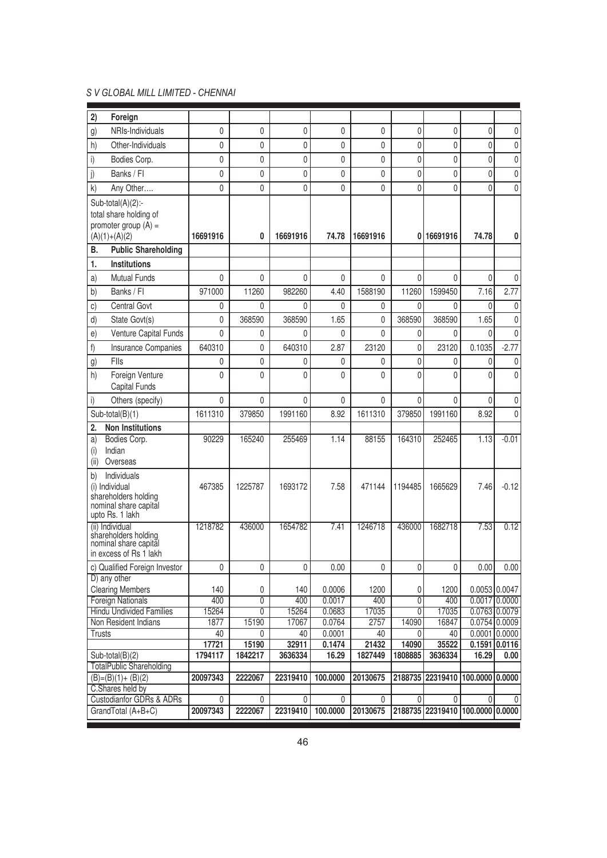| 2)                | Foreign                                                                                           |                |                     |              |                  |              |                     |                                  |                |                                  |
|-------------------|---------------------------------------------------------------------------------------------------|----------------|---------------------|--------------|------------------|--------------|---------------------|----------------------------------|----------------|----------------------------------|
| g)                | NRIs-Individuals                                                                                  | 0              | $\mathbf 0$         | 0            | 0                | 0            | 0                   | 0                                | 0              | 0                                |
| h)                | Other-Individuals                                                                                 | 0              | 0                   | 0            | 0                | $\mathbf{0}$ | $\mathbf 0$         | 0                                | $\overline{0}$ | 0                                |
| $\mathsf{i}$      | Bodies Corp.                                                                                      | 0              | $\mathbf 0$         | 0            | 0                | 0            | 0                   | 0                                | 0              | 0                                |
| j)                | Banks / Fl                                                                                        | $\mathbf{0}$   | 0                   | 0            | 0                | 0            | $\mathbf{0}$        | 0                                | $\mathbf{0}$   | 0                                |
| k)                | Any Other                                                                                         | $\overline{0}$ | 0                   | 0            | 0                | $\mathbf{0}$ | $\mathbf{0}$        | $\mathbf{0}$                     | 0              | $\pmb{0}$                        |
|                   | Sub-total $(A)(2)$ :-                                                                             |                |                     |              |                  |              |                     |                                  |                |                                  |
|                   | total share holding of                                                                            |                |                     |              |                  |              |                     |                                  |                |                                  |
|                   | promoter group $(A)$ =                                                                            |                |                     |              |                  |              |                     |                                  |                |                                  |
|                   | $(A)(1)+(A)(2)$                                                                                   | 16691916       | 0                   | 16691916     | 74.78            | 16691916     |                     | 0116691916                       | 74.78          | 0                                |
| В.                | <b>Public Shareholding</b>                                                                        |                |                     |              |                  |              |                     |                                  |                |                                  |
| 1.                | <b>Institutions</b>                                                                               |                |                     |              |                  |              |                     |                                  |                |                                  |
| a)                | <b>Mutual Funds</b>                                                                               | 0              | $\mathbf{0}$        | $\mathbf{0}$ | 0                | 0            | 0                   | 0                                | 0              | 0                                |
| b)                | Banks / Fl                                                                                        | 971000         | 11260               | 982260       | 4.40             | 1588190      | 11260               | 1599450                          | 7.16           | 2.77                             |
| $\mathsf{C}$      | Central Govt                                                                                      | 0              | $\mathbf{0}$        | $\Omega$     | 0                | 0            | 0                   | 0                                | 0              | $\mathbf{0}$                     |
| d)                | State Govt(s)                                                                                     | 0              | 368590              | 368590       | 1.65             | 0            | 368590              | 368590                           | 1.65           | 0                                |
| e)                | Venture Capital Funds                                                                             | 0              | 0                   | $\mathbf{0}$ | 0                | 0            | 0                   | 0                                | 0              | 0                                |
| f)                | Insurance Companies                                                                               | 640310         | 0                   | 640310       | 2.87             | 23120        | $\mathbf{0}$        | 23120                            | 0.1035         | $-2.77$                          |
| g)                | Flls                                                                                              | 0              | $\mathbf 0$         | 0            | 0                | 0            | 0                   | 0                                | 0              | 0                                |
| h)                | Foreign Venture<br><b>Capital Funds</b>                                                           | 0              | 0                   | $\mathbf{0}$ | 0                | 0            | $\Omega$            | 0                                | 0              | $\mathbf{0}$                     |
| i)                | Others (specify)                                                                                  | $\mathbf{0}$   | $\mathbf{0}$        | $\mathbf{0}$ | 0                | 0            | 0                   | 0                                | 0              | 0                                |
|                   | Sub-total(B)(1)                                                                                   | 1611310        | 379850              | 1991160      | 8.92             | 1611310      | 379850              | 1991160                          | 8.92           | $\mathbf{0}$                     |
| 2.                | <b>Non Institutions</b>                                                                           |                |                     |              |                  |              |                     |                                  |                |                                  |
| a)<br>(i)<br>(ii) | Bodies Corp.<br>Indian<br>Overseas                                                                | 90229          | 165240              | 255469       | 1.14             | 88155        | 164310              | 252465                           | 1.13           | $-0.01$                          |
| b)                | Individuals<br>(i) Individual<br>shareholders holding<br>nominal share capital<br>upto Rs. 1 lakh | 467385         | 1225787             | 1693172      | 7.58             | 471144       | 1194485             | 1665629                          | 7.46           | $-0.12$                          |
|                   | (ii) Individual<br>shareholders holding<br>nominal share capital<br>in excess of Rs 1 lakh        | 1218782        | 436000              | 1654782      | 7.41             | 1246718      | 436000              | 1682718                          | 7.53           | 0.12                             |
|                   | c) Qualified Foreign Investor                                                                     | 0              | $\pmb{0}$           | 0            | 0.00             | 0            | 0                   | 0                                | 0.00           | 0.00                             |
|                   | D) any other                                                                                      |                |                     |              |                  |              |                     |                                  |                |                                  |
|                   | <b>Clearing Members</b><br><b>Foreign Nationals</b>                                               | 140<br>400     | 0<br>$\overline{0}$ | 140<br>400   | 0.0006<br>0.0017 | 1200<br>400  | 0<br>$\overline{0}$ | 1200<br>400                      |                | 0.0053 0.0047<br>$0.0017$ 0.0000 |
|                   | <b>Hindu Undivided Families</b>                                                                   | 15264          | $\overline{0}$      | 15264        | 0.0683           | 17035        | $\overline{0}$      | 17035                            |                | 0.0763 0.0079                    |
|                   | Non Resident Indians                                                                              | 1877           | 15190               | 17067        | 0.0764           | 2757         | 14090               | 16847                            |                | $0.0754 \, 0.0009$               |
| <b>Trusts</b>     |                                                                                                   | 40             | 0                   | 40           | 0.0001           | 40           | 0                   | 40                               |                | $0.0001$ 0.0000                  |
|                   |                                                                                                   | 17721          | 15190               | 32911        | 0.1474           | 21432        | 14090               | 35522                            |                | 0.1591   0.0116                  |
|                   | Sub-total(B) $\overline{(2)}$                                                                     | 1794117        | 1842217             | 3636334      | 16.29            | 1827449      | 1808885             | 3636334                          | 16.29          | 0.00                             |
|                   | <b>TotalPublic Shareholding</b>                                                                   |                |                     |              |                  |              |                     |                                  |                |                                  |
|                   | $(B)=(B)(1)+(B)(2)$<br>C.Shares held by                                                           | 20097343       | 2222067             | 22319410     | 100.0000         | 20130675     |                     | 2188735 22319410 100.0000 0.0000 |                |                                  |
|                   | <b>Custodianfor GDRs &amp; ADRs</b>                                                               | 0              | 0                   | 0            | 0                | 0            | 0                   | 0                                | 0              | $\overline{0}$                   |
|                   | GrandTotal (A+B+C)                                                                                | 20097343       | 2222067             | 22319410     | 100.0000         | 20130675     |                     | 2188735 22319410 100.0000 0.0000 |                |                                  |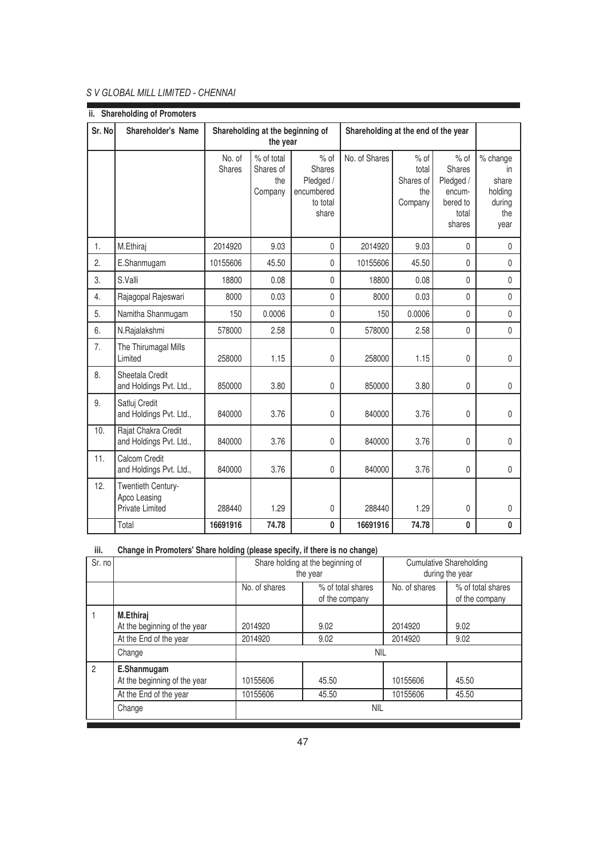| ii.              | <b>Shareholding of Promoters</b>                      |                  |                                              |                                                                  |                                     |                                                |                                                                               |                                                              |
|------------------|-------------------------------------------------------|------------------|----------------------------------------------|------------------------------------------------------------------|-------------------------------------|------------------------------------------------|-------------------------------------------------------------------------------|--------------------------------------------------------------|
| Sr. No           | Shareholder's Name                                    |                  | Shareholding at the beginning of<br>the year |                                                                  | Shareholding at the end of the year |                                                |                                                                               |                                                              |
|                  |                                                       | No. of<br>Shares | % of total<br>Shares of<br>the<br>Company    | $%$ of<br>Shares<br>Pledged /<br>encumbered<br>to total<br>share | No. of Shares                       | $%$ of<br>total<br>Shares of<br>the<br>Company | $%$ of<br><b>Shares</b><br>Pledged /<br>encum-<br>bered to<br>total<br>shares | % change<br>in.<br>share<br>holding<br>during<br>the<br>year |
| 1.               | M.Ethiraj                                             | 2014920          | 9.03                                         | $\pmb{0}$                                                        | 2014920                             | 9.03                                           | $\mathbf{0}$                                                                  | $\pmb{0}$                                                    |
| 2.               | E.Shanmugam                                           | 10155606         | 45.50                                        | $\mathbf{0}$                                                     | 10155606                            | 45.50                                          | 0                                                                             | $\mathbf{0}$                                                 |
| 3.               | S.Valli                                               | 18800            | 0.08                                         | $\mathbf 0$                                                      | 18800                               | 0.08                                           | $\mathbf{0}$                                                                  | $\pmb{0}$                                                    |
| 4.               | Rajagopal Rajeswari                                   | 8000             | 0.03                                         | $\mathbf{0}$                                                     | 8000                                | 0.03                                           | $\Omega$                                                                      | $\mathbf{0}$                                                 |
| 5.               | Namitha Shanmugam                                     | 150              | 0.0006                                       | $\mathbf 0$                                                      | 150                                 | 0.0006                                         | $\mathbf{0}$                                                                  | $\pmb{0}$                                                    |
| 6.               | N.Rajalakshmi                                         | 578000           | 2.58                                         | $\mathbf{0}$                                                     | 578000                              | 2.58                                           | 0                                                                             | $\mathbf{0}$                                                 |
| $\overline{7}$ . | The Thirumagal Mills<br>Limited                       | 258000           | 1.15                                         | 0                                                                | 258000                              | 1.15                                           | 0                                                                             | $\mathbf{0}$                                                 |
| 8.               | Sheetala Credit<br>and Holdings Pvt. Ltd.,            | 850000           | 3.80                                         | 0                                                                | 850000                              | 3.80                                           | 0                                                                             | $\mathbf{0}$                                                 |
| 9.               | Satluj Credit<br>and Holdings Pvt. Ltd.,              | 840000           | 3.76                                         | 0                                                                | 840000                              | 3.76                                           | 0                                                                             | $\mathbf{0}$                                                 |
| 10.              | Rajat Chakra Credit<br>and Holdings Pvt. Ltd.,        | 840000           | 3.76                                         | $\mathbf{0}$                                                     | 840000                              | 3.76                                           | 0                                                                             | $\mathbf{0}$                                                 |
| 11.              | Calcom Credit<br>and Holdings Pvt. Ltd.,              | 840000           | 3.76                                         | $\mathbf 0$                                                      | 840000                              | 3.76                                           | 0                                                                             | $\mathbf 0$                                                  |
| 12.              | Twentieth Century-<br>Apco Leasing<br>Private Limited | 288440           | 1.29                                         | 0                                                                | 288440                              | 1.29                                           | 0                                                                             | $\mathbf{0}$                                                 |
|                  | Total                                                 | 16691916         | 74.78                                        | 0                                                                | 16691916                            | 74.78                                          | 0                                                                             | 0                                                            |

# **iii. Change in Promoters' Share holding (please specify, if there is no change)**

| Sr. no         |                                                  |                                                      | Share holding at the beginning of<br>the year | <b>Cumulative Shareholding</b><br>during the year |                                     |  |
|----------------|--------------------------------------------------|------------------------------------------------------|-----------------------------------------------|---------------------------------------------------|-------------------------------------|--|
|                |                                                  | No. of shares<br>% of total shares<br>of the company |                                               | No. of shares                                     | % of total shares<br>of the company |  |
|                | <b>M.Ethiraj</b><br>At the beginning of the year | 2014920                                              | 9.02                                          | 2014920                                           | 9.02                                |  |
|                | At the End of the year                           | 2014920                                              | 9.02                                          | 2014920                                           | 9.02                                |  |
|                | Change                                           |                                                      | <b>NIL</b>                                    |                                                   |                                     |  |
| $\overline{2}$ | E.Shanmugam<br>At the beginning of the year      | 10155606                                             | 45.50                                         | 10155606                                          | 45.50                               |  |
|                | At the End of the year                           | 10155606                                             | 45.50                                         | 10155606                                          | 45.50                               |  |
|                | Change                                           | <b>NIL</b>                                           |                                               |                                                   |                                     |  |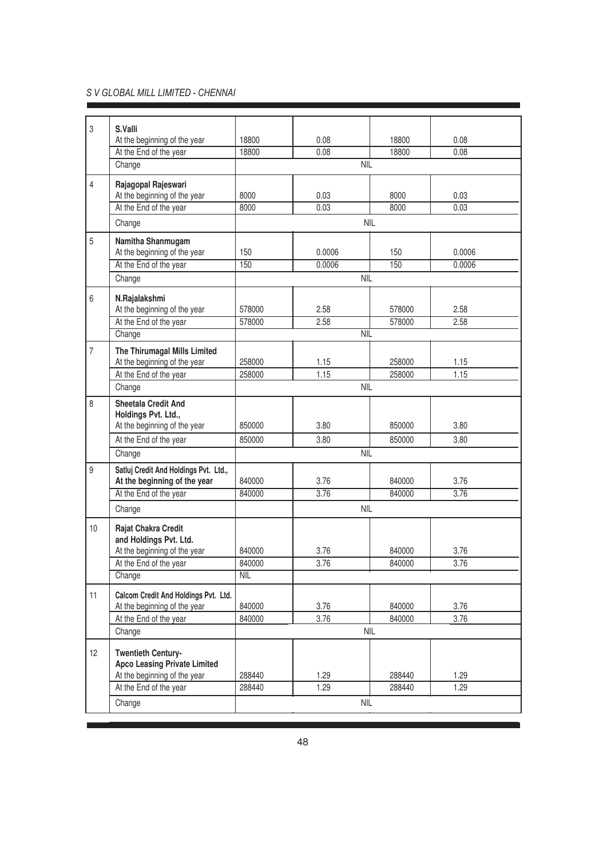| 3              | S.Valli                                                               |            |        |            |        |
|----------------|-----------------------------------------------------------------------|------------|--------|------------|--------|
|                | At the beginning of the year                                          | 18800      | 0.08   | 18800      | 0.08   |
|                | At the End of the year                                                | 18800      | 0.08   | 18800      | 0.08   |
|                | Change                                                                |            |        | <b>NIL</b> |        |
| $\overline{4}$ | Rajagopal Rajeswari                                                   |            |        |            |        |
|                | At the beginning of the year                                          | 8000       | 0.03   | 8000       | 0.03   |
|                | At the End of the year                                                | 8000       | 0.03   | 8000       | 0.03   |
|                | Change                                                                |            |        | <b>NIL</b> |        |
| 5              | Namitha Shanmugam                                                     |            |        |            |        |
|                | At the beginning of the year                                          | 150        | 0.0006 | 150        | 0.0006 |
|                | At the End of the year                                                | 150        | 0.0006 | 150        | 0.0006 |
|                | Change                                                                |            |        | <b>NIL</b> |        |
| 6              | N.Rajalakshmi                                                         |            |        |            |        |
|                | At the beginning of the year                                          | 578000     | 2.58   | 578000     | 2.58   |
|                | At the End of the year                                                | 578000     | 2.58   | 578000     | 2.58   |
|                | Change                                                                |            |        | <b>NIL</b> |        |
|                |                                                                       |            |        |            |        |
| $\overline{7}$ | The Thirumagal Mills Limited<br>At the beginning of the year          | 258000     | 1.15   | 258000     | 1.15   |
|                | At the End of the year                                                | 258000     | 1.15   | 258000     | 1.15   |
|                | Change                                                                |            |        | <b>NIL</b> |        |
|                |                                                                       |            |        |            |        |
| 8              | <b>Sheetala Credit And</b>                                            |            |        |            |        |
|                | Holdings Pvt. Ltd.,<br>At the beginning of the year                   | 850000     | 3.80   | 850000     | 3.80   |
|                | At the End of the year                                                | 850000     | 3.80   | 850000     | 3.80   |
|                | Change                                                                |            |        | <b>NIL</b> |        |
|                |                                                                       |            |        |            |        |
| 9              | Satluj Credit And Holdings Pvt. Ltd.,<br>At the beginning of the year | 840000     | 3.76   | 840000     | 3.76   |
|                | At the End of the year                                                | 840000     | 3.76   | 840000     | 3.76   |
|                |                                                                       |            |        |            |        |
|                | Change                                                                |            |        | <b>NIL</b> |        |
| 10             | <b>Rajat Chakra Credit</b>                                            |            |        |            |        |
|                | and Holdings Pvt. Ltd.                                                |            |        |            |        |
|                | At the beginning of the year                                          | 840000     | 3.76   | 840000     | 3.76   |
|                | At the End of the year                                                | 840000     | 3.76   | 840000     | 3.76   |
|                | Change                                                                | <b>NIL</b> |        |            |        |
| 11             | Calcom Credit And Holdings Pvt. Ltd.                                  |            |        |            |        |
|                | At the beginning of the year                                          | 840000     | 3.76   | 840000     | 3.76   |
|                | At the End of the year                                                | 840000     | 3.76   | 840000     | 3.76   |
|                | Change                                                                |            |        | <b>NIL</b> |        |
| 12             | <b>Twentieth Century-</b>                                             |            |        |            |        |
|                | <b>Apco Leasing Private Limited</b>                                   |            |        |            |        |
|                | At the beginning of the year                                          | 288440     | 1.29   | 288440     | 1.29   |
|                | At the End of the year                                                | 288440     | 1.29   | 288440     | 1.29   |
|                | Change                                                                |            |        |            |        |
|                |                                                                       | <b>NIL</b> |        |            |        |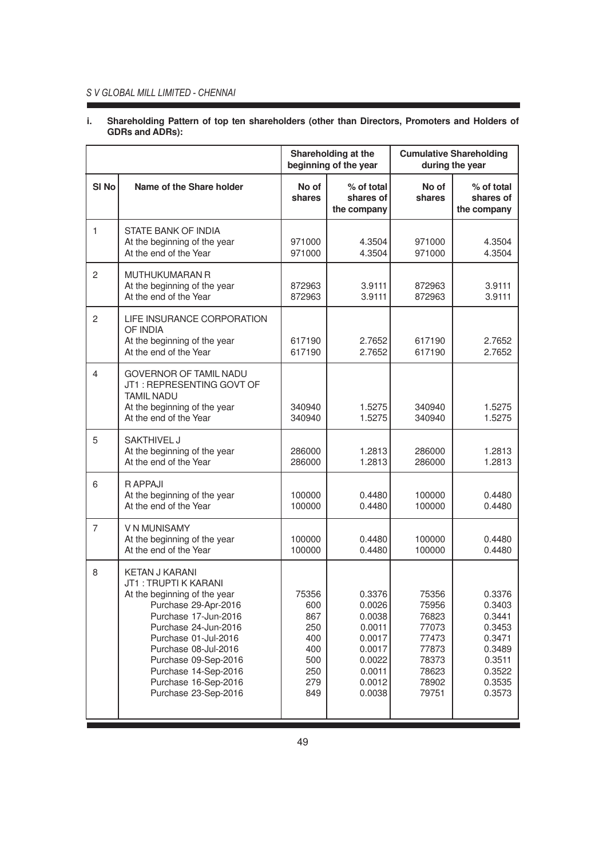#### **i. Shareholding Pattern of top ten shareholders (other than Directors, Promoters and Holders of GDRs and ADRs):**

|                  |                                                                                                                                                                                                                                                                                                       |                                                                      | Shareholding at the<br>beginning of the year                                                     | <b>Cumulative Shareholding</b><br>during the year                                      |                                                                                                  |  |
|------------------|-------------------------------------------------------------------------------------------------------------------------------------------------------------------------------------------------------------------------------------------------------------------------------------------------------|----------------------------------------------------------------------|--------------------------------------------------------------------------------------------------|----------------------------------------------------------------------------------------|--------------------------------------------------------------------------------------------------|--|
| SI <sub>No</sub> | Name of the Share holder                                                                                                                                                                                                                                                                              | No of<br>shares                                                      | % of total<br>shares of<br>the company                                                           | No of<br>shares                                                                        | % of total<br>shares of<br>the company                                                           |  |
| 1                | STATE BANK OF INDIA<br>At the beginning of the year<br>At the end of the Year                                                                                                                                                                                                                         | 971000<br>971000                                                     | 4.3504<br>4.3504                                                                                 | 971000<br>971000                                                                       | 4.3504<br>4.3504                                                                                 |  |
| $\overline{2}$   | MUTHUKUMARAN R<br>At the beginning of the year<br>At the end of the Year                                                                                                                                                                                                                              | 872963<br>872963                                                     | 3.9111<br>3.9111                                                                                 | 872963<br>872963                                                                       | 3.9111<br>3.9111                                                                                 |  |
| $\overline{c}$   | LIFE INSURANCE CORPORATION<br>OF INDIA<br>At the beginning of the year<br>At the end of the Year                                                                                                                                                                                                      | 617190<br>617190                                                     | 2.7652<br>2.7652                                                                                 | 617190<br>617190                                                                       | 2.7652<br>2.7652                                                                                 |  |
| 4                | <b>GOVERNOR OF TAMIL NADU</b><br>JT1: REPRESENTING GOVT OF<br><b>TAMIL NADU</b><br>At the beginning of the year<br>At the end of the Year                                                                                                                                                             | 340940<br>340940                                                     | 1.5275<br>1.5275                                                                                 | 340940<br>340940                                                                       | 1.5275<br>1.5275                                                                                 |  |
| 5                | SAKTHIVEL J<br>At the beginning of the year<br>At the end of the Year                                                                                                                                                                                                                                 | 286000<br>286000                                                     | 1.2813<br>1.2813                                                                                 | 286000<br>286000                                                                       | 1.2813<br>1.2813                                                                                 |  |
| 6                | <b>RAPPAJI</b><br>At the beginning of the year<br>At the end of the Year                                                                                                                                                                                                                              | 100000<br>100000                                                     | 0.4480<br>0.4480                                                                                 | 100000<br>100000                                                                       | 0.4480<br>0.4480                                                                                 |  |
| 7                | <b>V N MUNISAMY</b><br>At the beginning of the year<br>At the end of the Year                                                                                                                                                                                                                         | 100000<br>100000                                                     | 0.4480<br>0.4480                                                                                 | 100000<br>100000                                                                       | 0.4480<br>0.4480                                                                                 |  |
| 8                | <b>KETAN J KARANI</b><br>JT1: TRUPTI K KARANI<br>At the beginning of the year<br>Purchase 29-Apr-2016<br>Purchase 17-Jun-2016<br>Purchase 24-Jun-2016<br>Purchase 01-Jul-2016<br>Purchase 08-Jul-2016<br>Purchase 09-Sep-2016<br>Purchase 14-Sep-2016<br>Purchase 16-Sep-2016<br>Purchase 23-Sep-2016 | 75356<br>600<br>867<br>250<br>400<br>400<br>500<br>250<br>279<br>849 | 0.3376<br>0.0026<br>0.0038<br>0.0011<br>0.0017<br>0.0017<br>0.0022<br>0.0011<br>0.0012<br>0.0038 | 75356<br>75956<br>76823<br>77073<br>77473<br>77873<br>78373<br>78623<br>78902<br>79751 | 0.3376<br>0.3403<br>0.3441<br>0.3453<br>0.3471<br>0.3489<br>0.3511<br>0.3522<br>0.3535<br>0.3573 |  |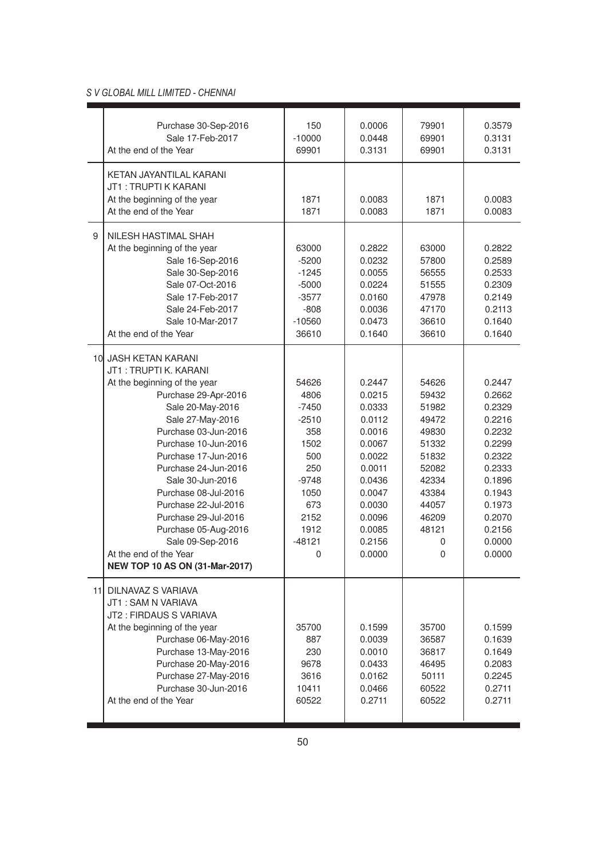|   | Purchase 30-Sep-2016<br>Sale 17-Feb-2017<br>At the end of the Year                                                                                                                                                                                                                                                                                                                                                                                | 150<br>$-10000$<br>69901                                                                                                    | 0.0006<br>0.0448<br>0.3131                                                                                                                         | 79901<br>69901<br>69901                                                                                                     | 0.3579<br>0.3131<br>0.3131                                                                                                                         |
|---|---------------------------------------------------------------------------------------------------------------------------------------------------------------------------------------------------------------------------------------------------------------------------------------------------------------------------------------------------------------------------------------------------------------------------------------------------|-----------------------------------------------------------------------------------------------------------------------------|----------------------------------------------------------------------------------------------------------------------------------------------------|-----------------------------------------------------------------------------------------------------------------------------|----------------------------------------------------------------------------------------------------------------------------------------------------|
|   | KETAN JAYANTILAL KARANI<br>JT1: TRUPTI K KARANI<br>At the beginning of the year<br>At the end of the Year                                                                                                                                                                                                                                                                                                                                         | 1871<br>1871                                                                                                                | 0.0083<br>0.0083                                                                                                                                   | 1871<br>1871                                                                                                                | 0.0083<br>0.0083                                                                                                                                   |
| 9 | NILESH HASTIMAL SHAH<br>At the beginning of the year<br>Sale 16-Sep-2016<br>Sale 30-Sep-2016<br>Sale 07-Oct-2016<br>Sale 17-Feb-2017<br>Sale 24-Feb-2017<br>Sale 10-Mar-2017<br>At the end of the Year                                                                                                                                                                                                                                            | 63000<br>$-5200$<br>$-1245$<br>$-5000$<br>-3577<br>$-808$<br>$-10560$<br>36610                                              | 0.2822<br>0.0232<br>0.0055<br>0.0224<br>0.0160<br>0.0036<br>0.0473<br>0.1640                                                                       | 63000<br>57800<br>56555<br>51555<br>47978<br>47170<br>36610<br>36610                                                        | 0.2822<br>0.2589<br>0.2533<br>0.2309<br>0.2149<br>0.2113<br>0.1640<br>0.1640                                                                       |
|   | 10 JASH KETAN KARANI<br>JT1: TRUPTI K. KARANI<br>At the beginning of the year<br>Purchase 29-Apr-2016<br>Sale 20-May-2016<br>Sale 27-May-2016<br>Purchase 03-Jun-2016<br>Purchase 10-Jun-2016<br>Purchase 17-Jun-2016<br>Purchase 24-Jun-2016<br>Sale 30-Jun-2016<br>Purchase 08-Jul-2016<br>Purchase 22-Jul-2016<br>Purchase 29-Jul-2016<br>Purchase 05-Aug-2016<br>Sale 09-Sep-2016<br>At the end of the Year<br>NEW TOP 10 AS ON (31-Mar-2017) | 54626<br>4806<br>$-7450$<br>$-2510$<br>358<br>1502<br>500<br>250<br>$-9748$<br>1050<br>673<br>2152<br>1912<br>$-48121$<br>0 | 0.2447<br>0.0215<br>0.0333<br>0.0112<br>0.0016<br>0.0067<br>0.0022<br>0.0011<br>0.0436<br>0.0047<br>0.0030<br>0.0096<br>0.0085<br>0.2156<br>0.0000 | 54626<br>59432<br>51982<br>49472<br>49830<br>51332<br>51832<br>52082<br>42334<br>43384<br>44057<br>46209<br>48121<br>0<br>0 | 0.2447<br>0.2662<br>0.2329<br>0.2216<br>0.2232<br>0.2299<br>0.2322<br>0.2333<br>0.1896<br>0.1943<br>0.1973<br>0.2070<br>0.2156<br>0.0000<br>0.0000 |
|   | 11 DILNAVAZ S VARIAVA<br>JT1: SAM N VARIAVA<br>JT2 : FIRDAUS S VARIAVA<br>At the beginning of the year<br>Purchase 06-May-2016<br>Purchase 13-May-2016<br>Purchase 20-May-2016<br>Purchase 27-May-2016<br>Purchase 30-Jun-2016<br>At the end of the Year                                                                                                                                                                                          | 35700<br>887<br>230<br>9678<br>3616<br>10411<br>60522                                                                       | 0.1599<br>0.0039<br>0.0010<br>0.0433<br>0.0162<br>0.0466<br>0.2711                                                                                 | 35700<br>36587<br>36817<br>46495<br>50111<br>60522<br>60522                                                                 | 0.1599<br>0.1639<br>0.1649<br>0.2083<br>0.2245<br>0.2711<br>0.2711                                                                                 |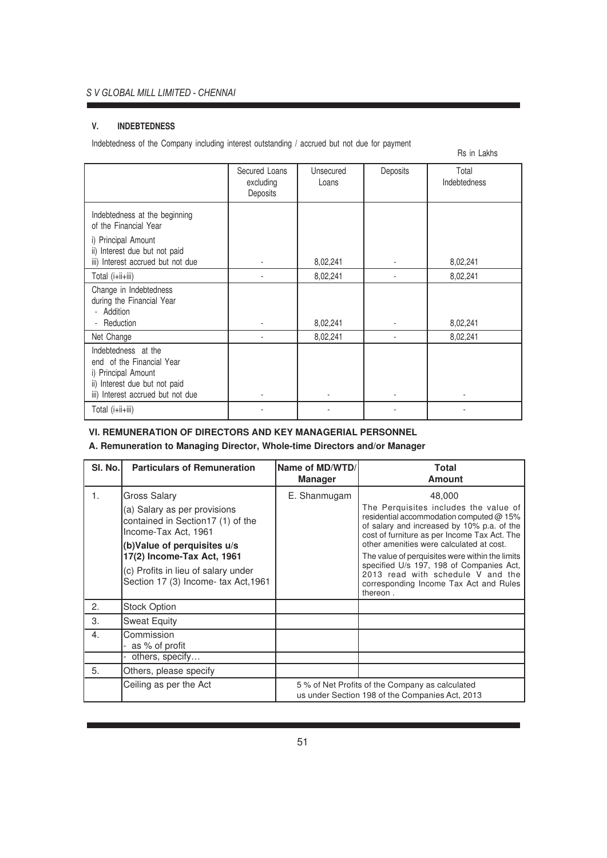#### **V. INDEBTEDNESS**

Indebtedness of the Company including interest outstanding / accrued but not due for payment

Secured Loans | Unsecured | Deposits | Total excluding | Loans | Indebtedness Deposits Indebtedness at the beginning of the Financial Year i) Principal Amount ii) Interest due but not paid iii) Interest accrued but not due - 8,02,241 - 8,02,241  $T_{\rm{total}}$  (i+ii+iiii)  $T_{\rm{total}}$  =  $T_{\rm{total}}$  =  $T_{\rm{total}}$  =  $T_{\rm{total}}$  =  $T_{\rm{total}}$  =  $T_{\rm{total}}$  =  $T_{\rm{total}}$  =  $T_{\rm{total}}$  =  $T_{\rm{total}}$  =  $T_{\rm{total}}$  =  $T_{\rm{total}}$  =  $T_{\rm{total}}$  =  $T_{\rm{total}}$  =  $T_{\rm{total}}$  =  $T_{\rm{total}}$  =  $T_{\rm{total}}$  =  $T_{\rm{total$ Change in Indebtedness during the Financial Year - Addition - Reduction - 8,02,241 - 8,02,241 - 8,02,241 - 8,02,241 Net Change 8,02,241 - 8,02,241 - 8,02,241 Indebtedness at the end of the Financial Year i) Principal Amount ii) Interest due but not paid iii) Interest accrued but not due Total (i+ii+iii)  $\qquad \qquad$   $\qquad$   $\qquad$   $\qquad$   $\qquad$   $\qquad$   $\qquad$   $\qquad$   $\qquad$   $\qquad$   $\qquad$   $\qquad$   $\qquad$   $\qquad$   $\qquad$   $\qquad$   $\qquad$   $\qquad$   $\qquad$   $\qquad$   $\qquad$   $\qquad$   $\qquad$   $\qquad$   $\qquad$   $\qquad$   $\qquad$   $\qquad$   $\qquad$   $\qquad$   $\qquad$   $\qquad$   $\qquad$   $\q$ 

Rs in Lakhs

## **VI. REMUNERATION OF DIRECTORS AND KEY MANAGERIAL PERSONNEL**

### **A. Remuneration to Managing Director, Whole-time Directors and/or Manager**

| SI. No. | <b>Particulars of Remuneration</b>                                                                                                                                                                                                                            | Name of MD/WTD/<br><b>Manager</b>                                                                  | <b>Total</b><br>Amount                                                                                                                                                                                                                                                                                                                                                                                                          |  |
|---------|---------------------------------------------------------------------------------------------------------------------------------------------------------------------------------------------------------------------------------------------------------------|----------------------------------------------------------------------------------------------------|---------------------------------------------------------------------------------------------------------------------------------------------------------------------------------------------------------------------------------------------------------------------------------------------------------------------------------------------------------------------------------------------------------------------------------|--|
| 1.      | <b>Gross Salary</b><br>(a) Salary as per provisions<br>contained in Section17 (1) of the<br>Income-Tax Act, 1961<br>(b) Value of perquisites u/s<br>17(2) Income-Tax Act, 1961<br>(c) Profits in lieu of salary under<br>Section 17 (3) Income- tax Act, 1961 | E. Shanmugam                                                                                       | 48,000<br>The Perquisites includes the value of<br>residential accommodation computed @ 15%<br>of salary and increased by 10% p.a. of the<br>cost of furniture as per Income Tax Act. The<br>other amenities were calculated at cost.<br>The value of perquisites were within the limits<br>specified U/s 197, 198 of Companies Act,<br>2013 read with schedule V and the<br>corresponding Income Tax Act and Rules<br>thereon. |  |
| 2.      | <b>Stock Option</b>                                                                                                                                                                                                                                           |                                                                                                    |                                                                                                                                                                                                                                                                                                                                                                                                                                 |  |
| 3.      | <b>Sweat Equity</b>                                                                                                                                                                                                                                           |                                                                                                    |                                                                                                                                                                                                                                                                                                                                                                                                                                 |  |
| 4.      | Commission<br>- as % of profit                                                                                                                                                                                                                                |                                                                                                    |                                                                                                                                                                                                                                                                                                                                                                                                                                 |  |
|         | others, specify                                                                                                                                                                                                                                               |                                                                                                    |                                                                                                                                                                                                                                                                                                                                                                                                                                 |  |
| 5.      | Others, please specify                                                                                                                                                                                                                                        |                                                                                                    |                                                                                                                                                                                                                                                                                                                                                                                                                                 |  |
|         | Ceiling as per the Act                                                                                                                                                                                                                                        | 5 % of Net Profits of the Company as calculated<br>us under Section 198 of the Companies Act, 2013 |                                                                                                                                                                                                                                                                                                                                                                                                                                 |  |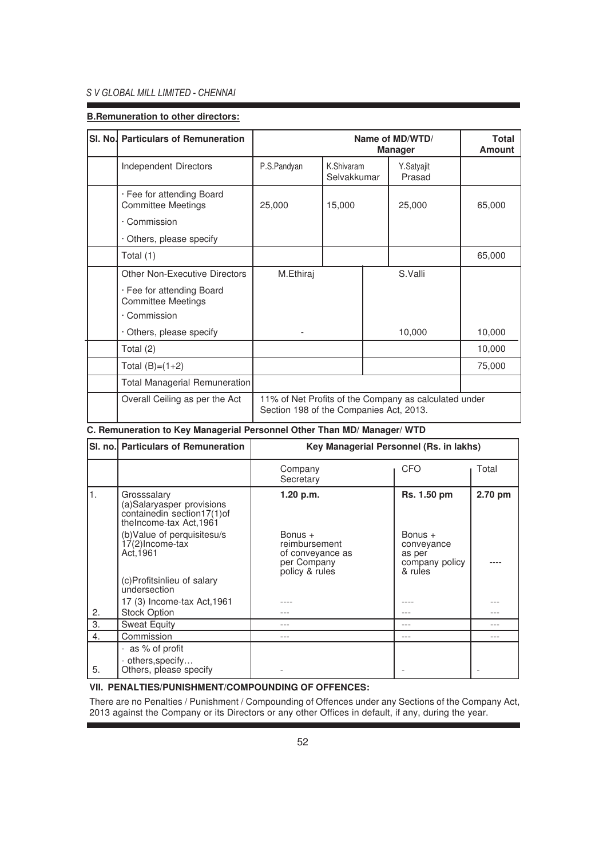## **B.Remuneration to other directors:**

| SI. No. Particulars of Remuneration                                    | Name of MD/WTD/<br><b>Total</b><br><b>Manager</b><br><b>Amount</b>                               |                           |  |                      |        |
|------------------------------------------------------------------------|--------------------------------------------------------------------------------------------------|---------------------------|--|----------------------|--------|
| Independent Directors                                                  | P.S.Pandyan                                                                                      | K.Shivaram<br>Selvakkumar |  | Y.Satyajit<br>Prasad |        |
| · Fee for attending Board<br><b>Committee Meetings</b>                 | 25,000                                                                                           | 15,000                    |  | 25,000               | 65,000 |
| · Commission                                                           |                                                                                                  |                           |  |                      |        |
| Others, please specify                                                 |                                                                                                  |                           |  |                      |        |
| Total (1)                                                              |                                                                                                  |                           |  |                      | 65,000 |
| <b>Other Non-Executive Directors</b>                                   | M.Ethiraj                                                                                        |                           |  | S.Valli              |        |
| · Fee for attending Board<br><b>Committee Meetings</b><br>· Commission |                                                                                                  |                           |  |                      |        |
| Others, please specify                                                 |                                                                                                  |                           |  | 10,000               | 10,000 |
| Total (2)                                                              |                                                                                                  |                           |  |                      | 10,000 |
| Total $(B)=(1+2)$                                                      |                                                                                                  |                           |  |                      | 75,000 |
| <b>Total Managerial Remuneration</b>                                   |                                                                                                  |                           |  |                      |        |
| Overall Ceiling as per the Act                                         | 11% of Net Profits of the Company as calculated under<br>Section 198 of the Companies Act, 2013. |                           |  |                      |        |

# **C. Remuneration to Key Managerial Personnel Other Than MD/ Manager/ WTD**

|    | SI. no. Particulars of Remuneration                                                               | Key Managerial Personnel (Rs. in lakhs)                                       |                                                                |         |  |
|----|---------------------------------------------------------------------------------------------------|-------------------------------------------------------------------------------|----------------------------------------------------------------|---------|--|
|    |                                                                                                   | Company<br>Secretary                                                          | CFO                                                            | Total   |  |
| 1. | Grosssalary<br>(a)Salaryasper provisions<br>containedin section17(1)of<br>thelncome-tax Act, 1961 | 1.20 p.m.                                                                     | Rs. 1.50 pm                                                    | 2.70 pm |  |
|    | (b) Value of perquisitesu/s<br>17(2) Income-tax<br>Act. 1961                                      | Bonus +<br>reimbursement<br>of conveyance as<br>per Company<br>policy & rules | Bonus $+$<br>conveyance<br>as per<br>company policy<br>& rules |         |  |
|    | (c)Profitsinlieu of salary<br>undersection                                                        |                                                                               |                                                                |         |  |
|    | 17 (3) Income-tax Act, 1961                                                                       |                                                                               |                                                                |         |  |
| 2. | <b>Stock Option</b>                                                                               |                                                                               |                                                                |         |  |
| 3. | <b>Sweat Equity</b>                                                                               | ---                                                                           | ---                                                            |         |  |
| 4. | Commission                                                                                        | ---                                                                           | ---                                                            | ---     |  |
|    | - as % of profit                                                                                  |                                                                               |                                                                |         |  |
| 5. | - others, specify<br>Others, please specify                                                       |                                                                               |                                                                |         |  |

# **VII. PENALTIES/PUNISHMENT/COMPOUNDING OF OFFENCES:**

There are no Penalties / Punishment / Compounding of Offences under any Sections of the Company Act, 2013 against the Company or its Directors or any other Offices in default, if any, during the year.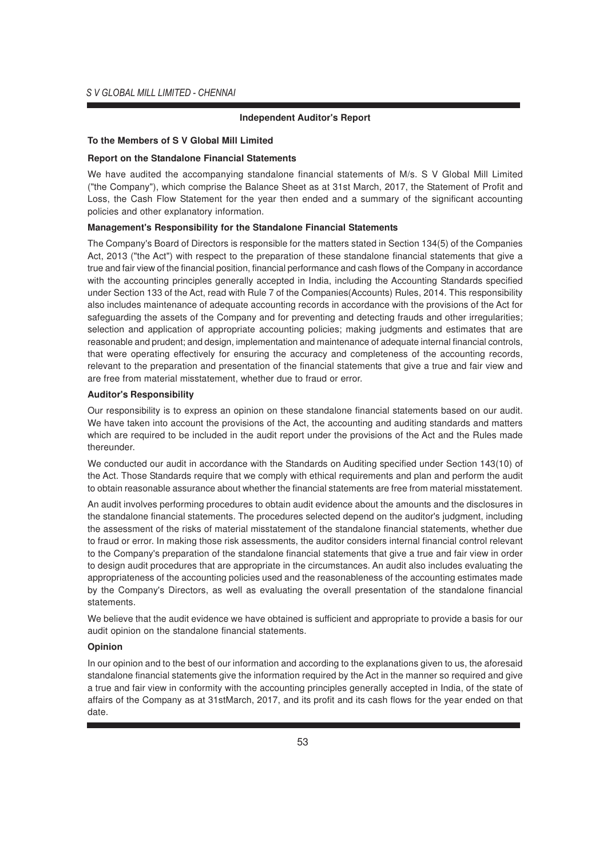#### **Independent Auditor's Report**

#### **To the Members of S V Global Mill Limited**

#### **Report on the Standalone Financial Statements**

We have audited the accompanying standalone financial statements of M/s. S V Global Mill Limited ("the Company"), which comprise the Balance Sheet as at 31st March, 2017, the Statement of Profit and Loss, the Cash Flow Statement for the year then ended and a summary of the significant accounting policies and other explanatory information.

#### **Management's Responsibility for the Standalone Financial Statements**

The Company's Board of Directors is responsible for the matters stated in Section 134(5) of the Companies Act, 2013 ("the Act") with respect to the preparation of these standalone financial statements that give a true and fair view of the financial position, financial performance and cash flows of the Company in accordance with the accounting principles generally accepted in India, including the Accounting Standards specified under Section 133 of the Act, read with Rule 7 of the Companies(Accounts) Rules, 2014. This responsibility also includes maintenance of adequate accounting records in accordance with the provisions of the Act for safeguarding the assets of the Company and for preventing and detecting frauds and other irregularities; selection and application of appropriate accounting policies; making judgments and estimates that are reasonable and prudent; and design, implementation and maintenance of adequate internal financial controls, that were operating effectively for ensuring the accuracy and completeness of the accounting records, relevant to the preparation and presentation of the financial statements that give a true and fair view and are free from material misstatement, whether due to fraud or error.

#### **Auditor's Responsibility**

Our responsibility is to express an opinion on these standalone financial statements based on our audit. We have taken into account the provisions of the Act, the accounting and auditing standards and matters which are required to be included in the audit report under the provisions of the Act and the Rules made thereunder.

We conducted our audit in accordance with the Standards on Auditing specified under Section 143(10) of the Act. Those Standards require that we comply with ethical requirements and plan and perform the audit to obtain reasonable assurance about whether the financial statements are free from material misstatement.

An audit involves performing procedures to obtain audit evidence about the amounts and the disclosures in the standalone financial statements. The procedures selected depend on the auditor's judgment, including the assessment of the risks of material misstatement of the standalone financial statements, whether due to fraud or error. In making those risk assessments, the auditor considers internal financial control relevant to the Company's preparation of the standalone financial statements that give a true and fair view in order to design audit procedures that are appropriate in the circumstances. An audit also includes evaluating the appropriateness of the accounting policies used and the reasonableness of the accounting estimates made by the Company's Directors, as well as evaluating the overall presentation of the standalone financial statements.

We believe that the audit evidence we have obtained is sufficient and appropriate to provide a basis for our audit opinion on the standalone financial statements.

#### **Opinion**

In our opinion and to the best of our information and according to the explanations given to us, the aforesaid standalone financial statements give the information required by the Act in the manner so required and give a true and fair view in conformity with the accounting principles generally accepted in India, of the state of affairs of the Company as at 31stMarch, 2017, and its profit and its cash flows for the year ended on that date.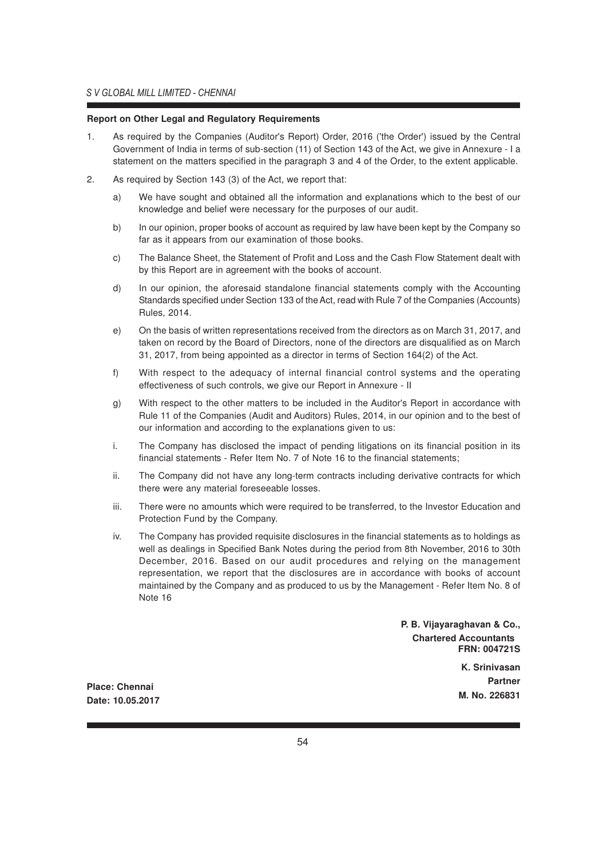#### **Report on Other Legal and Regulatory Requirements**

- 1. As required by the Companies (Auditor's Report) Order, 2016 ('the Order') issued by the Central Government of India in terms of sub-section (11) of Section 143 of the Act, we give in Annexure - I a statement on the matters specified in the paragraph 3 and 4 of the Order, to the extent applicable.
- 2. As required by Section 143 (3) of the Act, we report that:
	- a) We have sought and obtained all the information and explanations which to the best of our knowledge and belief were necessary for the purposes of our audit.
	- b) In our opinion, proper books of account as required by law have been kept by the Company so far as it appears from our examination of those books.
	- c) The Balance Sheet, the Statement of Profit and Loss and the Cash Flow Statement dealt with by this Report are in agreement with the books of account.
	- d) In our opinion, the aforesaid standalone financial statements comply with the Accounting Standards specified under Section 133 of the Act, read with Rule 7 of the Companies (Accounts) Rules, 2014.
	- e) On the basis of written representations received from the directors as on March 31, 2017, and taken on record by the Board of Directors, none of the directors are disqualified as on March 31, 2017, from being appointed as a director in terms of Section 164(2) of the Act.
	- f) With respect to the adequacy of internal financial control systems and the operating effectiveness of such controls, we give our Report in Annexure - II
	- g) With respect to the other matters to be included in the Auditor's Report in accordance with Rule 11 of the Companies (Audit and Auditors) Rules, 2014, in our opinion and to the best of our information and according to the explanations given to us:
	- i. The Company has disclosed the impact of pending litigations on its financial position in its financial statements - Refer Item No. 7 of Note 16 to the financial statements;
	- ii. The Company did not have any long-term contracts including derivative contracts for which there were any material foreseeable losses.
	- iii. There were no amounts which were required to be transferred, to the Investor Education and Protection Fund by the Company.
	- iv. The Company has provided requisite disclosures in the financial statements as to holdings as well as dealings in Specified Bank Notes during the period from 8th November, 2016 to 30th December, 2016. Based on our audit procedures and relying on the management representation, we report that the disclosures are in accordance with books of account maintained by the Company and as produced to us by the Management - Refer Item No. 8 of Note 16

**P. B. Vijayaraghavan & Co., Chartered Accountants FRN: 004721S**

> **K. Srinivasan Partner M. No. 226831**

**Place: Chennai Date: 10.05.2017**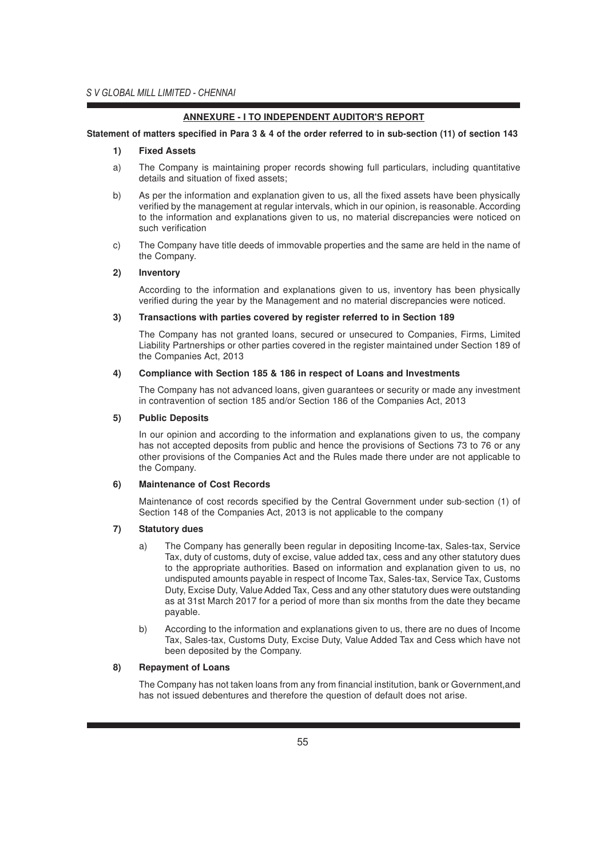#### **ANNEXURE - I TO INDEPENDENT AUDITOR'S REPORT**

#### **Statement of matters specified in Para 3 & 4 of the order referred to in sub-section (11) of section 143**

#### **1) Fixed Assets**

- a) The Company is maintaining proper records showing full particulars, including quantitative details and situation of fixed assets;
- b) As per the information and explanation given to us, all the fixed assets have been physically verified by the management at regular intervals, which in our opinion, is reasonable. According to the information and explanations given to us, no material discrepancies were noticed on such verification
- c) The Company have title deeds of immovable properties and the same are held in the name of the Company.

## **2) Inventory**

According to the information and explanations given to us, inventory has been physically verified during the year by the Management and no material discrepancies were noticed.

#### **3) Transactions with parties covered by register referred to in Section 189**

The Company has not granted loans, secured or unsecured to Companies, Firms, Limited Liability Partnerships or other parties covered in the register maintained under Section 189 of the Companies Act, 2013

#### **4) Compliance with Section 185 & 186 in respect of Loans and Investments**

The Company has not advanced loans, given guarantees or security or made any investment in contravention of section 185 and/or Section 186 of the Companies Act, 2013

### **5) Public Deposits**

In our opinion and according to the information and explanations given to us, the company has not accepted deposits from public and hence the provisions of Sections 73 to 76 or any other provisions of the Companies Act and the Rules made there under are not applicable to the Company.

## **6) Maintenance of Cost Records**

Maintenance of cost records specified by the Central Government under sub-section (1) of Section 148 of the Companies Act, 2013 is not applicable to the company

### **7) Statutory dues**

- a) The Company has generally been regular in depositing Income-tax, Sales-tax, Service Tax, duty of customs, duty of excise, value added tax, cess and any other statutory dues to the appropriate authorities. Based on information and explanation given to us, no undisputed amounts payable in respect of Income Tax, Sales-tax, Service Tax, Customs Duty, Excise Duty, Value Added Tax, Cess and any other statutory dues were outstanding as at 31st March 2017 for a period of more than six months from the date they became payable.
- b) According to the information and explanations given to us, there are no dues of Income Tax, Sales-tax, Customs Duty, Excise Duty, Value Added Tax and Cess which have not been deposited by the Company.

#### **8) Repayment of Loans**

The Company has not taken loans from any from financial institution, bank or Government,and has not issued debentures and therefore the question of default does not arise.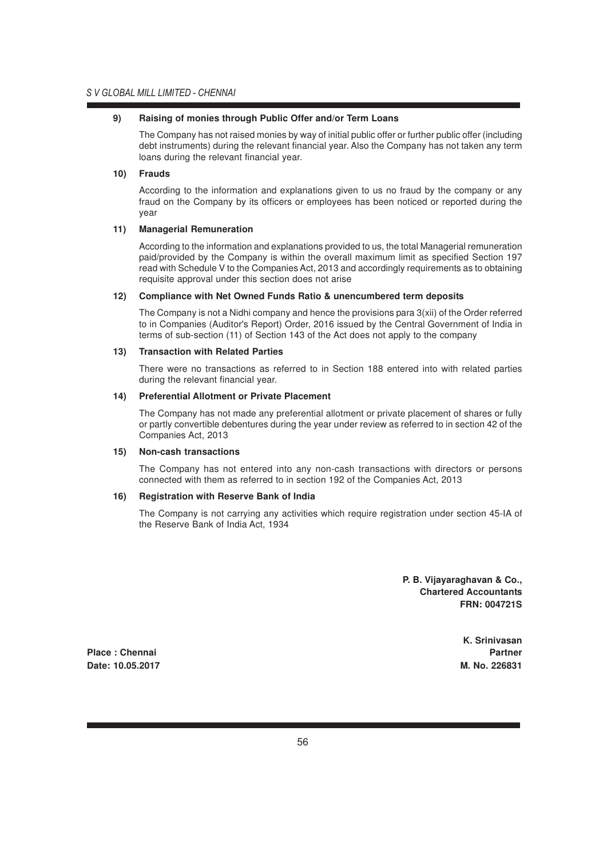### **9) Raising of monies through Public Offer and/or Term Loans**

The Company has not raised monies by way of initial public offer or further public offer (including debt instruments) during the relevant financial year. Also the Company has not taken any term loans during the relevant financial year.

#### **10) Frauds**

According to the information and explanations given to us no fraud by the company or any fraud on the Company by its officers or employees has been noticed or reported during the year

## **11) Managerial Remuneration**

According to the information and explanations provided to us, the total Managerial remuneration paid/provided by the Company is within the overall maximum limit as specified Section 197 read with Schedule V to the Companies Act, 2013 and accordingly requirements as to obtaining requisite approval under this section does not arise

#### **12) Compliance with Net Owned Funds Ratio & unencumbered term deposits**

The Company is not a Nidhi company and hence the provisions para 3(xii) of the Order referred to in Companies (Auditor's Report) Order, 2016 issued by the Central Government of India in terms of sub-section (11) of Section 143 of the Act does not apply to the company

### **13) Transaction with Related Parties**

There were no transactions as referred to in Section 188 entered into with related parties during the relevant financial year.

## **14) Preferential Allotment or Private Placement**

The Company has not made any preferential allotment or private placement of shares or fully or partly convertible debentures during the year under review as referred to in section 42 of the Companies Act, 2013

#### **15) Non-cash transactions**

The Company has not entered into any non-cash transactions with directors or persons connected with them as referred to in section 192 of the Companies Act, 2013

#### **16) Registration with Reserve Bank of India**

The Company is not carrying any activities which require registration under section 45-IA of the Reserve Bank of India Act, 1934

> **P. B. Vijayaraghavan & Co., Chartered Accountants FRN: 004721S**

**Date: 10.05.2017 M. No. 226831**

**K. Srinivasan Place : Chennai Partner**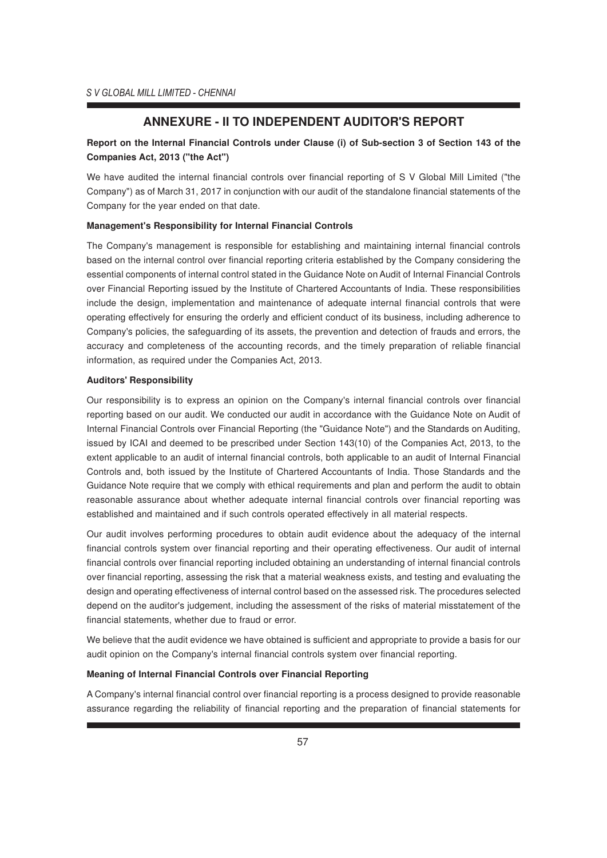# **ANNEXURE - II TO INDEPENDENT AUDITOR'S REPORT**

## **Report on the Internal Financial Controls under Clause (i) of Sub-section 3 of Section 143 of the Companies Act, 2013 ("the Act")**

We have audited the internal financial controls over financial reporting of S V Global Mill Limited ("the Company") as of March 31, 2017 in conjunction with our audit of the standalone financial statements of the Company for the year ended on that date.

#### **Management's Responsibility for Internal Financial Controls**

The Company's management is responsible for establishing and maintaining internal financial controls based on the internal control over financial reporting criteria established by the Company considering the essential components of internal control stated in the Guidance Note on Audit of Internal Financial Controls over Financial Reporting issued by the Institute of Chartered Accountants of India. These responsibilities include the design, implementation and maintenance of adequate internal financial controls that were operating effectively for ensuring the orderly and efficient conduct of its business, including adherence to Company's policies, the safeguarding of its assets, the prevention and detection of frauds and errors, the accuracy and completeness of the accounting records, and the timely preparation of reliable financial information, as required under the Companies Act, 2013.

#### **Auditors' Responsibility**

Our responsibility is to express an opinion on the Company's internal financial controls over financial reporting based on our audit. We conducted our audit in accordance with the Guidance Note on Audit of Internal Financial Controls over Financial Reporting (the "Guidance Note") and the Standards on Auditing, issued by ICAI and deemed to be prescribed under Section 143(10) of the Companies Act, 2013, to the extent applicable to an audit of internal financial controls, both applicable to an audit of Internal Financial Controls and, both issued by the Institute of Chartered Accountants of India. Those Standards and the Guidance Note require that we comply with ethical requirements and plan and perform the audit to obtain reasonable assurance about whether adequate internal financial controls over financial reporting was established and maintained and if such controls operated effectively in all material respects.

Our audit involves performing procedures to obtain audit evidence about the adequacy of the internal financial controls system over financial reporting and their operating effectiveness. Our audit of internal financial controls over financial reporting included obtaining an understanding of internal financial controls over financial reporting, assessing the risk that a material weakness exists, and testing and evaluating the design and operating effectiveness of internal control based on the assessed risk. The procedures selected depend on the auditor's judgement, including the assessment of the risks of material misstatement of the financial statements, whether due to fraud or error.

We believe that the audit evidence we have obtained is sufficient and appropriate to provide a basis for our audit opinion on the Company's internal financial controls system over financial reporting.

#### **Meaning of Internal Financial Controls over Financial Reporting**

A Company's internal financial control over financial reporting is a process designed to provide reasonable assurance regarding the reliability of financial reporting and the preparation of financial statements for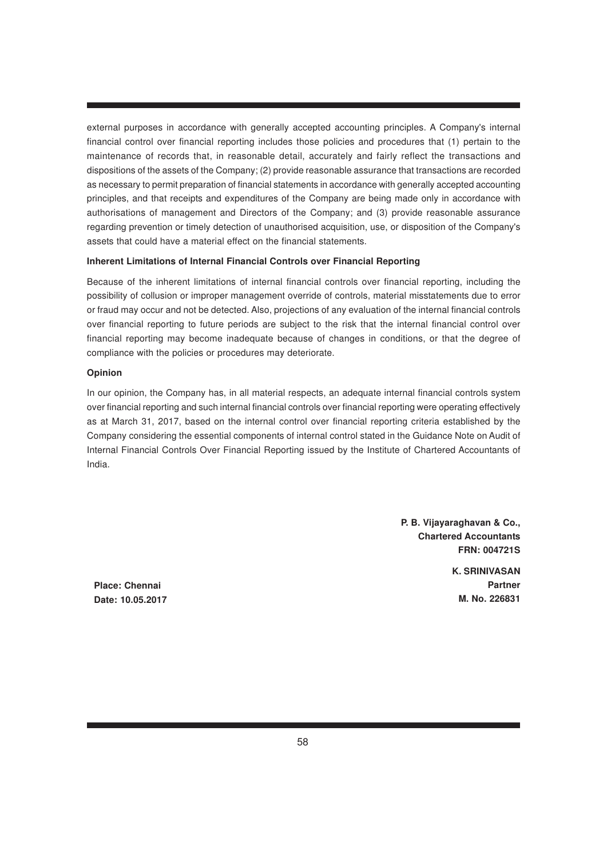external purposes in accordance with generally accepted accounting principles. A Company's internal financial control over financial reporting includes those policies and procedures that (1) pertain to the maintenance of records that, in reasonable detail, accurately and fairly reflect the transactions and dispositions of the assets of the Company; (2) provide reasonable assurance that transactions are recorded as necessary to permit preparation of financial statements in accordance with generally accepted accounting principles, and that receipts and expenditures of the Company are being made only in accordance with authorisations of management and Directors of the Company; and (3) provide reasonable assurance regarding prevention or timely detection of unauthorised acquisition, use, or disposition of the Company's assets that could have a material effect on the financial statements.

#### **Inherent Limitations of Internal Financial Controls over Financial Reporting**

Because of the inherent limitations of internal financial controls over financial reporting, including the possibility of collusion or improper management override of controls, material misstatements due to error or fraud may occur and not be detected. Also, projections of any evaluation of the internal financial controls over financial reporting to future periods are subject to the risk that the internal financial control over financial reporting may become inadequate because of changes in conditions, or that the degree of compliance with the policies or procedures may deteriorate.

## **Opinion**

In our opinion, the Company has, in all material respects, an adequate internal financial controls system over financial reporting and such internal financial controls over financial reporting were operating effectively as at March 31, 2017, based on the internal control over financial reporting criteria established by the Company considering the essential components of internal control stated in the Guidance Note on Audit of Internal Financial Controls Over Financial Reporting issued by the Institute of Chartered Accountants of India.

> **P. B. Vijayaraghavan & Co., Chartered Accountants FRN: 004721S**

> > **K. SRINIVASAN Partner M. No. 226831**

**Place: Chennai Date: 10.05.2017**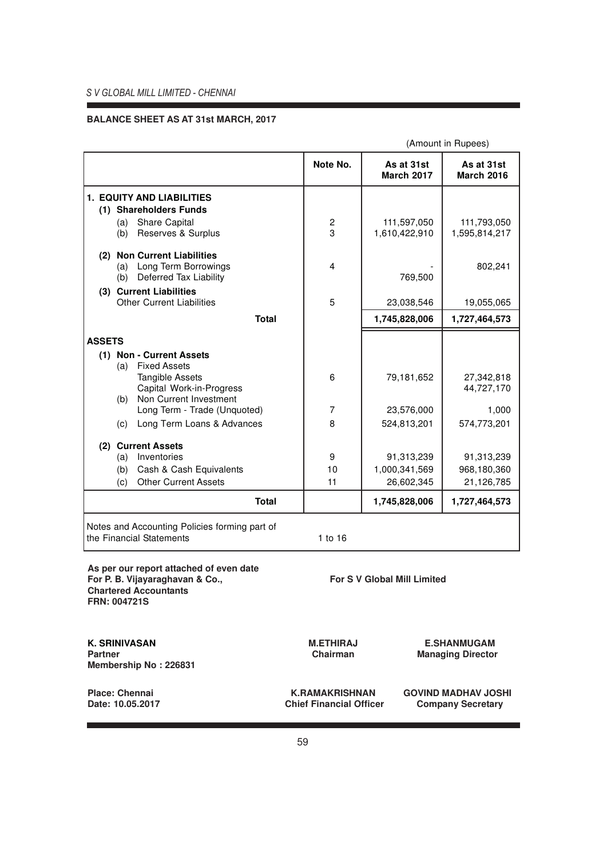# **BALANCE SHEET AS AT 31st MARCH, 2017**

|                                        |                                                                                                                                   | (Amount in Rupees)             |                                    |                                                |  |
|----------------------------------------|-----------------------------------------------------------------------------------------------------------------------------------|--------------------------------|------------------------------------|------------------------------------------------|--|
|                                        |                                                                                                                                   | Note No.                       | As at 31st<br><b>March 2017</b>    | As at 31st<br><b>March 2016</b>                |  |
|                                        | <b>1. EQUITY AND LIABILITIES</b>                                                                                                  |                                |                                    |                                                |  |
|                                        | (1) Shareholders Funds                                                                                                            |                                |                                    |                                                |  |
|                                        | Share Capital<br>(a)<br>(b)<br>Reserves & Surplus                                                                                 | $\overline{c}$<br>3            | 111,597,050<br>1,610,422,910       | 111,793,050<br>1,595,814,217                   |  |
|                                        |                                                                                                                                   |                                |                                    |                                                |  |
| (2)                                    | <b>Non Current Liabilities</b>                                                                                                    |                                |                                    |                                                |  |
|                                        | Long Term Borrowings<br>(a)<br>Deferred Tax Liability<br>(b)                                                                      | 4                              | 769,500                            | 802,241                                        |  |
|                                        | (3) Current Liabilities                                                                                                           |                                |                                    |                                                |  |
|                                        | <b>Other Current Liabilities</b>                                                                                                  | 5                              | 23,038,546                         | 19,055,065                                     |  |
|                                        | <b>Total</b>                                                                                                                      |                                | 1,745,828,006                      | 1,727,464,573                                  |  |
| <b>ASSETS</b>                          |                                                                                                                                   |                                |                                    |                                                |  |
|                                        | (1) Non - Current Assets                                                                                                          |                                |                                    |                                                |  |
|                                        | <b>Fixed Assets</b><br>(a)                                                                                                        |                                |                                    |                                                |  |
|                                        | <b>Tangible Assets</b>                                                                                                            | 6                              | 79,181,652                         | 27,342,818                                     |  |
|                                        | Capital Work-in-Progress<br>(b) Non Current Investment                                                                            |                                |                                    | 44,727,170                                     |  |
|                                        | Long Term - Trade (Unquoted)                                                                                                      | 7                              | 23,576,000                         | 1,000                                          |  |
|                                        | (c)<br>Long Term Loans & Advances                                                                                                 | 8                              | 524,813,201                        | 574,773,201                                    |  |
|                                        | (2) Current Assets                                                                                                                |                                |                                    |                                                |  |
|                                        | (a) Inventories                                                                                                                   | 9                              | 91,313,239                         | 91,313,239                                     |  |
|                                        | Cash & Cash Equivalents<br>(b)                                                                                                    | 10                             | 1,000,341,569                      | 968,180,360                                    |  |
|                                        | <b>Other Current Assets</b><br>(c)                                                                                                | 11                             | 26,602,345                         | 21,126,785                                     |  |
|                                        | <b>Total</b>                                                                                                                      |                                | 1,745,828,006                      | 1,727,464,573                                  |  |
|                                        | Notes and Accounting Policies forming part of                                                                                     |                                |                                    |                                                |  |
|                                        | the Financial Statements                                                                                                          | 1 to 16                        |                                    |                                                |  |
|                                        | As per our report attached of even date<br>For P. B. Vijayaraghavan & Co.,<br><b>Chartered Accountants</b><br><b>FRN: 004721S</b> |                                | <b>For S V Global Mill Limited</b> |                                                |  |
|                                        |                                                                                                                                   |                                |                                    |                                                |  |
|                                        |                                                                                                                                   |                                |                                    |                                                |  |
| <b>K. SRINIVASAN</b><br><b>Partner</b> |                                                                                                                                   | <b>M.ETHIRAJ</b><br>Chairman   |                                    | <b>E.SHANMUGAM</b><br><b>Managing Director</b> |  |
|                                        | Membership No: 226831                                                                                                             |                                |                                    |                                                |  |
|                                        | <b>Place: Chennai</b>                                                                                                             | <b>K.RAMAKRISHNAN</b>          |                                    | <b>GOVIND MADHAV JOSHI</b>                     |  |
| Date: 10.05.2017                       |                                                                                                                                   | <b>Chief Financial Officer</b> |                                    | <b>Company Secretary</b>                       |  |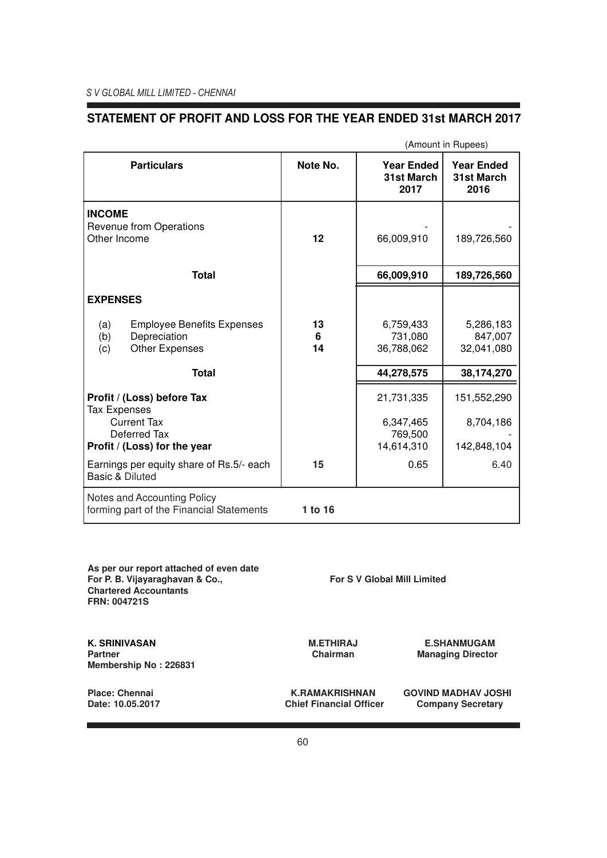# **STATEMENT OF PROFIT AND LOSS FOR THE YEAR ENDED 31st MARCH 2017**

| (Amount in Rupees)                                                                                               |               |                                                  |                                         |  |
|------------------------------------------------------------------------------------------------------------------|---------------|--------------------------------------------------|-----------------------------------------|--|
| <b>Particulars</b>                                                                                               | Note No.      | <b>Year Ended</b><br>31st March<br>2017          | <b>Year Ended</b><br>31st March<br>2016 |  |
| <b>INCOME</b><br><b>Revenue from Operations</b><br>Other Income                                                  | 12            | 66,009,910                                       | 189,726,560                             |  |
| <b>Total</b>                                                                                                     |               | 66,009,910                                       | 189,726,560                             |  |
| <b>EXPENSES</b>                                                                                                  |               |                                                  |                                         |  |
| <b>Employee Benefits Expenses</b><br>(a)<br>(b)<br>Depreciation<br><b>Other Expenses</b><br>(c)                  | 13<br>6<br>14 | 6,759,433<br>731,080<br>36,788,062               | 5,286,183<br>847,007<br>32,041,080      |  |
| <b>Total</b>                                                                                                     |               | 44,278,575                                       | 38,174,270                              |  |
| Profit / (Loss) before Tax<br>Tax Expenses<br><b>Current Tax</b><br>Deferred Tax<br>Profit / (Loss) for the year |               | 21,731,335<br>6,347,465<br>769,500<br>14,614,310 | 151,552,290<br>8,704,186<br>142,848,104 |  |
| Earnings per equity share of Rs.5/- each<br><b>Basic &amp; Diluted</b>                                           | 15            | 0.65                                             | 6.40                                    |  |
| Notes and Accounting Policy<br>forming part of the Financial Statements                                          | 1 to 16       |                                                  |                                         |  |

| As per our report attached of even date<br>For P. B. Vijayaraghavan & Co.,<br><b>Chartered Accountants</b><br><b>FRN: 004721S</b> | <b>For S V Global Mill Limited</b>                      |                                                        |  |
|-----------------------------------------------------------------------------------------------------------------------------------|---------------------------------------------------------|--------------------------------------------------------|--|
| <b>K. SRINIVASAN</b><br><b>Partner</b><br>Membership No: 226831                                                                   | <b>M.ETHIRAJ</b><br>Chairman                            | <b>E.SHANMUGAM</b><br><b>Managing Director</b>         |  |
| <b>Place: Chennai</b><br>Date: 10.05.2017                                                                                         | <b>K.RAMAKRISHNAN</b><br><b>Chief Financial Officer</b> | <b>GOVIND MADHAV JOSHI</b><br><b>Company Secretary</b> |  |

60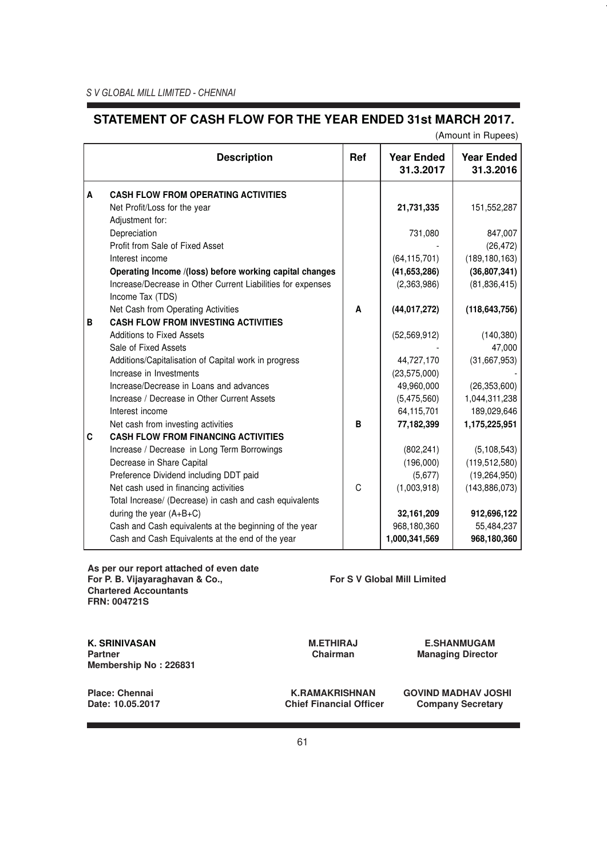# **STATEMENT OF CASH FLOW FOR THE YEAR ENDED 31st MARCH 2017.**

|             | (Amount in Rupees)                                          |             |                                |                                |  |
|-------------|-------------------------------------------------------------|-------------|--------------------------------|--------------------------------|--|
|             | <b>Description</b>                                          | Ref         | <b>Year Ended</b><br>31.3.2017 | <b>Year Ended</b><br>31.3.2016 |  |
| A           | <b>CASH FLOW FROM OPERATING ACTIVITIES</b>                  |             |                                |                                |  |
|             | Net Profit/Loss for the year                                |             | 21,731,335                     | 151,552,287                    |  |
|             | Adjustment for:                                             |             |                                |                                |  |
|             | Depreciation                                                |             | 731,080                        | 847,007                        |  |
|             | Profit from Sale of Fixed Asset                             |             |                                | (26, 472)                      |  |
|             | Interest income                                             |             | (64, 115, 701)                 | (189, 180, 163)                |  |
|             | Operating Income /(loss) before working capital changes     |             | (41,653,286)                   | (36,807,341)                   |  |
|             | Increase/Decrease in Other Current Liabilities for expenses |             | (2,363,986)                    | (81, 836, 415)                 |  |
|             | Income Tax (TDS)                                            |             |                                |                                |  |
|             | Net Cash from Operating Activities                          | A           | (44, 017, 272)                 | (118, 643, 756)                |  |
| B           | <b>CASH FLOW FROM INVESTING ACTIVITIES</b>                  |             |                                |                                |  |
|             | <b>Additions to Fixed Assets</b>                            |             | (52, 569, 912)                 | (140, 380)                     |  |
|             | Sale of Fixed Assets                                        |             |                                | 47,000                         |  |
|             | Additions/Capitalisation of Capital work in progress        |             | 44,727,170                     | (31,667,953)                   |  |
|             | Increase in Investments                                     |             | (23, 575, 000)                 |                                |  |
|             | Increase/Decrease in Loans and advances                     |             | 49,960,000                     | (26, 353, 600)                 |  |
|             | Increase / Decrease in Other Current Assets                 |             | (5,475,560)                    | 1,044,311,238                  |  |
|             | Interest income                                             |             | 64,115,701                     | 189,029,646                    |  |
|             | Net cash from investing activities                          | B           | 77,182,399                     | 1,175,225,951                  |  |
| $\mathbf c$ | <b>CASH FLOW FROM FINANCING ACTIVITIES</b>                  |             |                                |                                |  |
|             | Increase / Decrease in Long Term Borrowings                 |             | (802, 241)                     | (5, 108, 543)                  |  |
|             | Decrease in Share Capital                                   |             | (196,000)                      | (119, 512, 580)                |  |
|             | Preference Dividend including DDT paid                      |             | (5,677)                        | (19, 264, 950)                 |  |
|             | Net cash used in financing activities                       | $\mathsf C$ | (1,003,918)                    | (143, 886, 073)                |  |
|             | Total Increase/ (Decrease) in cash and cash equivalents     |             |                                |                                |  |
|             | during the year $(A+B+C)$                                   |             | 32,161,209                     | 912,696,122                    |  |
|             | Cash and Cash equivalents at the beginning of the year      |             | 968,180,360                    | 55,484,237                     |  |
|             | Cash and Cash Equivalents at the end of the year            |             | 1,000,341,569                  | 968,180,360                    |  |

**As per our report attached of even date For P. B. Vijayaraghavan & Co., For S V Global Mill Limited Chartered Accountants FRN: 004721S**

**K. SRINIVASAN M.ETHIRAJ E.SHANMUGAM Partner Chairman Managing Director Membership No : 226831**

**Chief Financial Officer** 

**Place: Chennai Channal <b>K.RAMAKRISHNAN GOVIND MADHAV JOSHI**<br> **Date: 10.05.2017 Chief Financial Officer Company Secretary**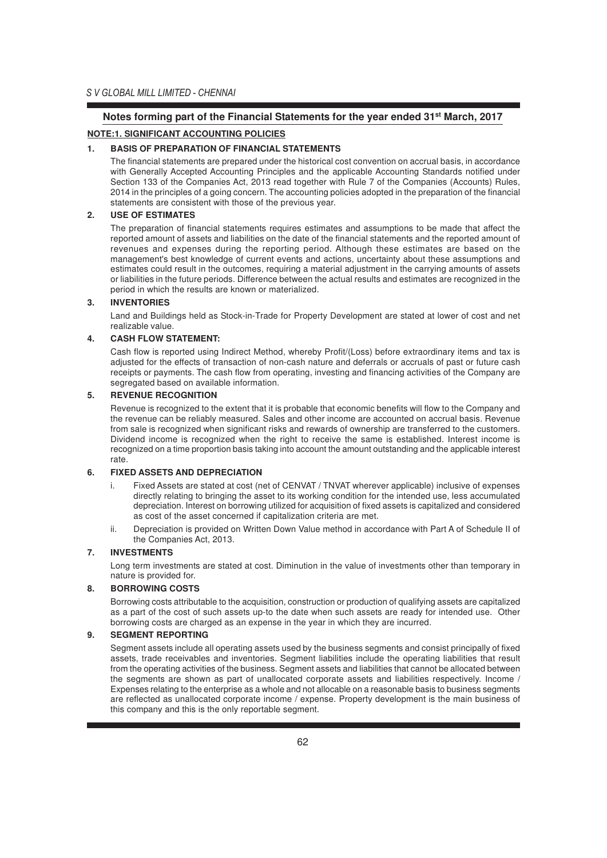### **Notes forming part of the Financial Statements for the year ended 31st March, 2017**

## **NOTE:1. SIGNIFICANT ACCOUNTING POLICIES**

#### **1. BASIS OF PREPARATION OF FINANCIAL STATEMENTS**

The financial statements are prepared under the historical cost convention on accrual basis, in accordance with Generally Accepted Accounting Principles and the applicable Accounting Standards notified under Section 133 of the Companies Act, 2013 read together with Rule 7 of the Companies (Accounts) Rules, 2014 in the principles of a going concern. The accounting policies adopted in the preparation of the financial statements are consistent with those of the previous year.

#### **2. USE OF ESTIMATES**

The preparation of financial statements requires estimates and assumptions to be made that affect the reported amount of assets and liabilities on the date of the financial statements and the reported amount of revenues and expenses during the reporting period. Although these estimates are based on the management's best knowledge of current events and actions, uncertainty about these assumptions and estimates could result in the outcomes, requiring a material adjustment in the carrying amounts of assets or liabilities in the future periods. Difference between the actual results and estimates are recognized in the period in which the results are known or materialized.

#### **3. INVENTORIES**

Land and Buildings held as Stock-in-Trade for Property Development are stated at lower of cost and net realizable value.

#### **4. CASH FLOW STATEMENT:**

Cash flow is reported using Indirect Method, whereby Profit/(Loss) before extraordinary items and tax is adjusted for the effects of transaction of non-cash nature and deferrals or accruals of past or future cash receipts or payments. The cash flow from operating, investing and financing activities of the Company are segregated based on available information.

## **5. REVENUE RECOGNITION**

Revenue is recognized to the extent that it is probable that economic benefits will flow to the Company and the revenue can be reliably measured. Sales and other income are accounted on accrual basis. Revenue from sale is recognized when significant risks and rewards of ownership are transferred to the customers. Dividend income is recognized when the right to receive the same is established. Interest income is recognized on a time proportion basis taking into account the amount outstanding and the applicable interest rate.

### **6. FIXED ASSETS AND DEPRECIATION**

- i. Fixed Assets are stated at cost (net of CENVAT / TNVAT wherever applicable) inclusive of expenses directly relating to bringing the asset to its working condition for the intended use, less accumulated depreciation. Interest on borrowing utilized for acquisition of fixed assets is capitalized and considered as cost of the asset concerned if capitalization criteria are met.
- ii. Depreciation is provided on Written Down Value method in accordance with Part A of Schedule II of the Companies Act, 2013.

#### **7. INVESTMENTS**

Long term investments are stated at cost. Diminution in the value of investments other than temporary in nature is provided for.

#### **8. BORROWING COSTS**

Borrowing costs attributable to the acquisition, construction or production of qualifying assets are capitalized as a part of the cost of such assets up-to the date when such assets are ready for intended use. Other borrowing costs are charged as an expense in the year in which they are incurred.

#### **9. SEGMENT REPORTING**

Segment assets include all operating assets used by the business segments and consist principally of fixed assets, trade receivables and inventories. Segment liabilities include the operating liabilities that result from the operating activities of the business. Segment assets and liabilities that cannot be allocated between the segments are shown as part of unallocated corporate assets and liabilities respectively. Income / Expenses relating to the enterprise as a whole and not allocable on a reasonable basis to business segments are reflected as unallocated corporate income / expense. Property development is the main business of this company and this is the only reportable segment.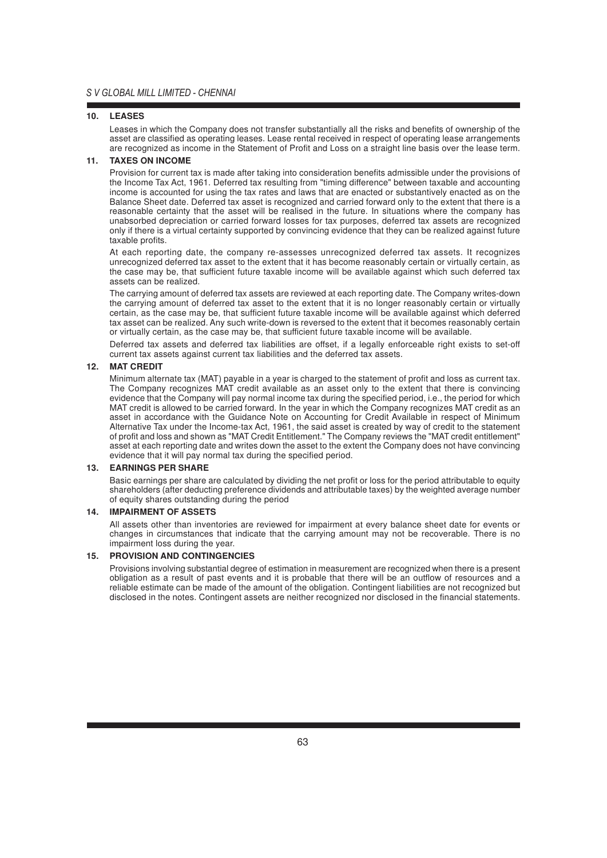#### **10. LEASES**

Leases in which the Company does not transfer substantially all the risks and benefits of ownership of the asset are classified as operating leases. Lease rental received in respect of operating lease arrangements are recognized as income in the Statement of Profit and Loss on a straight line basis over the lease term.

#### **11. TAXES ON INCOME**

Provision for current tax is made after taking into consideration benefits admissible under the provisions of the Income Tax Act, 1961. Deferred tax resulting from "timing difference" between taxable and accounting income is accounted for using the tax rates and laws that are enacted or substantively enacted as on the Balance Sheet date. Deferred tax asset is recognized and carried forward only to the extent that there is a reasonable certainty that the asset will be realised in the future. In situations where the company has unabsorbed depreciation or carried forward losses for tax purposes, deferred tax assets are recognized only if there is a virtual certainty supported by convincing evidence that they can be realized against future taxable profits.

At each reporting date, the company re-assesses unrecognized deferred tax assets. It recognizes unrecognized deferred tax asset to the extent that it has become reasonably certain or virtually certain, as the case may be, that sufficient future taxable income will be available against which such deferred tax assets can be realized.

The carrying amount of deferred tax assets are reviewed at each reporting date. The Company writes-down the carrying amount of deferred tax asset to the extent that it is no longer reasonably certain or virtually certain, as the case may be, that sufficient future taxable income will be available against which deferred tax asset can be realized. Any such write-down is reversed to the extent that it becomes reasonably certain or virtually certain, as the case may be, that sufficient future taxable income will be available.

Deferred tax assets and deferred tax liabilities are offset, if a legally enforceable right exists to set-off current tax assets against current tax liabilities and the deferred tax assets.

#### **12. MAT CREDIT**

Minimum alternate tax (MAT) payable in a year is charged to the statement of profit and loss as current tax. The Company recognizes MAT credit available as an asset only to the extent that there is convincing evidence that the Company will pay normal income tax during the specified period, i.e., the period for which MAT credit is allowed to be carried forward. In the year in which the Company recognizes MAT credit as an asset in accordance with the Guidance Note on Accounting for Credit Available in respect of Minimum Alternative Tax under the Income-tax Act, 1961, the said asset is created by way of credit to the statement of profit and loss and shown as "MAT Credit Entitlement." The Company reviews the "MAT credit entitlement" asset at each reporting date and writes down the asset to the extent the Company does not have convincing evidence that it will pay normal tax during the specified period.

## **13. EARNINGS PER SHARE**

Basic earnings per share are calculated by dividing the net profit or loss for the period attributable to equity shareholders (after deducting preference dividends and attributable taxes) by the weighted average number of equity shares outstanding during the period

#### **14. IMPAIRMENT OF ASSETS**

All assets other than inventories are reviewed for impairment at every balance sheet date for events or changes in circumstances that indicate that the carrying amount may not be recoverable. There is no impairment loss during the year.

#### **15. PROVISION AND CONTINGENCIES**

Provisions involving substantial degree of estimation in measurement are recognized when there is a present obligation as a result of past events and it is probable that there will be an outflow of resources and a reliable estimate can be made of the amount of the obligation. Contingent liabilities are not recognized but disclosed in the notes. Contingent assets are neither recognized nor disclosed in the financial statements.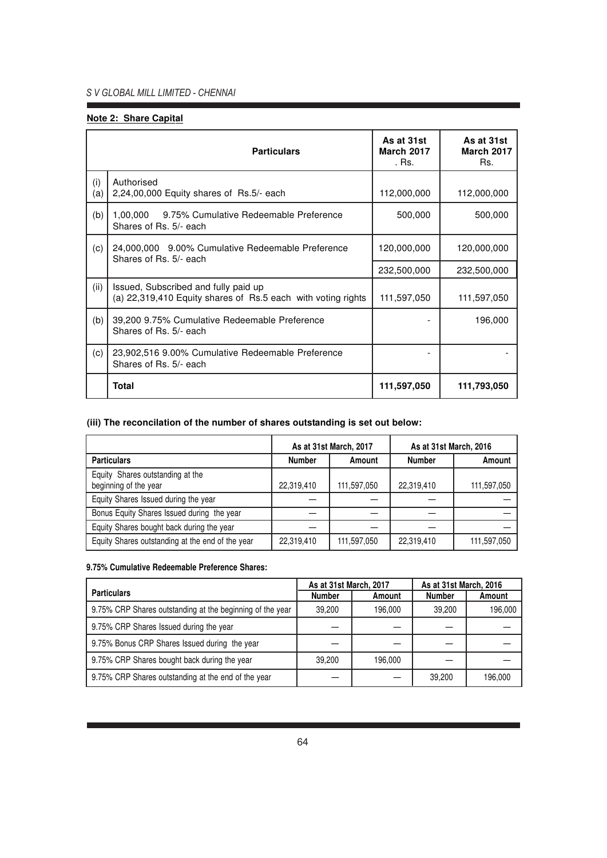# **Note 2: Share Capital**

|            | <b>Particulars</b>                                                                                   | As at 31st<br><b>March 2017</b><br>. Rs. | As at 31st<br><b>March 2017</b><br>Rs. |
|------------|------------------------------------------------------------------------------------------------------|------------------------------------------|----------------------------------------|
| (i)<br>(a) | Authorised<br>2,24,00,000 Equity shares of Rs.5/- each                                               | 112,000,000                              | 112,000,000                            |
| (b)        | 1,00,000 9.75% Cumulative Redeemable Preference<br>Shares of Rs. 5/- each                            | 500,000                                  | 500,000                                |
| (c)        | 24,000,000 9.00% Cumulative Redeemable Preference<br>Shares of Rs. 5/- each                          | 120,000,000                              | 120,000,000                            |
|            |                                                                                                      | 232,500,000                              | 232,500,000                            |
| (ii)       | Issued, Subscribed and fully paid up<br>(a) 22,319,410 Equity shares of Rs.5 each with voting rights | 111,597,050                              | 111,597,050                            |
| (b)        | 39,200 9.75% Cumulative Redeemable Preference<br>Shares of Rs. 5/- each                              |                                          | 196,000                                |
| (c)        | 23,902,516 9.00% Cumulative Redeemable Preference<br>Shares of Rs. 5/- each                          |                                          |                                        |
|            | <b>Total</b>                                                                                         | 111,597,050                              | 111,793,050                            |

# **(iii) The reconcilation of the number of shares outstanding is set out below:**

|                                                           | As at 31st March, 2017 |             | As at 31st March, 2016 |               |
|-----------------------------------------------------------|------------------------|-------------|------------------------|---------------|
| <b>Particulars</b>                                        | <b>Number</b>          | Amount      | <b>Number</b>          | <b>Amount</b> |
| Equity Shares outstanding at the<br>beginning of the year | 22,319,410             | 111,597,050 | 22,319,410             | 111,597,050   |
| Equity Shares Issued during the year                      |                        |             |                        |               |
| Bonus Equity Shares Issued during the year                |                        |             |                        |               |
| Equity Shares bought back during the year                 |                        |             |                        |               |
| Equity Shares outstanding at the end of the year          | 22,319,410             | 111,597,050 | 22,319,410             | 111,597,050   |

## **9.75% Cumulative Redeemable Preference Shares:**

|                                                           | As at 31st March, 2017 |         | As at 31st March, 2016 |         |
|-----------------------------------------------------------|------------------------|---------|------------------------|---------|
| <b>Particulars</b>                                        | <b>Number</b>          | Amount  | <b>Number</b>          | Amount  |
| 9.75% CRP Shares outstanding at the beginning of the year | 39,200                 | 196,000 | 39,200                 | 196,000 |
| 9.75% CRP Shares Issued during the year                   |                        |         |                        |         |
| 9.75% Bonus CRP Shares Issued during the year             |                        |         |                        |         |
| 9.75% CRP Shares bought back during the year              | 39,200                 | 196,000 |                        |         |
| 9.75% CRP Shares outstanding at the end of the year       |                        |         | 39,200                 | 196,000 |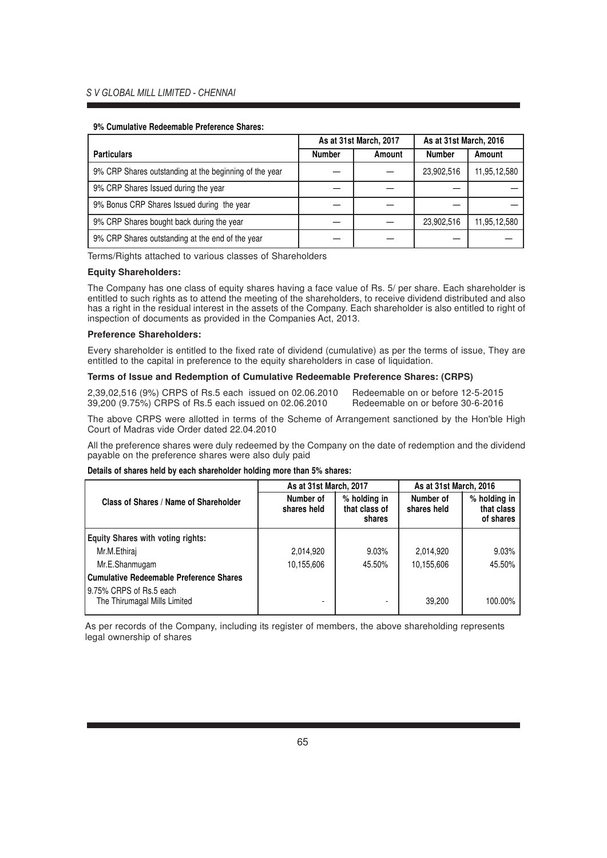#### **9% Cumulative Redeemable Preference Shares:**

|                                                        | As at 31st March, 2017 |        | As at 31st March, 2016 |               |
|--------------------------------------------------------|------------------------|--------|------------------------|---------------|
| <b>Particulars</b>                                     | <b>Number</b>          | Amount | <b>Number</b>          | <b>Amount</b> |
| 9% CRP Shares outstanding at the beginning of the year |                        |        | 23,902,516             | 11,95,12,580  |
| 9% CRP Shares Issued during the year                   |                        |        |                        |               |
| 9% Bonus CRP Shares Issued during the year             |                        |        |                        |               |
| 9% CRP Shares bought back during the year              |                        |        | 23,902,516             | 11,95,12,580  |
| 9% CRP Shares outstanding at the end of the year       |                        |        |                        |               |

Terms/Rights attached to various classes of Shareholders

#### **Equity Shareholders:**

The Company has one class of equity shares having a face value of Rs. 5/ per share. Each shareholder is entitled to such rights as to attend the meeting of the shareholders, to receive dividend distributed and also has a right in the residual interest in the assets of the Company. Each shareholder is also entitled to right of inspection of documents as provided in the Companies Act, 2013.

#### **Preference Shareholders:**

Every shareholder is entitled to the fixed rate of dividend (cumulative) as per the terms of issue, They are entitled to the capital in preference to the equity shareholders in case of liquidation.

#### **Terms of Issue and Redemption of Cumulative Redeemable Preference Shares: (CRPS)**

2,39,02,516 (9%) CRPS of Rs.5 each issued on 02.06.2010 Redeemable on or before 12-5-2015 39,200 (9.75%) CRPS of Rs.5 each issued on 02.06.2010

The above CRPS were allotted in terms of the Scheme of Arrangement sanctioned by the Hon'ble High Court of Madras vide Order dated 22.04.2010

All the preference shares were duly redeemed by the Company on the date of redemption and the dividend payable on the preference shares were also duly paid

#### **Details of shares held by each shareholder holding more than 5% shares:**

|                                                          | As at 31st March, 2017   |                                         | As at 31st March, 2016   |                                         |
|----------------------------------------------------------|--------------------------|-----------------------------------------|--------------------------|-----------------------------------------|
| Class of Shares / Name of Shareholder                    | Number of<br>shares held | % holding in<br>that class of<br>shares | Number of<br>shares held | % holding in<br>that class<br>of shares |
| <b>Equity Shares with voting rights:</b>                 |                          |                                         |                          |                                         |
| Mr.M.Ethiraj                                             | 2,014,920                | 9.03%                                   | 2,014,920                | 9.03%                                   |
| Mr.E.Shanmugam                                           | 10,155,606               | 45.50%                                  | 10,155,606               | 45.50%                                  |
| <b>Cumulative Redeemable Preference Shares</b>           |                          |                                         |                          |                                         |
| 19.75% CRPS of Rs.5 each<br>The Thirumagal Mills Limited |                          |                                         | 39,200                   | 100.00%                                 |

As per records of the Company, including its register of members, the above shareholding represents legal ownership of shares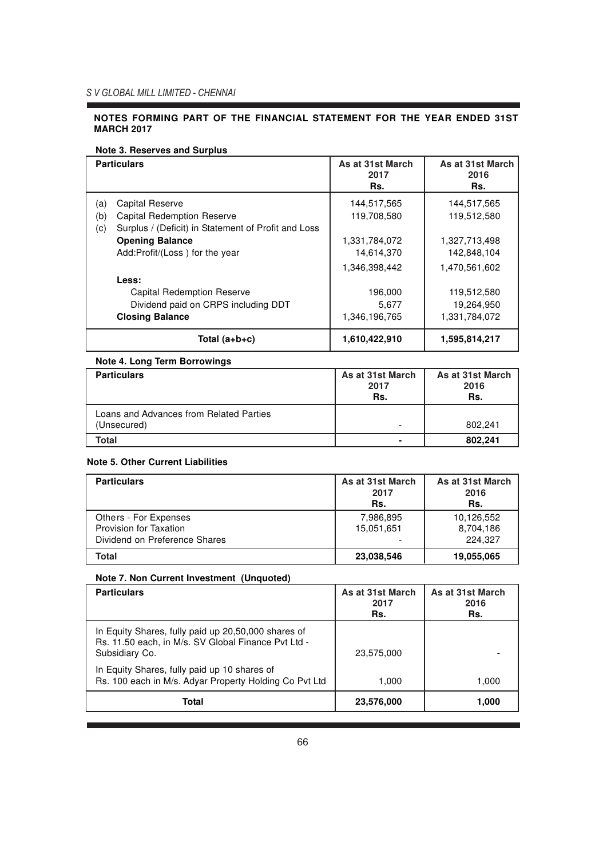## **Note 3. Reserves and Surplus**

| <b>Particulars</b>                                         | As at 31st March<br>2017<br>Rs. | As at 31st March<br>2016<br>Rs. |
|------------------------------------------------------------|---------------------------------|---------------------------------|
| <b>Capital Reserve</b><br>(a)                              | 144,517,565                     | 144,517,565                     |
| <b>Capital Redemption Reserve</b><br>(b)                   | 119,708,580                     | 119,512,580                     |
| Surplus / (Deficit) in Statement of Profit and Loss<br>(c) |                                 |                                 |
| <b>Opening Balance</b>                                     | 1,331,784,072                   | 1,327,713,498                   |
| Add:Profit/(Loss) for the year                             | 14,614,370                      | 142,848,104                     |
|                                                            | 1.346.398.442                   | 1,470,561,602                   |
| Less:                                                      |                                 |                                 |
| <b>Capital Redemption Reserve</b>                          | 196,000                         | 119,512,580                     |
| Dividend paid on CRPS including DDT                        | 5,677                           | 19,264,950                      |
| <b>Closing Balance</b>                                     | 1,346,196,765                   | 1,331,784,072                   |
| Total $(a+b+c)$                                            | 1,610,422,910                   | 1,595,814,217                   |

## **Note 4. Long Term Borrowings**

| <b>Particulars</b>                                     | As at 31st March<br>2017<br>Rs. | As at 31st March<br>2016<br>Rs. |
|--------------------------------------------------------|---------------------------------|---------------------------------|
| Loans and Advances from Related Parties<br>(Unsecured) | $\overline{\phantom{a}}$        | 802.241                         |
| Total                                                  |                                 | 802.241                         |

## **Note 5. Other Current Liabilities**

| <b>Particulars</b>                                                               | As at 31st March<br>2017<br>Rs. | As at 31st March<br>2016<br>Rs.    |
|----------------------------------------------------------------------------------|---------------------------------|------------------------------------|
| Others - For Expenses<br>Provision for Taxation<br>Dividend on Preference Shares | 7,986,895<br>15,051,651         | 10,126,552<br>8,704,186<br>224.327 |
| Total                                                                            | 23.038,546                      | 19,055,065                         |

# **Note 7. Non Current Investment (Unquoted)**

| <b>Particulars</b>                                                                                                           | As at 31st March<br>2017<br>Rs. | As at 31st March<br>2016<br>Rs. |
|------------------------------------------------------------------------------------------------------------------------------|---------------------------------|---------------------------------|
| In Equity Shares, fully paid up 20,50,000 shares of<br>Rs. 11.50 each, in M/s. SV Global Finance Pvt Ltd -<br>Subsidiary Co. | 23,575,000                      |                                 |
| In Equity Shares, fully paid up 10 shares of<br>Rs. 100 each in M/s. Adyar Property Holding Co Pvt Ltd                       | 1.000                           | 1,000                           |
| Total                                                                                                                        | 23,576,000                      | 1,000                           |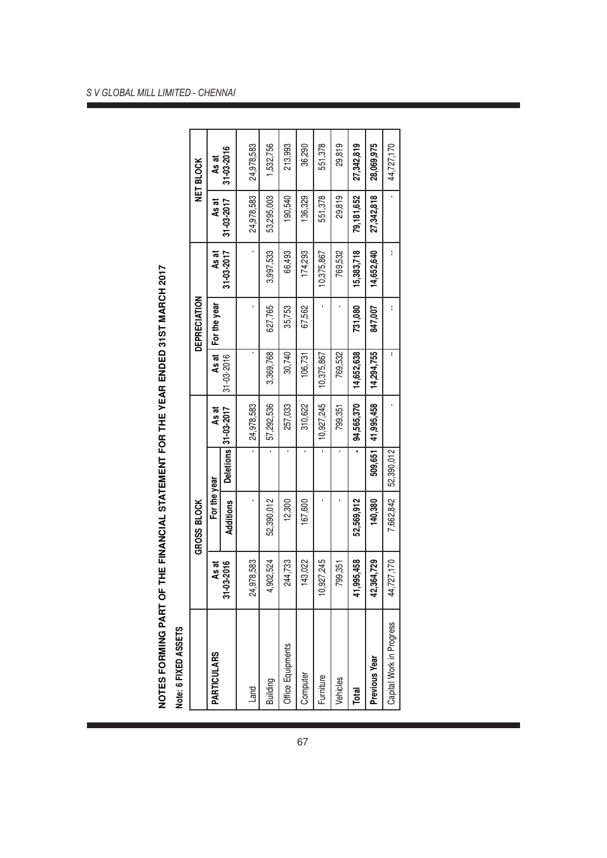| NOTES FORMING PART OF THE FINANCIAL STATEMENT FOR THE YEAR ENDED 31ST MARCH 2017 |                                         |
|----------------------------------------------------------------------------------|-----------------------------------------|
|                                                                                  |                                         |
|                                                                                  |                                         |
|                                                                                  |                                         |
|                                                                                  |                                         |
|                                                                                  | NOTE: 0 FIAEL ASSE IS<br>Lota CLYCH ACK |
|                                                                                  |                                         |

Note: 6 FIXED ASSETS

|                          |                          | GROSS BLOCK  |            |            |                  | DEPRECIATION |            |            | <b>NET BLOCK</b> |
|--------------------------|--------------------------|--------------|------------|------------|------------------|--------------|------------|------------|------------------|
| <b>PARTICULARS</b>       | As at                    | For the year |            | As at      | As at            | For the year | As at      | As at      | As at            |
|                          | $-2016$<br>$31 - 03 - 1$ | Additions    | Deletions  | 31-03-2017 | $31 - 03 - 2016$ |              | 31-03-2017 | 31-03-2017 | 31-03-2016       |
| Land                     | 78,583<br>24,97          |              |            | 24,978,583 |                  |              |            | 24,978,583 | 24,978,583       |
| Building                 | 4,902,524                | 52,390,012   |            | 57,292,536 | 3,369,768        | 627,765      | 3,997,533  | 53,295,003 | 1,532,756        |
| Office Equipments        | 244,733                  | 12,300       |            | 257,033    | 30,740           | 35,753       | 66,493     | 190,540    | 213,993          |
| Computer                 | 143,022                  | 167,600      |            | 310,622    | 106,731          | 67,562       | 174,293    | 136,329    | 36,290           |
| Furniture                | 10,927,245               |              |            | 10,927,245 | 10,375,867       |              | 10,375,867 | 551,378    | 551,378          |
| Vehicles                 | 799,351                  |              |            | 799,351    | 769,532          |              | 769,532    | 29,819     | 29,819           |
| Total                    | 41,995,458               | 52,569,912   |            | 94,565,370 | 14,652,638       | 731,080      | 15,383,718 | 79,181,652 | 27,342,819       |
| Previous Year            | 42,364,729               | 140,380      | 509,651    | 41,995,458 | 14,294,755       | 847,007      | 14,652,640 | 27,342,818 | 28,069,975       |
| Capital Work in Progress | 44,727,170               | 7,662,842    | 52,390,012 |            | I                | I            | ł          |            | 44,727,170       |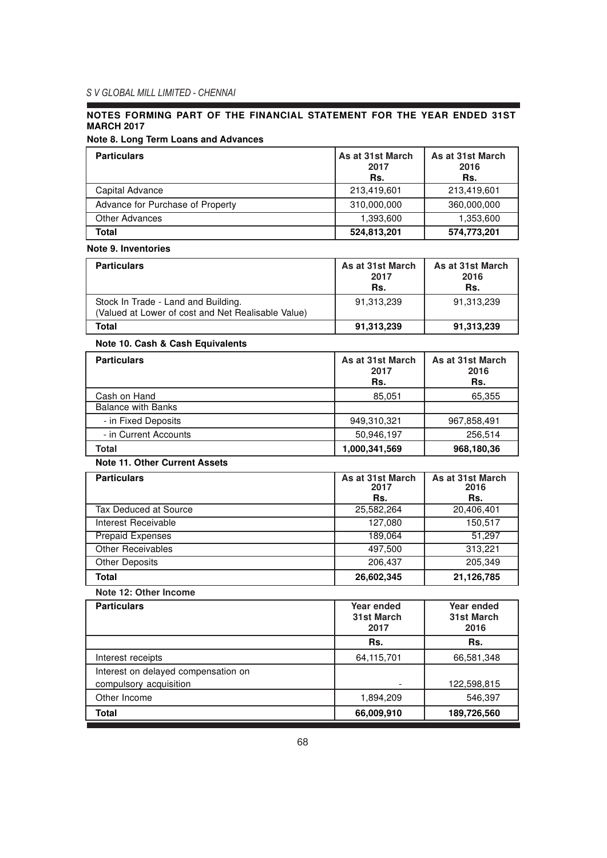## **Note 8. Long Term Loans and Advances**

| <b>Particulars</b>               | As at 31st March<br>2017<br>Rs. | As at 31st March<br>2016<br>Rs. |
|----------------------------------|---------------------------------|---------------------------------|
| Capital Advance                  | 213,419,601                     | 213,419,601                     |
| Advance for Purchase of Property | 310,000,000                     | 360,000,000                     |
| <b>Other Advances</b>            | 1,393,600                       | 1,353,600                       |
| Total                            | 524,813,201                     | 574,773,201                     |

#### **Note 9. Inventories**

| <b>Particulars</b>                                                                        | As at 31st March<br>2017<br>Rs. | As at 31st March<br>2016<br>Rs. |
|-------------------------------------------------------------------------------------------|---------------------------------|---------------------------------|
| Stock In Trade - Land and Building.<br>(Valued at Lower of cost and Net Realisable Value) | 91.313.239                      | 91.313.239                      |
| <b>Total</b>                                                                              | 91,313,239                      | 91,313,239                      |

## **Note 10. Cash & Cash Equivalents**

| <b>Particulars</b>        | As at 31st March<br>2017<br>Rs. | As at 31st March<br>2016<br>Rs. |
|---------------------------|---------------------------------|---------------------------------|
| Cash on Hand              | 85,051                          | 65,355                          |
| <b>Balance with Banks</b> |                                 |                                 |
| - in Fixed Deposits       | 949,310,321                     | 967,858,491                     |
| - in Current Accounts     | 50,946,197                      | 256,514                         |
| <b>Total</b>              | 1,000,341,569                   | 968,180,36                      |

## **Note 11. Other Current Assets**

| <b>Particulars</b>      | As at 31st March<br>2017<br>Rs. | As at 31st March<br>2016<br>Rs. |
|-------------------------|---------------------------------|---------------------------------|
| Tax Deduced at Source   | 25,582,264                      | 20,406,401                      |
| Interest Receivable     | 127,080                         | 150.517                         |
| <b>Prepaid Expenses</b> | 189,064                         | 51.297                          |
| Other Receivables       | 497,500                         | 313,221                         |
| <b>Other Deposits</b>   | 206.437                         | 205.349                         |
| <b>Total</b>            | 26,602,345                      | 21,126,785                      |

#### **Note 12: Other Income**

| <b>Particulars</b>                  | Year ended<br>31st March | Year ended<br>31st March |
|-------------------------------------|--------------------------|--------------------------|
|                                     | 2017                     | 2016                     |
|                                     | Rs.                      | Rs.                      |
| Interest receipts                   | 64,115,701               | 66,581,348               |
| Interest on delayed compensation on |                          |                          |
| compulsory acquisition              | -                        | 122,598,815              |
| Other Income                        | 1,894,209                | 546,397                  |
| <b>Total</b>                        | 66,009,910               | 189,726,560              |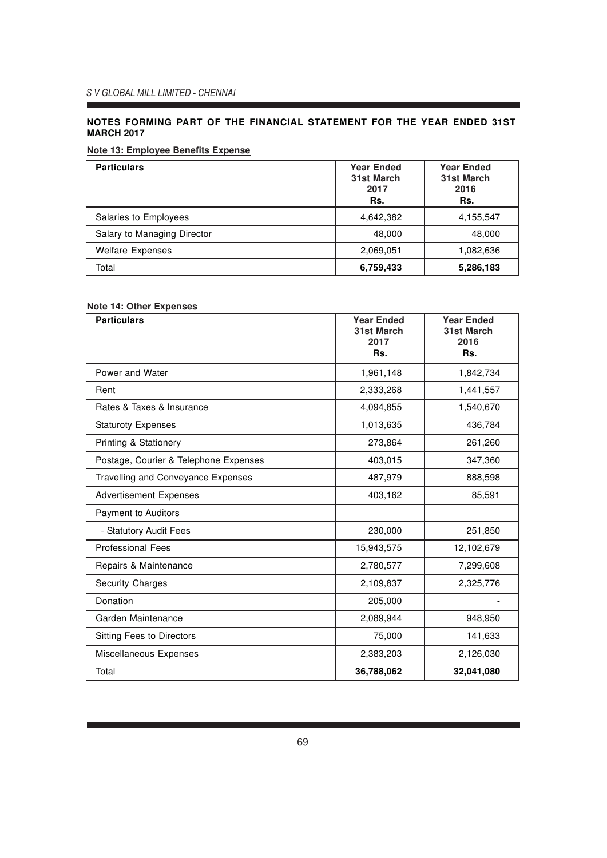# **Note 13: Employee Benefits Expense**

| <b>Particulars</b>          | <b>Year Ended</b><br>31st March<br>2017<br>Rs. | <b>Year Ended</b><br>31st March<br>2016<br>Rs. |
|-----------------------------|------------------------------------------------|------------------------------------------------|
| Salaries to Employees       | 4,642,382                                      | 4,155,547                                      |
| Salary to Managing Director | 48,000                                         | 48,000                                         |
| <b>Welfare Expenses</b>     | 2,069,051                                      | 1,082,636                                      |
| Total                       | 6,759,433                                      | 5,286,183                                      |

## **Note 14: Other Expenses**

| <b>Particulars</b>                        | <b>Year Ended</b><br>31st March<br>2017<br>Rs. | <b>Year Ended</b><br>31st March<br>2016<br>Rs. |
|-------------------------------------------|------------------------------------------------|------------------------------------------------|
| Power and Water                           | 1,961,148                                      | 1,842,734                                      |
| Rent                                      | 2,333,268                                      | 1,441,557                                      |
| Rates & Taxes & Insurance                 | 4,094,855                                      | 1,540,670                                      |
| <b>Staturoty Expenses</b>                 | 1,013,635                                      | 436,784                                        |
| <b>Printing &amp; Stationery</b>          | 273,864                                        | 261,260                                        |
| Postage, Courier & Telephone Expenses     | 403,015                                        | 347,360                                        |
| <b>Travelling and Conveyance Expenses</b> | 487,979                                        | 888,598                                        |
| <b>Advertisement Expenses</b>             | 403,162                                        | 85,591                                         |
| <b>Payment to Auditors</b>                |                                                |                                                |
| - Statutory Audit Fees                    | 230,000                                        | 251,850                                        |
| <b>Professional Fees</b>                  | 15,943,575                                     | 12,102,679                                     |
| Repairs & Maintenance                     | 2,780,577                                      | 7,299,608                                      |
| <b>Security Charges</b>                   | 2,109,837                                      | 2,325,776                                      |
| Donation                                  | 205,000                                        |                                                |
| Garden Maintenance                        | 2,089,944                                      | 948,950                                        |
| Sitting Fees to Directors                 | 75,000                                         | 141,633                                        |
| Miscellaneous Expenses                    | 2,383,203                                      | 2,126,030                                      |
| Total                                     | 36,788,062                                     | 32,041,080                                     |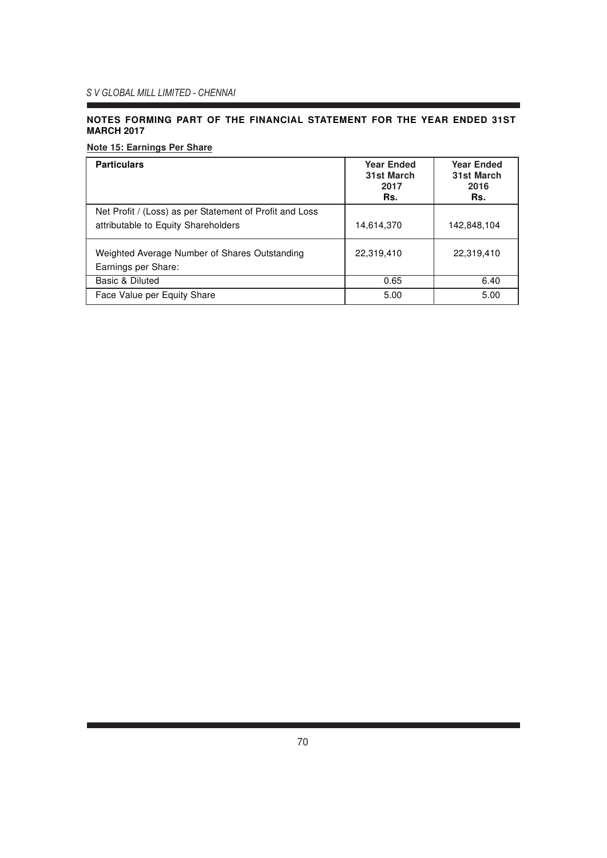## **Note 15: Earnings Per Share**

| <b>Particulars</b>                                                   | <b>Year Ended</b><br>31st March<br>2017<br>Rs. | <b>Year Ended</b><br>31st March<br>2016<br>Rs. |
|----------------------------------------------------------------------|------------------------------------------------|------------------------------------------------|
| Net Profit / (Loss) as per Statement of Profit and Loss              |                                                |                                                |
| attributable to Equity Shareholders                                  | 14,614,370                                     | 142,848,104                                    |
| Weighted Average Number of Shares Outstanding<br>Earnings per Share: | 22,319,410                                     | 22,319,410                                     |
| Basic & Diluted                                                      | 0.65                                           | 6.40                                           |
| Face Value per Equity Share                                          | 5.00                                           | 5.00                                           |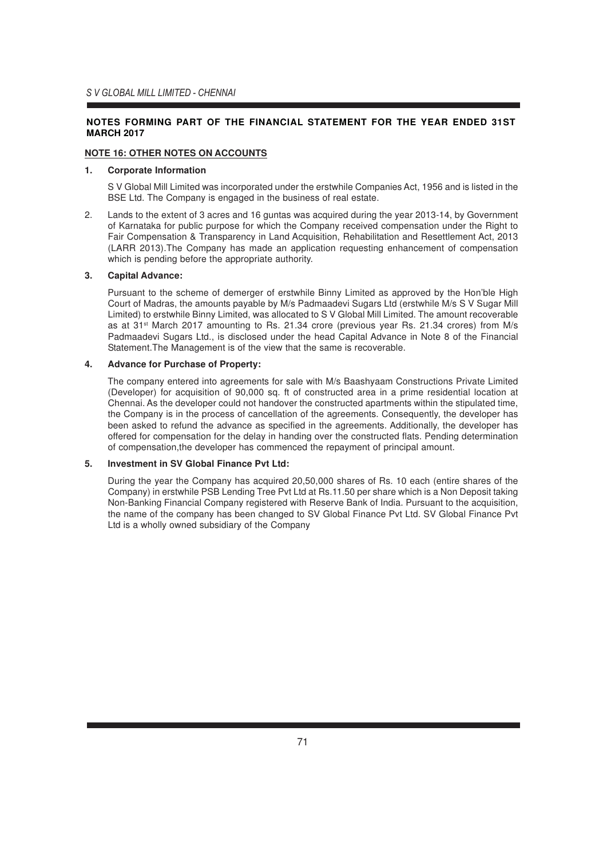### **NOTE 16: OTHER NOTES ON ACCOUNTS**

#### **1. Corporate Information**

S V Global Mill Limited was incorporated under the erstwhile Companies Act, 1956 and is listed in the BSE Ltd. The Company is engaged in the business of real estate.

2. Lands to the extent of 3 acres and 16 guntas was acquired during the year 2013-14, by Government of Karnataka for public purpose for which the Company received compensation under the Right to Fair Compensation & Transparency in Land Acquisition, Rehabilitation and Resettlement Act, 2013 (LARR 2013).The Company has made an application requesting enhancement of compensation which is pending before the appropriate authority.

## **3. Capital Advance:**

Pursuant to the scheme of demerger of erstwhile Binny Limited as approved by the Hon'ble High Court of Madras, the amounts payable by M/s Padmaadevi Sugars Ltd (erstwhile M/s S V Sugar Mill Limited) to erstwhile Binny Limited, was allocated to S V Global Mill Limited. The amount recoverable as at 31st March 2017 amounting to Rs. 21.34 crore (previous year Rs. 21.34 crores) from M/s Padmaadevi Sugars Ltd., is disclosed under the head Capital Advance in Note 8 of the Financial Statement.The Management is of the view that the same is recoverable.

### **4. Advance for Purchase of Property:**

The company entered into agreements for sale with M/s Baashyaam Constructions Private Limited (Developer) for acquisition of 90,000 sq. ft of constructed area in a prime residential location at Chennai. As the developer could not handover the constructed apartments within the stipulated time, the Company is in the process of cancellation of the agreements. Consequently, the developer has been asked to refund the advance as specified in the agreements. Additionally, the developer has offered for compensation for the delay in handing over the constructed flats. Pending determination of compensation,the developer has commenced the repayment of principal amount.

### **5. Investment in SV Global Finance Pvt Ltd:**

During the year the Company has acquired 20,50,000 shares of Rs. 10 each (entire shares of the Company) in erstwhile PSB Lending Tree Pvt Ltd at Rs.11.50 per share which is a Non Deposit taking Non-Banking Financial Company registered with Reserve Bank of India. Pursuant to the acquisition, the name of the company has been changed to SV Global Finance Pvt Ltd. SV Global Finance Pvt Ltd is a wholly owned subsidiary of the Company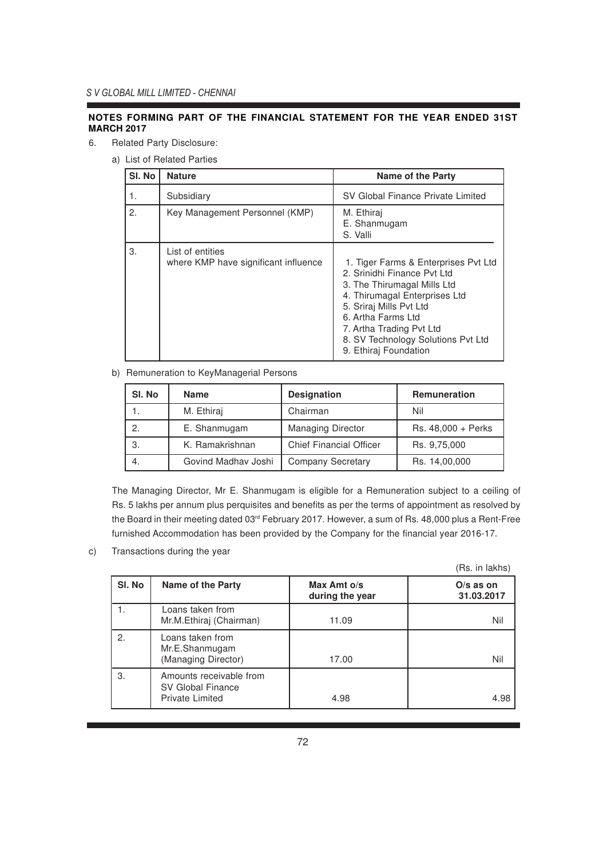- 6. Related Party Disclosure:
	- a) List of Related Parties

| SI. No | <b>Nature</b>                                            | Name of the Party                                                                                                                                                                                                                                                               |
|--------|----------------------------------------------------------|---------------------------------------------------------------------------------------------------------------------------------------------------------------------------------------------------------------------------------------------------------------------------------|
| 1.     | Subsidiary                                               | SV Global Finance Private Limited                                                                                                                                                                                                                                               |
| 2.     | Key Management Personnel (KMP)                           | M. Ethiraj<br>E. Shanmugam<br>S. Valli                                                                                                                                                                                                                                          |
| 3.     | List of entities<br>where KMP have significant influence | 1. Tiger Farms & Enterprises Pvt Ltd<br>2. Srinidhi Finance Pyt Ltd<br>3. The Thirumagal Mills Ltd<br>4. Thirumagal Enterprises Ltd<br>5. Sriraj Mills Pvt Ltd<br>6. Artha Farms Ltd<br>7. Artha Trading Pvt Ltd<br>8. SV Technology Solutions Pvt Ltd<br>9. Ethiraj Foundation |

b) Remuneration to KeyManagerial Persons

| SI. No | <b>Name</b>         | <b>Designation</b>             | <b>Remuneration</b> |
|--------|---------------------|--------------------------------|---------------------|
|        | M. Ethiraj          | Chairman                       | Nil                 |
| 2.     | E. Shanmugam        | <b>Managing Director</b>       | Rs. 48,000 + Perks  |
| З.     | K. Ramakrishnan     | <b>Chief Financial Officer</b> | Rs. 9,75,000        |
| 4.     | Govind Madhav Joshi | <b>Company Secretary</b>       | Rs. 14,00,000       |

The Managing Director, Mr E. Shanmugam is eligible for a Remuneration subject to a ceiling of Rs. 5 lakhs per annum plus perquisites and benefits as per the terms of appointment as resolved by the Board in their meeting dated 03rd February 2017. However, a sum of Rs. 48,000 plus a Rent-Free furnished Accommodation has been provided by the Company for the financial year 2016-17.

c) Transactions during the year

(Rs. in lakhs)

| SI. No | Name of the Party                                               | Max Amt $o/s$<br>during the year | $O/s$ as on<br>31.03.2017 |
|--------|-----------------------------------------------------------------|----------------------------------|---------------------------|
|        | Loans taken from<br>Mr.M.Ethiraj (Chairman)                     | 11.09                            | Nil                       |
| 2.     | Loans taken from<br>Mr.E.Shanmugam<br>(Managing Director)       | 17.00                            | Nil                       |
| 3.     | Amounts receivable from<br>SV Global Finance<br>Private Limited | 4.98                             | 4.98                      |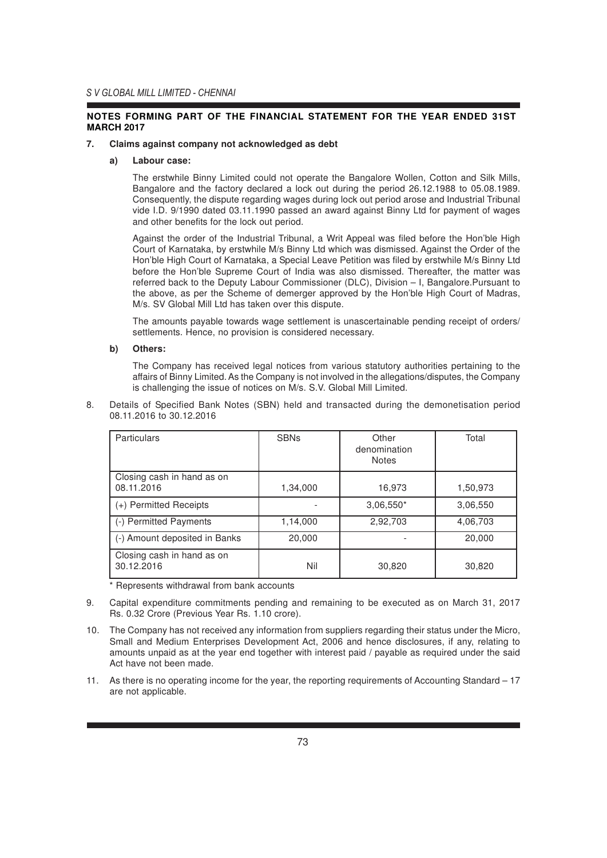#### **7. Claims against company not acknowledged as debt**

## **a) Labour case:**

The erstwhile Binny Limited could not operate the Bangalore Wollen, Cotton and Silk Mills, Bangalore and the factory declared a lock out during the period 26.12.1988 to 05.08.1989. Consequently, the dispute regarding wages during lock out period arose and Industrial Tribunal vide I.D. 9/1990 dated 03.11.1990 passed an award against Binny Ltd for payment of wages and other benefits for the lock out period.

Against the order of the Industrial Tribunal, a Writ Appeal was filed before the Hon'ble High Court of Karnataka, by erstwhile M/s Binny Ltd which was dismissed. Against the Order of the Hon'ble High Court of Karnataka, a Special Leave Petition was filed by erstwhile M/s Binny Ltd before the Hon'ble Supreme Court of India was also dismissed. Thereafter, the matter was referred back to the Deputy Labour Commissioner (DLC), Division – I, Bangalore.Pursuant to the above, as per the Scheme of demerger approved by the Hon'ble High Court of Madras, M/s. SV Global Mill Ltd has taken over this dispute.

The amounts payable towards wage settlement is unascertainable pending receipt of orders/ settlements. Hence, no provision is considered necessary.

#### **b) Others:**

The Company has received legal notices from various statutory authorities pertaining to the affairs of Binny Limited. As the Company is not involved in the allegations/disputes, the Company is challenging the issue of notices on M/s. S.V. Global Mill Limited.

8. Details of Specified Bank Notes (SBN) held and transacted during the demonetisation period 08.11.2016 to 30.12.2016

| <b>Particulars</b>                       | <b>SBNs</b> | Other<br>denomination<br><b>Notes</b> | Total    |
|------------------------------------------|-------------|---------------------------------------|----------|
| Closing cash in hand as on<br>08.11.2016 | 1,34,000    | 16,973                                | 1,50,973 |
| (+) Permitted Receipts                   |             | $3.06,550*$                           | 3,06,550 |
| (-) Permitted Payments                   | 1,14,000    | 2,92,703                              | 4,06,703 |
| (-) Amount deposited in Banks            | 20,000      |                                       | 20,000   |
| Closing cash in hand as on<br>30.12.2016 | Nil         | 30,820                                | 30,820   |

\* Represents withdrawal from bank accounts

- 9. Capital expenditure commitments pending and remaining to be executed as on March 31, 2017 Rs. 0.32 Crore (Previous Year Rs. 1.10 crore).
- 10. The Company has not received any information from suppliers regarding their status under the Micro, Small and Medium Enterprises Development Act, 2006 and hence disclosures, if any, relating to amounts unpaid as at the year end together with interest paid / payable as required under the said Act have not been made.
- 11. As there is no operating income for the year, the reporting requirements of Accounting Standard 17 are not applicable.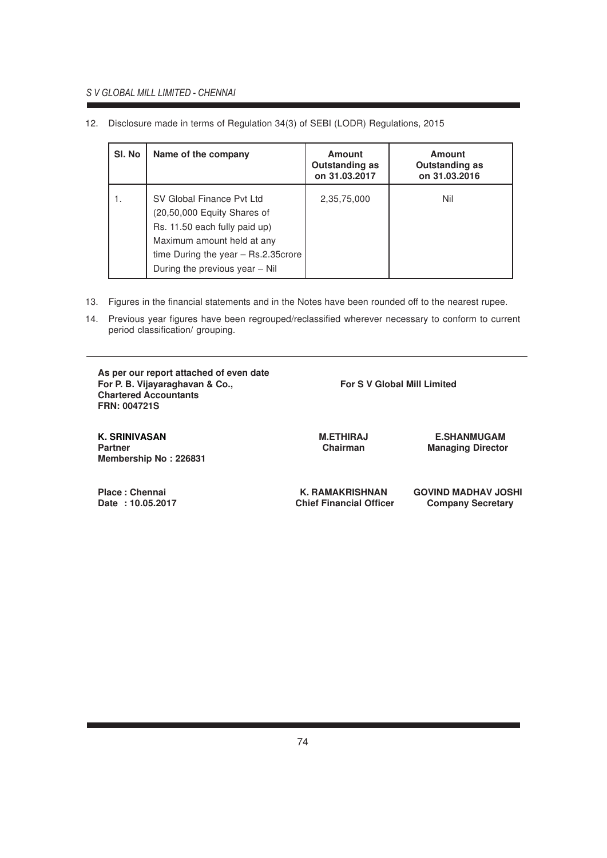# *S V GLOBAL MILL LIMITED - CHENNAI*

| SI. No | Name of the company                                                                                                                                                                               | Amount<br><b>Outstanding as</b><br>on 31.03.2017 | Amount<br><b>Outstanding as</b><br>on 31.03.2016 |
|--------|---------------------------------------------------------------------------------------------------------------------------------------------------------------------------------------------------|--------------------------------------------------|--------------------------------------------------|
| 1.     | SV Global Finance Pvt Ltd<br>(20,50,000 Equity Shares of<br>Rs. 11.50 each fully paid up)<br>Maximum amount held at any<br>time During the year - Rs.2.35 crore<br>During the previous year - Nil | 2,35,75,000                                      | Nil                                              |

12. Disclosure made in terms of Regulation 34(3) of SEBI (LODR) Regulations, 2015

- 13. Figures in the financial statements and in the Notes have been rounded off to the nearest rupee.
- 14. Previous year figures have been regrouped/reclassified wherever necessary to conform to current period classification/ grouping.

| As per our report attached of even date<br>For P. B. Vijayaraghavan & Co.,<br><b>Chartered Accountants</b><br><b>FRN: 004721S</b> | <b>For S V Global Mill Limited</b> |                                                |
|-----------------------------------------------------------------------------------------------------------------------------------|------------------------------------|------------------------------------------------|
| K. SRINIVASAN<br><b>Partner</b><br>Membership No: 226831                                                                          | <b>M.ETHIRAJ</b><br>Chairman       | <b>E.SHANMUGAM</b><br><b>Managing Director</b> |

**Chief Financial Officer** 

**Place : Chennai Chennai K. RAMAKRISHNAN GOVIND MADHAV JOSHI**<br> **Date** : 10.05.2017 **Chief Financial Officer Company Secretary**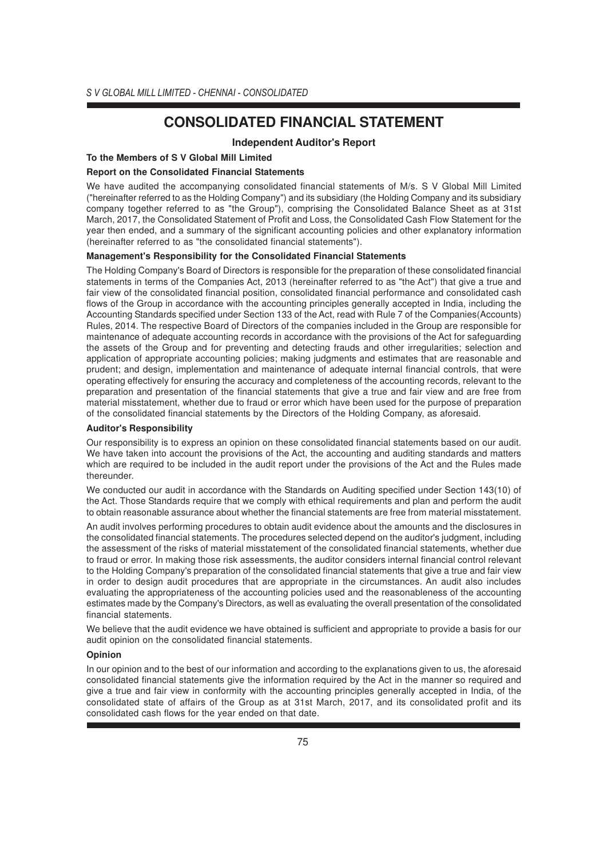# **CONSOLIDATED FINANCIAL STATEMENT**

#### **Independent Auditor's Report**

#### **To the Members of S V Global Mill Limited**

## **Report on the Consolidated Financial Statements**

We have audited the accompanying consolidated financial statements of M/s. S V Global Mill Limited ("hereinafter referred to as the Holding Company") and its subsidiary (the Holding Company and its subsidiary company together referred to as "the Group"), comprising the Consolidated Balance Sheet as at 31st March, 2017, the Consolidated Statement of Profit and Loss, the Consolidated Cash Flow Statement for the year then ended, and a summary of the significant accounting policies and other explanatory information (hereinafter referred to as "the consolidated financial statements").

## **Management's Responsibility for the Consolidated Financial Statements**

The Holding Company's Board of Directors is responsible for the preparation of these consolidated financial statements in terms of the Companies Act, 2013 (hereinafter referred to as "the Act") that give a true and fair view of the consolidated financial position, consolidated financial performance and consolidated cash flows of the Group in accordance with the accounting principles generally accepted in India, including the Accounting Standards specified under Section 133 of the Act, read with Rule 7 of the Companies(Accounts) Rules, 2014. The respective Board of Directors of the companies included in the Group are responsible for maintenance of adequate accounting records in accordance with the provisions of the Act for safeguarding the assets of the Group and for preventing and detecting frauds and other irregularities; selection and application of appropriate accounting policies; making judgments and estimates that are reasonable and prudent; and design, implementation and maintenance of adequate internal financial controls, that were operating effectively for ensuring the accuracy and completeness of the accounting records, relevant to the preparation and presentation of the financial statements that give a true and fair view and are free from material misstatement, whether due to fraud or error which have been used for the purpose of preparation of the consolidated financial statements by the Directors of the Holding Company, as aforesaid.

#### **Auditor's Responsibility**

Our responsibility is to express an opinion on these consolidated financial statements based on our audit. We have taken into account the provisions of the Act, the accounting and auditing standards and matters which are required to be included in the audit report under the provisions of the Act and the Rules made thereunder.

We conducted our audit in accordance with the Standards on Auditing specified under Section 143(10) of the Act. Those Standards require that we comply with ethical requirements and plan and perform the audit to obtain reasonable assurance about whether the financial statements are free from material misstatement.

An audit involves performing procedures to obtain audit evidence about the amounts and the disclosures in the consolidated financial statements. The procedures selected depend on the auditor's judgment, including the assessment of the risks of material misstatement of the consolidated financial statements, whether due to fraud or error. In making those risk assessments, the auditor considers internal financial control relevant to the Holding Company's preparation of the consolidated financial statements that give a true and fair view in order to design audit procedures that are appropriate in the circumstances. An audit also includes evaluating the appropriateness of the accounting policies used and the reasonableness of the accounting estimates made by the Company's Directors, as well as evaluating the overall presentation of the consolidated financial statements.

We believe that the audit evidence we have obtained is sufficient and appropriate to provide a basis for our audit opinion on the consolidated financial statements.

#### **Opinion**

In our opinion and to the best of our information and according to the explanations given to us, the aforesaid consolidated financial statements give the information required by the Act in the manner so required and give a true and fair view in conformity with the accounting principles generally accepted in India, of the consolidated state of affairs of the Group as at 31st March, 2017, and its consolidated profit and its consolidated cash flows for the year ended on that date.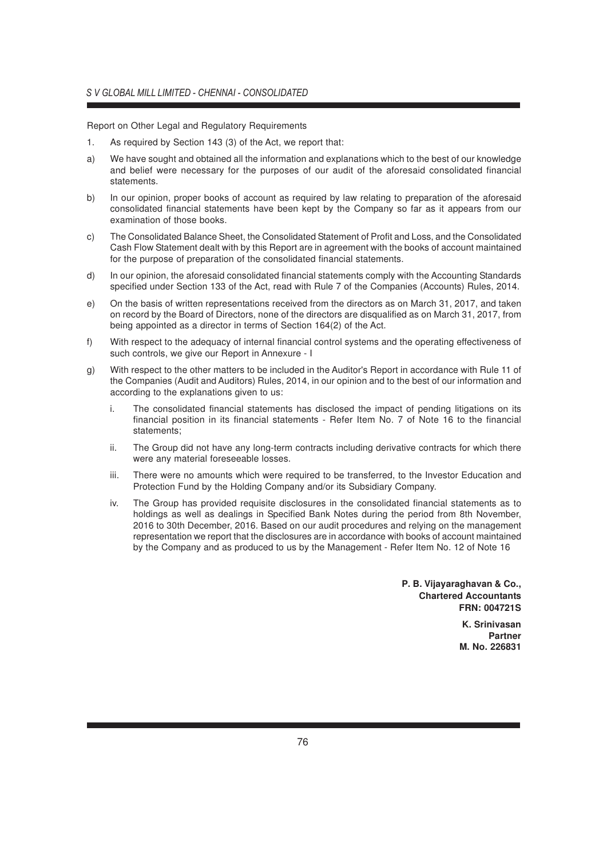Report on Other Legal and Regulatory Requirements

- 1. As required by Section 143 (3) of the Act, we report that:
- a) We have sought and obtained all the information and explanations which to the best of our knowledge and belief were necessary for the purposes of our audit of the aforesaid consolidated financial statements.
- b) In our opinion, proper books of account as required by law relating to preparation of the aforesaid consolidated financial statements have been kept by the Company so far as it appears from our examination of those books.
- c) The Consolidated Balance Sheet, the Consolidated Statement of Profit and Loss, and the Consolidated Cash Flow Statement dealt with by this Report are in agreement with the books of account maintained for the purpose of preparation of the consolidated financial statements.
- d) In our opinion, the aforesaid consolidated financial statements comply with the Accounting Standards specified under Section 133 of the Act, read with Rule 7 of the Companies (Accounts) Rules, 2014.
- e) On the basis of written representations received from the directors as on March 31, 2017, and taken on record by the Board of Directors, none of the directors are disqualified as on March 31, 2017, from being appointed as a director in terms of Section 164(2) of the Act.
- f) With respect to the adequacy of internal financial control systems and the operating effectiveness of such controls, we give our Report in Annexure - I
- g) With respect to the other matters to be included in the Auditor's Report in accordance with Rule 11 of the Companies (Audit and Auditors) Rules, 2014, in our opinion and to the best of our information and according to the explanations given to us:
	- i. The consolidated financial statements has disclosed the impact of pending litigations on its financial position in its financial statements - Refer Item No. 7 of Note 16 to the financial statements;
	- ii. The Group did not have any long-term contracts including derivative contracts for which there were any material foreseeable losses.
	- iii. There were no amounts which were required to be transferred, to the Investor Education and Protection Fund by the Holding Company and/or its Subsidiary Company.
	- iv. The Group has provided requisite disclosures in the consolidated financial statements as to holdings as well as dealings in Specified Bank Notes during the period from 8th November, 2016 to 30th December, 2016. Based on our audit procedures and relying on the management representation we report that the disclosures are in accordance with books of account maintained by the Company and as produced to us by the Management - Refer Item No. 12 of Note 16

**P. B. Vijayaraghavan & Co., Chartered Accountants FRN: 004721S**

> **K. Srinivasan Partner M. No. 226831**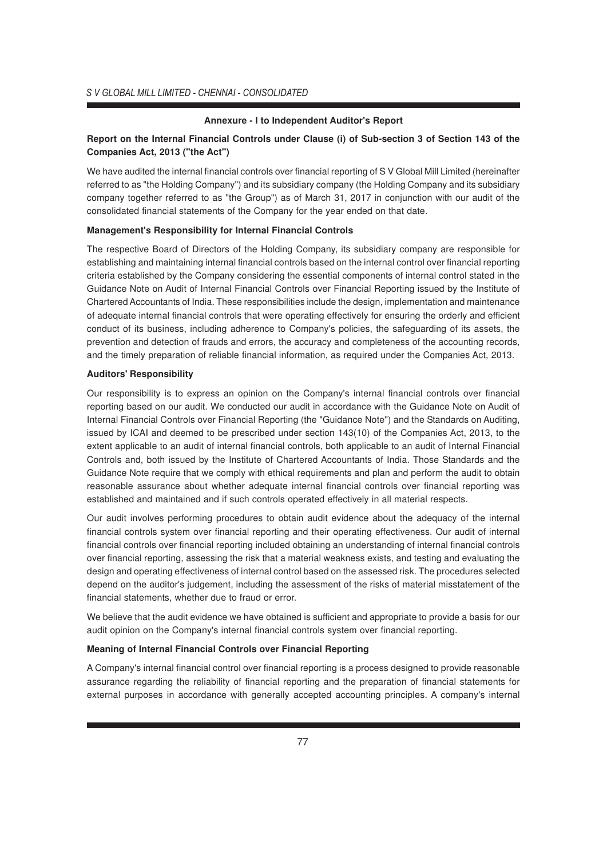#### **Annexure - I to Independent Auditor's Report**

# **Report on the Internal Financial Controls under Clause (i) of Sub-section 3 of Section 143 of the Companies Act, 2013 ("the Act")**

We have audited the internal financial controls over financial reporting of S V Global Mill Limited (hereinafter referred to as "the Holding Company") and its subsidiary company (the Holding Company and its subsidiary company together referred to as "the Group") as of March 31, 2017 in conjunction with our audit of the consolidated financial statements of the Company for the year ended on that date.

## **Management's Responsibility for Internal Financial Controls**

The respective Board of Directors of the Holding Company, its subsidiary company are responsible for establishing and maintaining internal financial controls based on the internal control over financial reporting criteria established by the Company considering the essential components of internal control stated in the Guidance Note on Audit of Internal Financial Controls over Financial Reporting issued by the Institute of Chartered Accountants of India. These responsibilities include the design, implementation and maintenance of adequate internal financial controls that were operating effectively for ensuring the orderly and efficient conduct of its business, including adherence to Company's policies, the safeguarding of its assets, the prevention and detection of frauds and errors, the accuracy and completeness of the accounting records, and the timely preparation of reliable financial information, as required under the Companies Act, 2013.

#### **Auditors' Responsibility**

Our responsibility is to express an opinion on the Company's internal financial controls over financial reporting based on our audit. We conducted our audit in accordance with the Guidance Note on Audit of Internal Financial Controls over Financial Reporting (the "Guidance Note") and the Standards on Auditing, issued by ICAI and deemed to be prescribed under section 143(10) of the Companies Act, 2013, to the extent applicable to an audit of internal financial controls, both applicable to an audit of Internal Financial Controls and, both issued by the Institute of Chartered Accountants of India. Those Standards and the Guidance Note require that we comply with ethical requirements and plan and perform the audit to obtain reasonable assurance about whether adequate internal financial controls over financial reporting was established and maintained and if such controls operated effectively in all material respects.

Our audit involves performing procedures to obtain audit evidence about the adequacy of the internal financial controls system over financial reporting and their operating effectiveness. Our audit of internal financial controls over financial reporting included obtaining an understanding of internal financial controls over financial reporting, assessing the risk that a material weakness exists, and testing and evaluating the design and operating effectiveness of internal control based on the assessed risk. The procedures selected depend on the auditor's judgement, including the assessment of the risks of material misstatement of the financial statements, whether due to fraud or error.

We believe that the audit evidence we have obtained is sufficient and appropriate to provide a basis for our audit opinion on the Company's internal financial controls system over financial reporting.

#### **Meaning of Internal Financial Controls over Financial Reporting**

A Company's internal financial control over financial reporting is a process designed to provide reasonable assurance regarding the reliability of financial reporting and the preparation of financial statements for external purposes in accordance with generally accepted accounting principles. A company's internal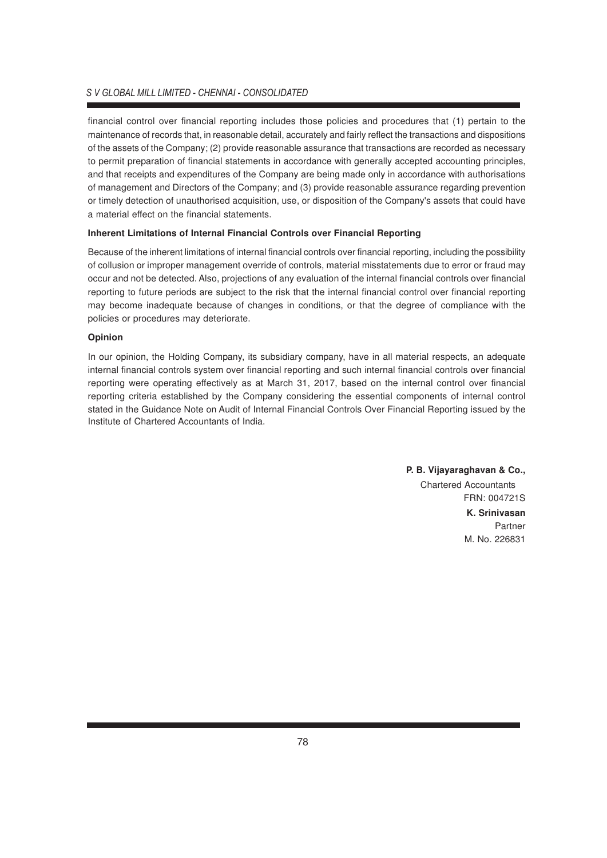financial control over financial reporting includes those policies and procedures that (1) pertain to the maintenance of records that, in reasonable detail, accurately and fairly reflect the transactions and dispositions of the assets of the Company; (2) provide reasonable assurance that transactions are recorded as necessary to permit preparation of financial statements in accordance with generally accepted accounting principles, and that receipts and expenditures of the Company are being made only in accordance with authorisations of management and Directors of the Company; and (3) provide reasonable assurance regarding prevention or timely detection of unauthorised acquisition, use, or disposition of the Company's assets that could have a material effect on the financial statements.

# **Inherent Limitations of Internal Financial Controls over Financial Reporting**

Because of the inherent limitations of internal financial controls over financial reporting, including the possibility of collusion or improper management override of controls, material misstatements due to error or fraud may occur and not be detected. Also, projections of any evaluation of the internal financial controls over financial reporting to future periods are subject to the risk that the internal financial control over financial reporting may become inadequate because of changes in conditions, or that the degree of compliance with the policies or procedures may deteriorate.

#### **Opinion**

In our opinion, the Holding Company, its subsidiary company, have in all material respects, an adequate internal financial controls system over financial reporting and such internal financial controls over financial reporting were operating effectively as at March 31, 2017, based on the internal control over financial reporting criteria established by the Company considering the essential components of internal control stated in the Guidance Note on Audit of Internal Financial Controls Over Financial Reporting issued by the Institute of Chartered Accountants of India.

> **P. B. Vijayaraghavan & Co.,** Chartered Accountants FRN: 004721S **K. Srinivasan** Partner M. No. 226831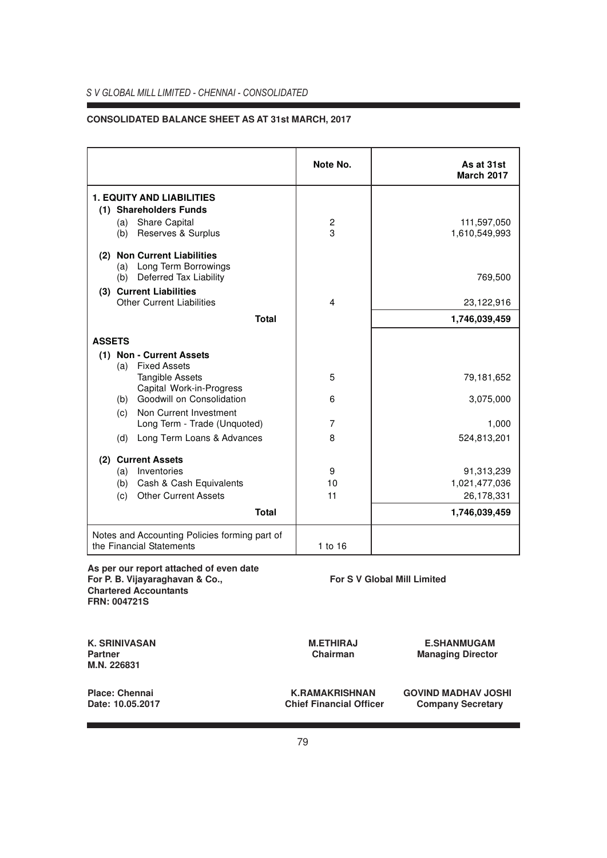|                                       |                                                        | Note No.       | As at 31st<br><b>March 2017</b> |
|---------------------------------------|--------------------------------------------------------|----------------|---------------------------------|
| <b>1. EQUITY AND LIABILITIES</b>      |                                                        |                |                                 |
| (1) Shareholders Funds                |                                                        |                |                                 |
| Share Capital<br>(a)                  |                                                        | $\overline{c}$ | 111,597,050                     |
| (b)<br>Reserves & Surplus             |                                                        | 3              | 1,610,549,993                   |
| <b>Non Current Liabilities</b><br>(2) |                                                        |                |                                 |
| (a) Long Term Borrowings              |                                                        |                |                                 |
| (b)                                   | Deferred Tax Liability                                 |                | 769,500                         |
| (3) Current Liabilities               |                                                        |                |                                 |
| <b>Other Current Liabilities</b>      |                                                        | 4              | 23,122,916                      |
|                                       | <b>Total</b>                                           |                | 1,746,039,459                   |
| <b>ASSETS</b>                         |                                                        |                |                                 |
| (1) Non - Current Assets              |                                                        |                |                                 |
| <b>Fixed Assets</b><br>(a)            |                                                        |                |                                 |
| <b>Tangible Assets</b>                |                                                        | 5              | 79,181,652                      |
|                                       | Capital Work-in-Progress                               |                |                                 |
| (b)                                   | Goodwill on Consolidation                              | 6              | 3,075,000                       |
| (c)                                   | Non Current Investment<br>Long Term - Trade (Unquoted) | $\overline{7}$ | 1,000                           |
| (d)                                   | Long Term Loans & Advances                             | 8              | 524,813,201                     |
|                                       |                                                        |                |                                 |
| (2) Current Assets                    |                                                        |                |                                 |
| (a) Inventories                       |                                                        | 9              | 91,313,239                      |
| (b)                                   | Cash & Cash Equivalents                                | 10             | 1,021,477,036                   |
| (c)                                   | <b>Other Current Assets</b>                            | 11             | 26,178,331                      |
|                                       | <b>Total</b>                                           |                | 1,746,039,459                   |
|                                       | Notes and Accounting Policies forming part of          |                |                                 |
| the Financial Statements              |                                                        | 1 to 16        |                                 |

# **CONSOLIDATED BALANCE SHEET AS AT 31st MARCH, 2017**

**As per our report attached of even date For P. B. Vijayaraghavan & Co., For S V Global Mill Limited Chartered Accountants FRN: 004721S**

**M.N. 226831**

**K. SRINIVASAN M.ETHIRAJ E.SHANMUGAM**<br> **Partner M.ETHIRAJ Chairman Managing Director Partner Chairman Managing Director**

**Chief Financial Officer** 

**Place: Chennai Channal <b>K.RAMAKRISHNAN GOVIND MADHAV JOSHI**<br> **Date: 10.05.2017 Chief Financial Officer Company Secretary**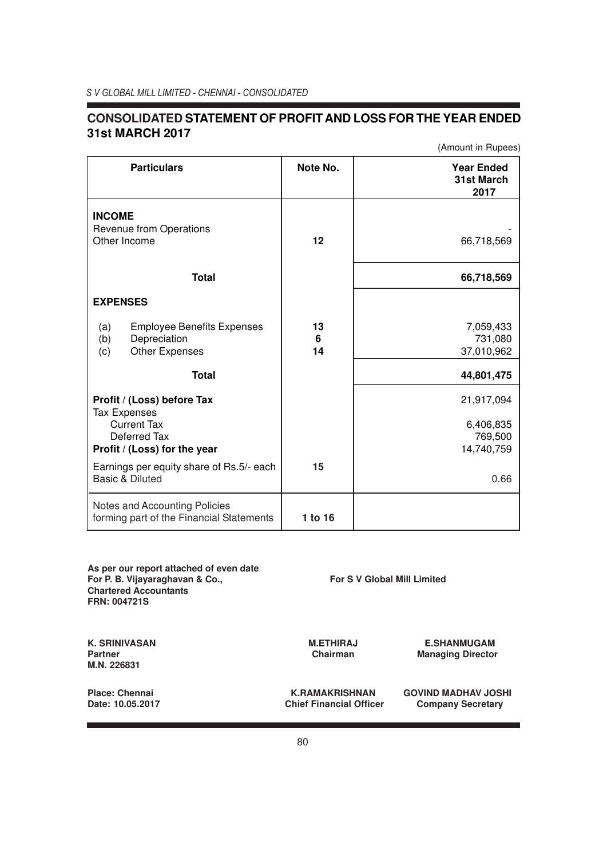# **CONSOLIDATED STATEMENT OF PROFIT AND LOSS FOR THE YEAR ENDED 31st MARCH 2017**

(Amount in Rupees)

| <b>Particulars</b>                                                                                                      | Note No.      | <b>Year Ended</b><br>31st March<br>2017          |
|-------------------------------------------------------------------------------------------------------------------------|---------------|--------------------------------------------------|
| <b>INCOME</b><br>Revenue from Operations<br>Other Income                                                                | 12            | 66,718,569                                       |
| <b>Total</b>                                                                                                            |               | 66,718,569                                       |
| <b>EXPENSES</b>                                                                                                         |               |                                                  |
| <b>Employee Benefits Expenses</b><br>(a)<br>Depreciation<br>(b)<br><b>Other Expenses</b><br>(c)                         | 13<br>6<br>14 | 7,059,433<br>731,080<br>37,010,962               |
| <b>Total</b>                                                                                                            |               | 44,801,475                                       |
| Profit / (Loss) before Tax<br><b>Tax Expenses</b><br><b>Current Tax</b><br>Deferred Tax<br>Profit / (Loss) for the year |               | 21,917,094<br>6,406,835<br>769,500<br>14,740,759 |
| Earnings per equity share of Rs.5/- each<br><b>Basic &amp; Diluted</b>                                                  | 15            | 0.66                                             |
| Notes and Accounting Policies<br>forming part of the Financial Statements                                               | 1 to 16       |                                                  |

| As per our report attached of even date                         |                                    |                    |
|-----------------------------------------------------------------|------------------------------------|--------------------|
| For P. B. Vijayaraghavan & Co.,<br><b>Chartered Accountants</b> | <b>For S V Global Mill Limited</b> |                    |
| <b>FRN: 004721S</b>                                             |                                    |                    |
| K. SRINIVASAN                                                   | <b>M.ETHIRAJ</b>                   | <b>E.SHANMUGAM</b> |

**M.N. 226831**

**Partner Chairman Managing Director**

**Chief Financial Officer** 

**Place: Chennai Channal Chennai K.RAMAKRISHNAN GOVIND MADHAV JOSHI**<br> **Date: 10.05.2017 Chief Financial Officer Company Secretary**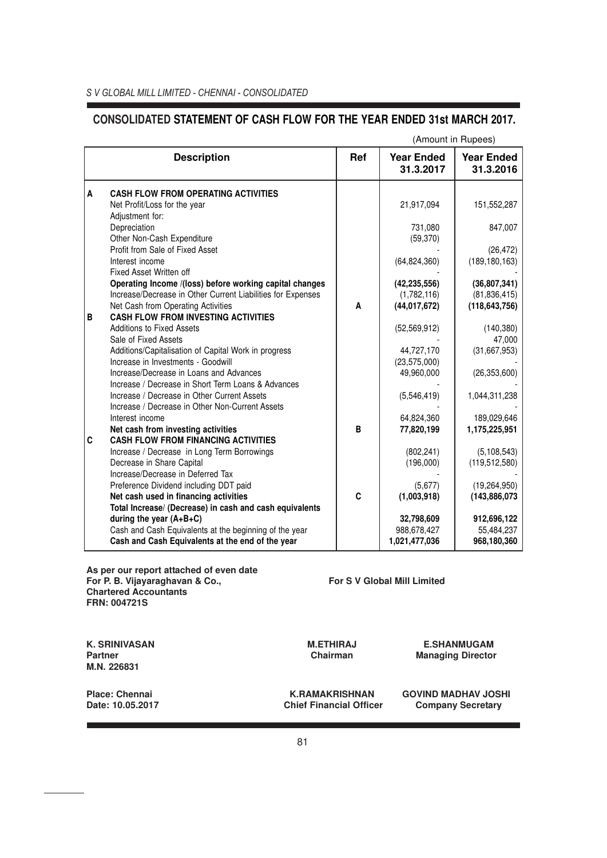# **CONSOLIDATED STATEMENT OF CASH FLOW FOR THE YEAR ENDED 31st MARCH 2017.**

|   | (Amount in Rupees)                                                                                |             |                                |                                |
|---|---------------------------------------------------------------------------------------------------|-------------|--------------------------------|--------------------------------|
|   | <b>Description</b>                                                                                | Ref         | <b>Year Ended</b><br>31.3.2017 | <b>Year Ended</b><br>31.3.2016 |
| A | <b>CASH FLOW FROM OPERATING ACTIVITIES</b>                                                        |             |                                |                                |
|   | Net Profit/Loss for the year                                                                      |             | 21,917,094                     | 151,552,287                    |
|   | Adjustment for:                                                                                   |             |                                |                                |
|   | Depreciation                                                                                      |             | 731,080                        | 847,007                        |
|   | Other Non-Cash Expenditure                                                                        |             | (59, 370)                      |                                |
|   | Profit from Sale of Fixed Asset                                                                   |             |                                | (26, 472)                      |
|   | Interest income                                                                                   |             | (64, 824, 360)                 | (189, 180, 163)                |
|   | Fixed Asset Written off                                                                           |             |                                |                                |
|   | Operating Income /(loss) before working capital changes                                           |             | (42, 235, 556)                 | (36,807,341)                   |
|   | Increase/Decrease in Other Current Liabilities for Expenses                                       |             | (1,782,116)                    | (81, 836, 415)                 |
|   | Net Cash from Operating Activities                                                                | A           | (44, 017, 672)                 | (118, 643, 756)                |
| B | <b>CASH FLOW FROM INVESTING ACTIVITIES</b>                                                        |             |                                |                                |
|   | <b>Additions to Fixed Assets</b>                                                                  |             | (52, 569, 912)                 | (140, 380)                     |
|   | Sale of Fixed Assets                                                                              |             |                                | 47,000                         |
|   | Additions/Capitalisation of Capital Work in progress                                              |             | 44,727,170                     | (31,667,953)                   |
|   | Increase in Investments - Goodwill                                                                |             | (23, 575, 000)                 |                                |
|   | Increase/Decrease in Loans and Advances                                                           |             | 49,960,000                     | (26, 353, 600)                 |
|   | Increase / Decrease in Short Term Loans & Advances<br>Increase / Decrease in Other Current Assets |             |                                |                                |
|   | Increase / Decrease in Other Non-Current Assets                                                   |             | (5,546,419)                    | 1,044,311,238                  |
|   | Interest income                                                                                   |             | 64,824,360                     | 189,029,646                    |
|   | Net cash from investing activities                                                                | B           | 77,820,199                     | 1,175,225,951                  |
| C | <b>CASH FLOW FROM FINANCING ACTIVITIES</b>                                                        |             |                                |                                |
|   | Increase / Decrease in Long Term Borrowings                                                       |             | (802, 241)                     | (5, 108, 543)                  |
|   | Decrease in Share Capital                                                                         |             | (196,000)                      | (119, 512, 580)                |
|   | Increase/Decrease in Deferred Tax                                                                 |             |                                |                                |
|   | Preference Dividend including DDT paid                                                            |             | (5,677)                        | (19, 264, 950)                 |
|   | Net cash used in financing activities                                                             | $\mathbf c$ | (1,003,918)                    | (143,886,073                   |
|   | Total Increase/ (Decrease) in cash and cash equivalents                                           |             |                                |                                |
|   | during the year $(A+B+C)$                                                                         |             | 32,798,609                     | 912,696,122                    |
|   | Cash and Cash Equivalents at the beginning of the year                                            |             | 988,678,427                    | 55,484,237                     |
|   | Cash and Cash Equivalents at the end of the year                                                  |             | 1,021,477,036                  | 968,180,360                    |

**As per our report attached of even date For P. B. Vijayaraghavan & Co., For S V Global Mill Limited Chartered Accountants FRN: 004721S**

**M.N. 226831**

**K. SRINIVASAN M.ETHIRAJ E.SHANMUGAM Managing Director** 

**Place: Chennai Chennai K.RAMAKRISHNAN GOVIND MADHAV JOSHI**<br> **Date: 10.05.2017 Chief Financial Officer Company Secretary Chief Financial Officer Company Secretary**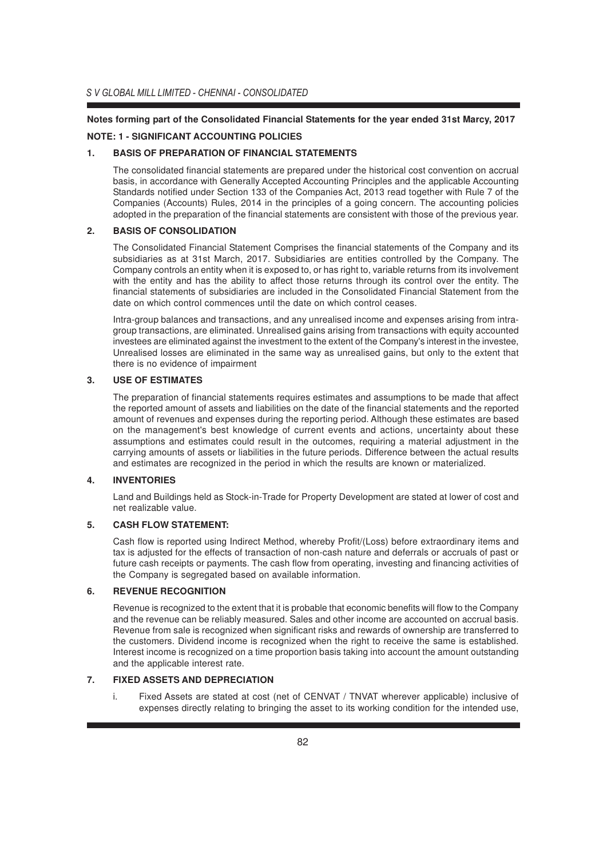#### **Notes forming part of the Consolidated Financial Statements for the year ended 31st Marcy, 2017**

#### **NOTE: 1 - SIGNIFICANT ACCOUNTING POLICIES**

# **1. BASIS OF PREPARATION OF FINANCIAL STATEMENTS**

The consolidated financial statements are prepared under the historical cost convention on accrual basis, in accordance with Generally Accepted Accounting Principles and the applicable Accounting Standards notified under Section 133 of the Companies Act, 2013 read together with Rule 7 of the Companies (Accounts) Rules, 2014 in the principles of a going concern. The accounting policies adopted in the preparation of the financial statements are consistent with those of the previous year.

# **2. BASIS OF CONSOLIDATION**

The Consolidated Financial Statement Comprises the financial statements of the Company and its subsidiaries as at 31st March, 2017. Subsidiaries are entities controlled by the Company. The Company controls an entity when it is exposed to, or has right to, variable returns from its involvement with the entity and has the ability to affect those returns through its control over the entity. The financial statements of subsidiaries are included in the Consolidated Financial Statement from the date on which control commences until the date on which control ceases.

Intra-group balances and transactions, and any unrealised income and expenses arising from intragroup transactions, are eliminated. Unrealised gains arising from transactions with equity accounted investees are eliminated against the investment to the extent of the Company's interest in the investee, Unrealised losses are eliminated in the same way as unrealised gains, but only to the extent that there is no evidence of impairment

#### **3. USE OF ESTIMATES**

The preparation of financial statements requires estimates and assumptions to be made that affect the reported amount of assets and liabilities on the date of the financial statements and the reported amount of revenues and expenses during the reporting period. Although these estimates are based on the management's best knowledge of current events and actions, uncertainty about these assumptions and estimates could result in the outcomes, requiring a material adjustment in the carrying amounts of assets or liabilities in the future periods. Difference between the actual results and estimates are recognized in the period in which the results are known or materialized.

#### **4. INVENTORIES**

Land and Buildings held as Stock-in-Trade for Property Development are stated at lower of cost and net realizable value.

## **5. CASH FLOW STATEMENT:**

Cash flow is reported using Indirect Method, whereby Profit/(Loss) before extraordinary items and tax is adjusted for the effects of transaction of non-cash nature and deferrals or accruals of past or future cash receipts or payments. The cash flow from operating, investing and financing activities of the Company is segregated based on available information.

#### **6. REVENUE RECOGNITION**

Revenue is recognized to the extent that it is probable that economic benefits will flow to the Company and the revenue can be reliably measured. Sales and other income are accounted on accrual basis. Revenue from sale is recognized when significant risks and rewards of ownership are transferred to the customers. Dividend income is recognized when the right to receive the same is established. Interest income is recognized on a time proportion basis taking into account the amount outstanding and the applicable interest rate.

## **7. FIXED ASSETS AND DEPRECIATION**

i. Fixed Assets are stated at cost (net of CENVAT / TNVAT wherever applicable) inclusive of expenses directly relating to bringing the asset to its working condition for the intended use,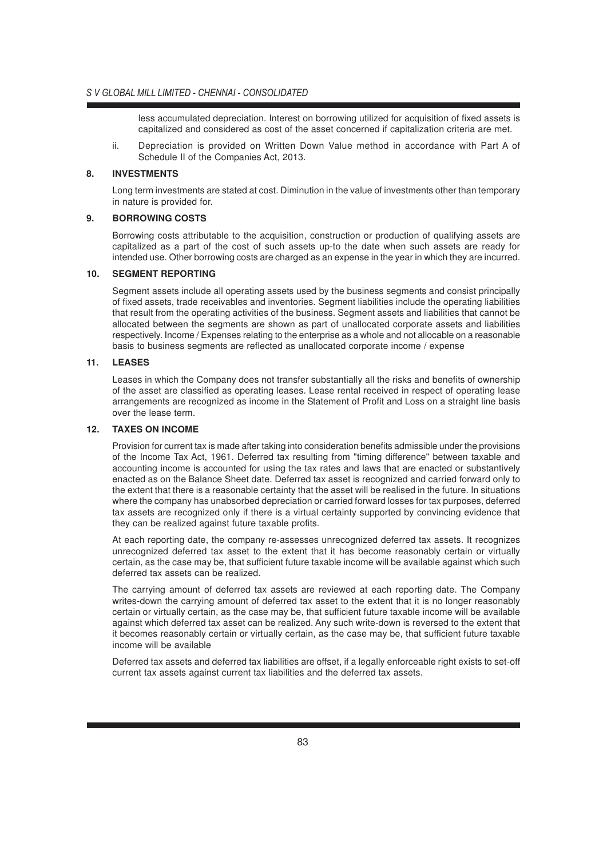less accumulated depreciation. Interest on borrowing utilized for acquisition of fixed assets is capitalized and considered as cost of the asset concerned if capitalization criteria are met.

ii. Depreciation is provided on Written Down Value method in accordance with Part A of Schedule II of the Companies Act, 2013.

#### **8. INVESTMENTS**

Long term investments are stated at cost. Diminution in the value of investments other than temporary in nature is provided for.

### **9. BORROWING COSTS**

Borrowing costs attributable to the acquisition, construction or production of qualifying assets are capitalized as a part of the cost of such assets up-to the date when such assets are ready for intended use. Other borrowing costs are charged as an expense in the year in which they are incurred.

#### **10. SEGMENT REPORTING**

Segment assets include all operating assets used by the business segments and consist principally of fixed assets, trade receivables and inventories. Segment liabilities include the operating liabilities that result from the operating activities of the business. Segment assets and liabilities that cannot be allocated between the segments are shown as part of unallocated corporate assets and liabilities respectively. Income / Expenses relating to the enterprise as a whole and not allocable on a reasonable basis to business segments are reflected as unallocated corporate income / expense

#### **11. LEASES**

Leases in which the Company does not transfer substantially all the risks and benefits of ownership of the asset are classified as operating leases. Lease rental received in respect of operating lease arrangements are recognized as income in the Statement of Profit and Loss on a straight line basis over the lease term.

#### **12. TAXES ON INCOME**

Provision for current tax is made after taking into consideration benefits admissible under the provisions of the Income Tax Act, 1961. Deferred tax resulting from "timing difference" between taxable and accounting income is accounted for using the tax rates and laws that are enacted or substantively enacted as on the Balance Sheet date. Deferred tax asset is recognized and carried forward only to the extent that there is a reasonable certainty that the asset will be realised in the future. In situations where the company has unabsorbed depreciation or carried forward losses for tax purposes, deferred tax assets are recognized only if there is a virtual certainty supported by convincing evidence that they can be realized against future taxable profits.

At each reporting date, the company re-assesses unrecognized deferred tax assets. It recognizes unrecognized deferred tax asset to the extent that it has become reasonably certain or virtually certain, as the case may be, that sufficient future taxable income will be available against which such deferred tax assets can be realized.

The carrying amount of deferred tax assets are reviewed at each reporting date. The Company writes-down the carrying amount of deferred tax asset to the extent that it is no longer reasonably certain or virtually certain, as the case may be, that sufficient future taxable income will be available against which deferred tax asset can be realized. Any such write-down is reversed to the extent that it becomes reasonably certain or virtually certain, as the case may be, that sufficient future taxable income will be available

Deferred tax assets and deferred tax liabilities are offset, if a legally enforceable right exists to set-off current tax assets against current tax liabilities and the deferred tax assets.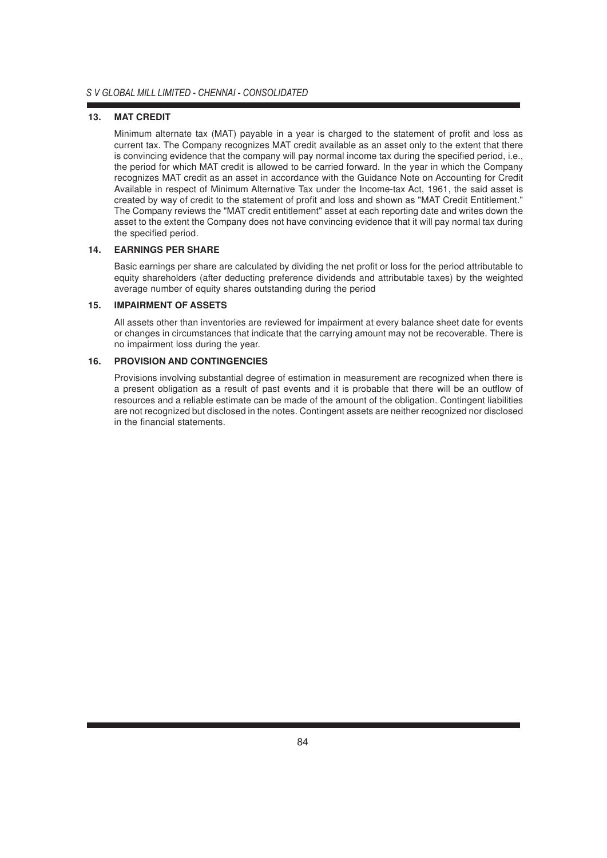#### **13. MAT CREDIT**

Minimum alternate tax (MAT) payable in a year is charged to the statement of profit and loss as current tax. The Company recognizes MAT credit available as an asset only to the extent that there is convincing evidence that the company will pay normal income tax during the specified period, i.e., the period for which MAT credit is allowed to be carried forward. In the year in which the Company recognizes MAT credit as an asset in accordance with the Guidance Note on Accounting for Credit Available in respect of Minimum Alternative Tax under the Income-tax Act, 1961, the said asset is created by way of credit to the statement of profit and loss and shown as "MAT Credit Entitlement." The Company reviews the "MAT credit entitlement" asset at each reporting date and writes down the asset to the extent the Company does not have convincing evidence that it will pay normal tax during the specified period.

#### **14. EARNINGS PER SHARE**

Basic earnings per share are calculated by dividing the net profit or loss for the period attributable to equity shareholders (after deducting preference dividends and attributable taxes) by the weighted average number of equity shares outstanding during the period

#### **15. IMPAIRMENT OF ASSETS**

All assets other than inventories are reviewed for impairment at every balance sheet date for events or changes in circumstances that indicate that the carrying amount may not be recoverable. There is no impairment loss during the year.

## **16. PROVISION AND CONTINGENCIES**

Provisions involving substantial degree of estimation in measurement are recognized when there is a present obligation as a result of past events and it is probable that there will be an outflow of resources and a reliable estimate can be made of the amount of the obligation. Contingent liabilities are not recognized but disclosed in the notes. Contingent assets are neither recognized nor disclosed in the financial statements.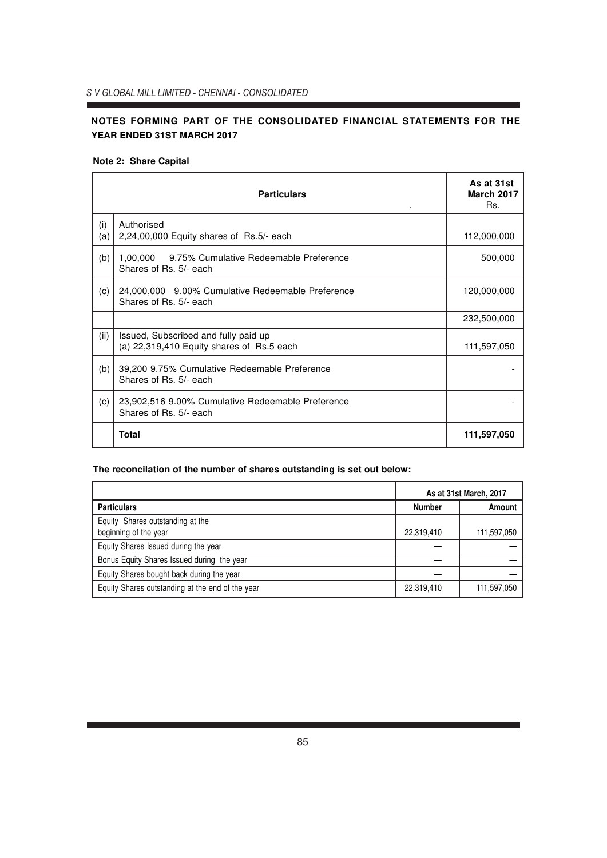## **Note 2: Share Capital**

|            | <b>Particulars</b><br>٠                                                             | As at 31st<br><b>March 2017</b><br>Rs. |
|------------|-------------------------------------------------------------------------------------|----------------------------------------|
| (i)<br>(a) | Authorised<br>2,24,00,000 Equity shares of Rs.5/- each                              | 112,000,000                            |
| (b)        | 1,00,000 9.75% Cumulative Redeemable Preference<br>Shares of Rs. 5/- each           | 500,000                                |
| (c)        | 24,000,000 9.00% Cumulative Redeemable Preference<br>Shares of Rs. 5/- each         | 120,000,000                            |
|            |                                                                                     | 232,500,000                            |
| (ii)       | Issued, Subscribed and fully paid up<br>(a) $22,319,410$ Equity shares of Rs.5 each | 111,597,050                            |
| (b)        | 39,200 9.75% Cumulative Redeemable Preference<br>Shares of Rs. 5/- each             |                                        |
| (c)        | 23,902,516 9.00% Cumulative Redeemable Preference<br>Shares of Rs. 5/- each         |                                        |
|            | <b>Total</b>                                                                        | 111,597,050                            |

# **The reconcilation of the number of shares outstanding is set out below:**

|                                                  | As at 31st March, 2017 |             |
|--------------------------------------------------|------------------------|-------------|
| <b>Particulars</b>                               | <b>Number</b>          | Amount      |
| Equity Shares outstanding at the                 |                        |             |
| beginning of the year                            | 22,319,410             | 111,597,050 |
| Equity Shares Issued during the year             |                        |             |
| Bonus Equity Shares Issued during the year       |                        |             |
| Equity Shares bought back during the year        |                        |             |
| Equity Shares outstanding at the end of the year | 22,319,410             | 111,597,050 |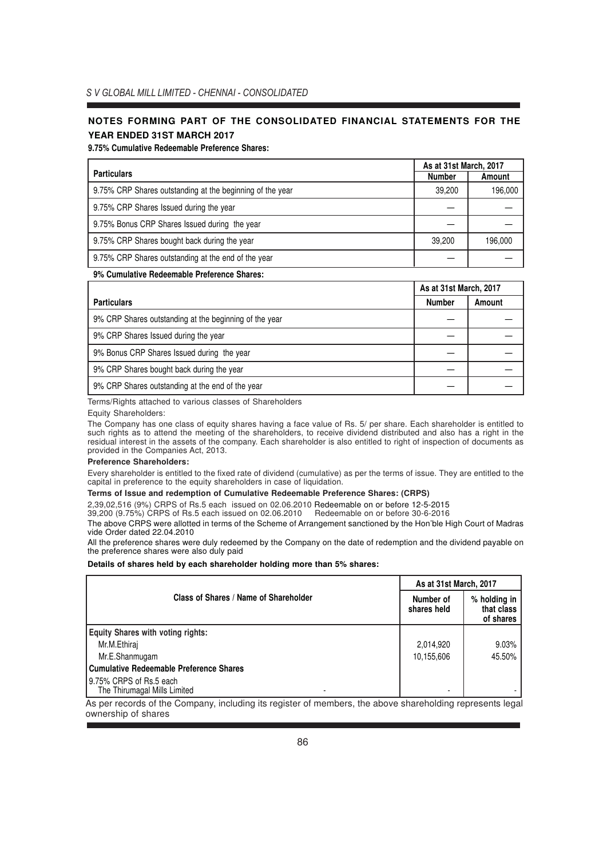**9.75% Cumulative Redeemable Preference Shares:**

|                                                           |               | As at 31st March, 2017 |  |
|-----------------------------------------------------------|---------------|------------------------|--|
| <b>Particulars</b>                                        | <b>Number</b> | Amount                 |  |
| 9.75% CRP Shares outstanding at the beginning of the year | 39,200        | 196,000                |  |
| 9.75% CRP Shares Issued during the year                   |               |                        |  |
| 9.75% Bonus CRP Shares Issued during the year             |               |                        |  |
| 9.75% CRP Shares bought back during the year              | 39.200        | 196.000                |  |
| 9.75% CRP Shares outstanding at the end of the year       |               |                        |  |

**9% Cumulative Redeemable Preference Shares:**

|                                                        | As at 31st March, 2017 |        |
|--------------------------------------------------------|------------------------|--------|
| <b>Particulars</b>                                     | <b>Number</b>          | Amount |
| 9% CRP Shares outstanding at the beginning of the year |                        |        |
| 9% CRP Shares Issued during the year                   |                        |        |
| 9% Bonus CRP Shares Issued during the year             |                        |        |
| 9% CRP Shares bought back during the year              |                        |        |
| 9% CRP Shares outstanding at the end of the year       |                        |        |

Terms/Rights attached to various classes of Shareholders

Equity Shareholders:

The Company has one class of equity shares having a face value of Rs. 5/ per share. Each shareholder is entitled to such rights as to attend the meeting of the shareholders, to receive dividend distributed and also has a right in the residual interest in the assets of the company. Each shareholder is also entitled to right of inspection of documents as provided in the Companies Act, 2013.

#### **Preference Shareholders:**

Every shareholder is entitled to the fixed rate of dividend (cumulative) as per the terms of issue. They are entitled to the capital in preference to the equity shareholders in case of liquidation.

#### **Terms of Issue and redemption of Cumulative Redeemable Preference Shares: (CRPS)**

2,39,02,516 (9%) CRPS of Rs.5 each issued on 02.06.2010 Redeemable on or before 12-5-2015

39,200 (9.75%) CRPS of Rs.5 each issued on 02.06.2010 Redeemable on or before 30-6-2016

The above CRPS were allotted in terms of the Scheme of Arrangement sanctioned by the Hon'ble High Court of Madras vide Order dated 22.04.2010

All the preference shares were duly redeemed by the Company on the date of redemption and the dividend payable on the preference shares were also duly paid

**Details of shares held by each shareholder holding more than 5% shares:**

|                                                         | As at 31st March, 2017   |                                         |
|---------------------------------------------------------|--------------------------|-----------------------------------------|
| Class of Shares / Name of Shareholder                   | Number of<br>shares held | % holding in<br>that class<br>of shares |
| <b>Equity Shares with voting rights:</b>                |                          |                                         |
| Mr.M.Ethiraj                                            | 2,014,920                | 9.03%                                   |
| Mr.E.Shanmugam                                          | 10,155,606               | 45.50%                                  |
| <b>Cumulative Redeemable Preference Shares</b>          |                          |                                         |
| 9.75% CRPS of Rs.5 each<br>The Thirumagal Mills Limited |                          |                                         |

As per records of the Company, including its register of members, the above shareholding represents legal ownership of shares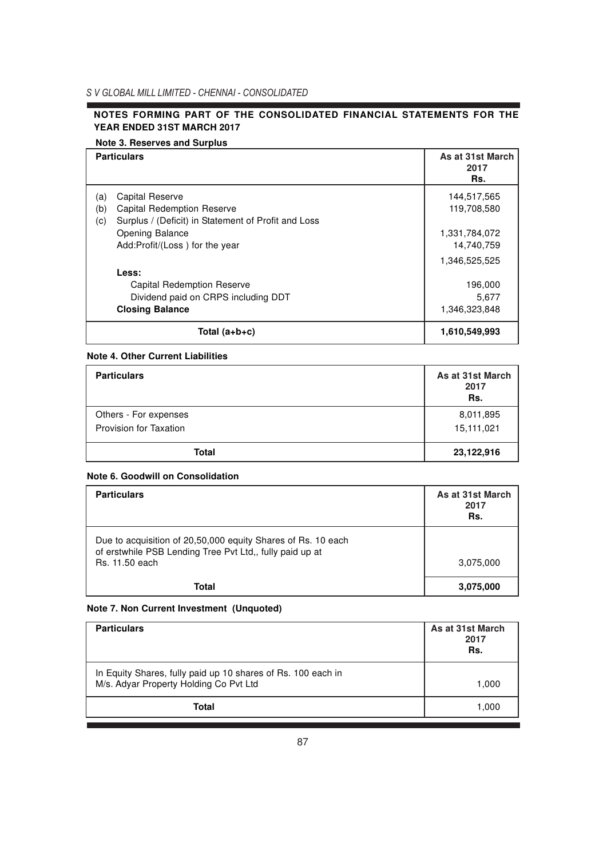# **Note 3. Reserves and Surplus**

| <b>Particulars</b>                                         | As at 31st March<br>2017<br>Rs. |
|------------------------------------------------------------|---------------------------------|
| Capital Reserve<br>(a)                                     | 144,517,565                     |
| <b>Capital Redemption Reserve</b><br>(b)                   | 119,708,580                     |
| Surplus / (Deficit) in Statement of Profit and Loss<br>(c) |                                 |
| <b>Opening Balance</b>                                     | 1,331,784,072                   |
| Add:Profit/(Loss) for the year                             | 14,740,759                      |
|                                                            | 1,346,525,525                   |
| Less:                                                      |                                 |
| <b>Capital Redemption Reserve</b>                          | 196,000                         |
| Dividend paid on CRPS including DDT                        | 5,677                           |
| <b>Closing Balance</b>                                     | 1,346,323,848                   |
| Total $(a+b+c)$                                            | 1.610.549.993                   |

# **Note 4. Other Current Liabilities**

| <b>Particulars</b>     | As at 31st March<br>2017<br>Rs. |
|------------------------|---------------------------------|
| Others - For expenses  | 8,011,895                       |
| Provision for Taxation | 15,111,021                      |
| Total                  | 23,122,916                      |

# **Note 6. Goodwill on Consolidation**

| <b>Particulars</b>                                                                                                                         | As at 31st March<br>2017<br>Rs. |
|--------------------------------------------------------------------------------------------------------------------------------------------|---------------------------------|
| Due to acquisition of 20,50,000 equity Shares of Rs. 10 each<br>of erstwhile PSB Lending Tree Pvt Ltd., fully paid up at<br>Rs. 11.50 each | 3,075,000                       |
| Total                                                                                                                                      | 3,075,000                       |

# **Note 7. Non Current Investment (Unquoted)**

| <b>Particulars</b>                                                                                     | As at 31st March<br>2017<br>Rs. |
|--------------------------------------------------------------------------------------------------------|---------------------------------|
| In Equity Shares, fully paid up 10 shares of Rs. 100 each in<br>M/s. Adyar Property Holding Co Pvt Ltd | 1,000                           |
| Total                                                                                                  | 1.000                           |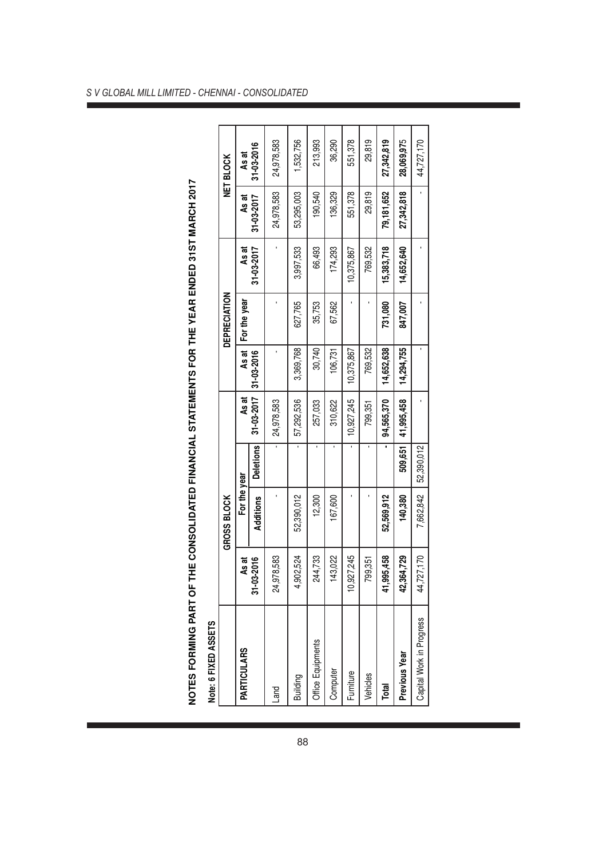| Note: 6 FIXED ASSETS     |                          |              |                  |                  |                   |              |            |            |                  |
|--------------------------|--------------------------|--------------|------------------|------------------|-------------------|--------------|------------|------------|------------------|
|                          |                          | GROSS BLOCK  |                  |                  |                   | DEPRECIATION |            |            | <b>NET BLOCK</b> |
| PARTICULARS              | As at                    | For the year |                  | As at            | As at             | For the year | As at      | As at      | As at            |
|                          | 03-2016<br>$\frac{1}{3}$ | Additions    | <b>Deletions</b> | $31 - 03 - 2017$ | $ 31 - 03 - 2016$ |              | 31-03-2017 | 31-03-2017 | 31-03-2016       |
| Land                     | 24,978,583               |              |                  | 24,978,583       |                   |              |            | 24,978,583 | 24,978,583       |
| Building                 | 902,524<br>4.            | 52,390,012   |                  | 57,292,536       | 3,369,768         | 627,765      | 3,997,533  | 53,295,003 | 1,532,756        |
| Office Equipments        | 244,733                  | 12,300       |                  | 257,033          | 30,740            | 35,753       | 66,493     | 190,540    | 213,993          |
| Computer                 | 143,022                  | 167,600      |                  | 310,622          | 106,731           | 67,562       | 174,293    | 36,329     | 36,290           |
| Furniture                | 10,927,245               |              |                  | 10,927,245       | 10,375,867        |              | 10,375,867 | 551,378    | 551,378          |
| Vehicles                 | 799,351                  |              |                  | 799,351          | 769,532           |              | 769,532    | 29,819     | 29,819           |
| Total                    | 41,995,458               | 52,569,912   |                  | 94,565,370       | 14,652,638        | 731,080      | 15,383,718 | 79,181,652 | 27,342,819       |
| Previous Year            | 42,364,729               | 140,380      | 509,651          | 41,995,458       | 14,294,755        | 847,007      | 14,652,640 | 27,342,818 | 28,069,975       |
| Capital Work in Progress | 44,727,170               | 7,662,842    | 52,390,012       |                  |                   |              |            |            | 44,727,170       |

| I                                                                                                                                                                                                                                    |
|--------------------------------------------------------------------------------------------------------------------------------------------------------------------------------------------------------------------------------------|
|                                                                                                                                                                                                                                      |
|                                                                                                                                                                                                                                      |
|                                                                                                                                                                                                                                      |
|                                                                                                                                                                                                                                      |
|                                                                                                                                                                                                                                      |
| ì                                                                                                                                                                                                                                    |
| I                                                                                                                                                                                                                                    |
|                                                                                                                                                                                                                                      |
|                                                                                                                                                                                                                                      |
|                                                                                                                                                                                                                                      |
|                                                                                                                                                                                                                                      |
|                                                                                                                                                                                                                                      |
| !<br>:<br>:                                                                                                                                                                                                                          |
|                                                                                                                                                                                                                                      |
|                                                                                                                                                                                                                                      |
|                                                                                                                                                                                                                                      |
|                                                                                                                                                                                                                                      |
|                                                                                                                                                                                                                                      |
|                                                                                                                                                                                                                                      |
|                                                                                                                                                                                                                                      |
|                                                                                                                                                                                                                                      |
|                                                                                                                                                                                                                                      |
| !<br>;<br>;                                                                                                                                                                                                                          |
|                                                                                                                                                                                                                                      |
|                                                                                                                                                                                                                                      |
|                                                                                                                                                                                                                                      |
|                                                                                                                                                                                                                                      |
|                                                                                                                                                                                                                                      |
|                                                                                                                                                                                                                                      |
|                                                                                                                                                                                                                                      |
|                                                                                                                                                                                                                                      |
|                                                                                                                                                                                                                                      |
|                                                                                                                                                                                                                                      |
| )<br>=<br>=                                                                                                                                                                                                                          |
|                                                                                                                                                                                                                                      |
|                                                                                                                                                                                                                                      |
|                                                                                                                                                                                                                                      |
|                                                                                                                                                                                                                                      |
|                                                                                                                                                                                                                                      |
|                                                                                                                                                                                                                                      |
|                                                                                                                                                                                                                                      |
|                                                                                                                                                                                                                                      |
| <b>Completed Complete Complete Complete Complete Complete Complete Complete Complete Complete Complete Complete Complete Complete Complete Complete Complete Complete Complete Complete Complete Complete Complete Complete Comp</b> |
|                                                                                                                                                                                                                                      |
|                                                                                                                                                                                                                                      |
| í                                                                                                                                                                                                                                    |

88

2017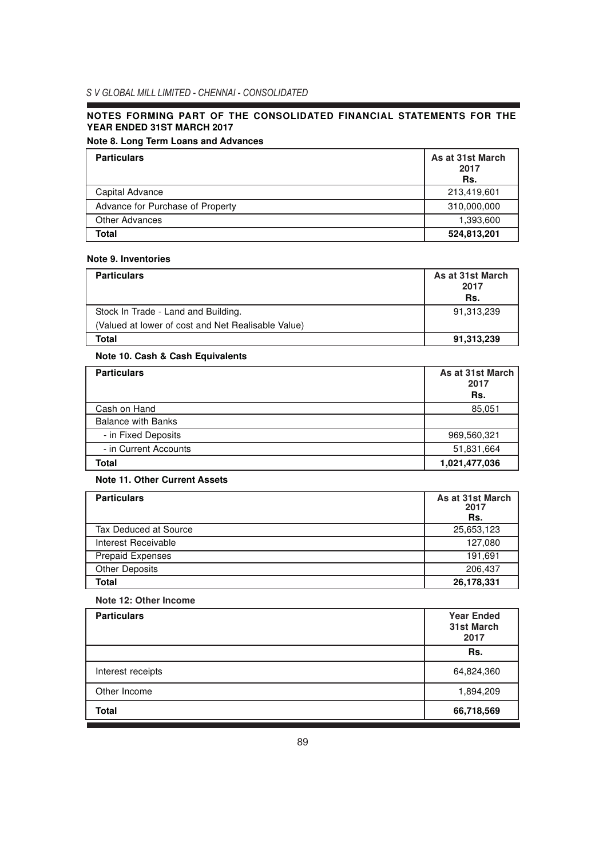# **Note 8. Long Term Loans and Advances**

| <b>Particulars</b>               | As at 31st March<br>2017<br>Rs. |
|----------------------------------|---------------------------------|
| Capital Advance                  | 213,419,601                     |
| Advance for Purchase of Property | 310,000,000                     |
| <b>Other Advances</b>            | 1,393,600                       |
| Total                            | 524,813,201                     |

# **Note 9. Inventories**

| <b>Particulars</b>                                 | As at 31st March<br>2017<br>Rs. |
|----------------------------------------------------|---------------------------------|
| Stock In Trade - Land and Building.                | 91.313.239                      |
| (Valued at lower of cost and Net Realisable Value) |                                 |
| Total                                              | 91,313,239                      |

# **Note 10. Cash & Cash Equivalents**

| <b>Particulars</b>        | As at 31st March<br>2017<br>Rs. |
|---------------------------|---------------------------------|
| Cash on Hand              | 85,051                          |
| <b>Balance with Banks</b> |                                 |
| - in Fixed Deposits       | 969,560,321                     |
| - in Current Accounts     | 51,831,664                      |
| Total                     | 1,021,477,036                   |

# **Note 11. Other Current Assets**

| <b>Particulars</b>      | As at 31st March<br>2017<br>Rs. |
|-------------------------|---------------------------------|
| Tax Deduced at Source   | 25,653,123                      |
| Interest Receivable     | 127,080                         |
| <b>Prepaid Expenses</b> | 191.691                         |
| <b>Other Deposits</b>   | 206.437                         |
| Total                   | 26,178,331                      |

# **Note 12: Other Income**

| <b>Particulars</b> | <b>Year Ended</b><br>31st March<br>2017 |
|--------------------|-----------------------------------------|
|                    | Rs.                                     |
| Interest receipts  | 64,824,360                              |
| Other Income       | 1,894,209                               |
| <b>Total</b>       | 66,718,569                              |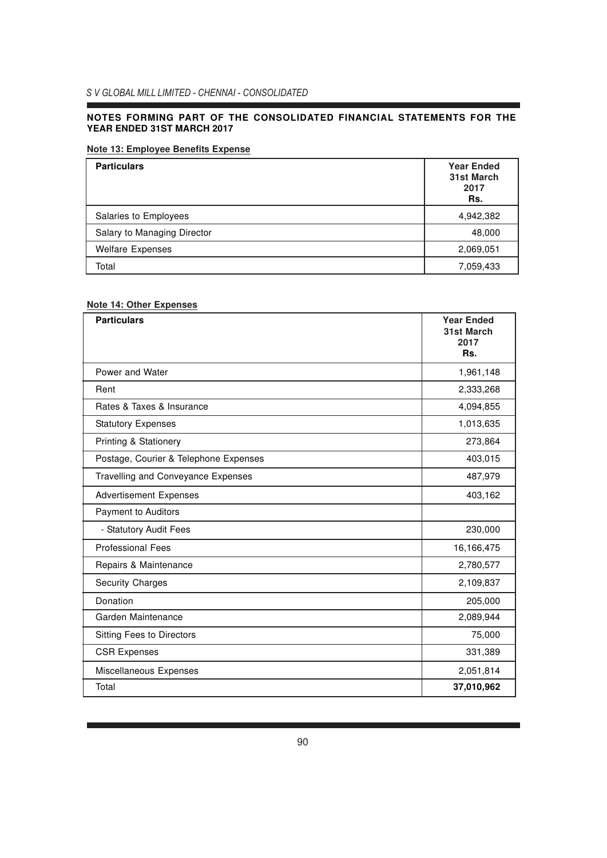# **Note 13: Employee Benefits Expense**

| <b>Particulars</b>          | <b>Year Ended</b><br>31st March<br>2017<br>Rs. |
|-----------------------------|------------------------------------------------|
| Salaries to Employees       | 4,942,382                                      |
| Salary to Managing Director | 48,000                                         |
| <b>Welfare Expenses</b>     | 2,069,051                                      |
| Total                       | 7,059,433                                      |

## **Note 14: Other Expenses**

| <b>Particulars</b>                    | <b>Year Ended</b><br>31st March<br>2017<br>Rs. |
|---------------------------------------|------------------------------------------------|
| Power and Water                       | 1,961,148                                      |
| Rent                                  | 2,333,268                                      |
| Rates & Taxes & Insurance             | 4,094,855                                      |
| <b>Statutory Expenses</b>             | 1,013,635                                      |
| Printing & Stationery                 | 273,864                                        |
| Postage, Courier & Telephone Expenses | 403,015                                        |
| Travelling and Conveyance Expenses    | 487,979                                        |
| <b>Advertisement Expenses</b>         | 403,162                                        |
| Payment to Auditors                   |                                                |
| - Statutory Audit Fees                | 230,000                                        |
| <b>Professional Fees</b>              | 16,166,475                                     |
| Repairs & Maintenance                 | 2,780,577                                      |
| <b>Security Charges</b>               | 2,109,837                                      |
| Donation                              | 205,000                                        |
| Garden Maintenance                    | 2,089,944                                      |
| Sitting Fees to Directors             | 75,000                                         |
| <b>CSR Expenses</b>                   | 331,389                                        |
| Miscellaneous Expenses                | 2,051,814                                      |
| Total                                 | 37,010,962                                     |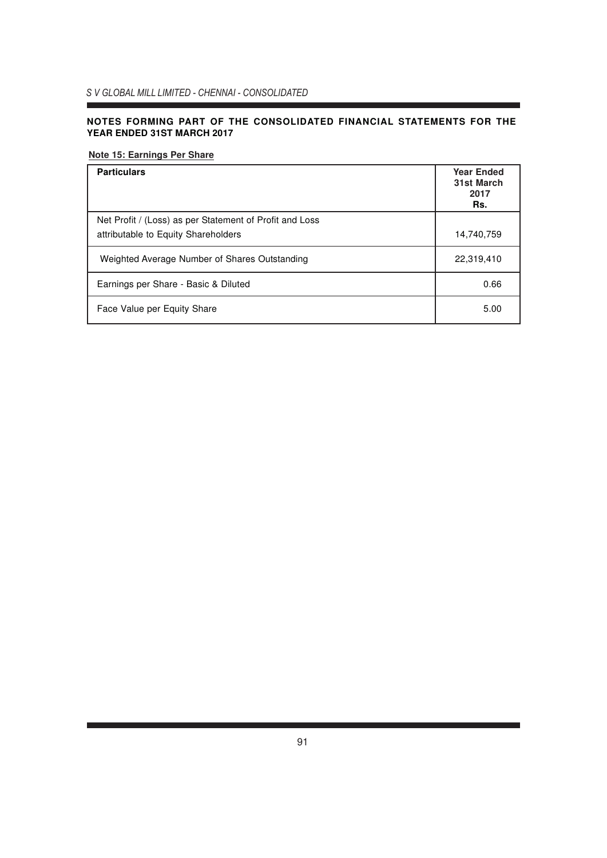# **Note 15: Earnings Per Share**

| <b>Particulars</b>                                                                             | <b>Year Ended</b><br>31st March<br>2017<br>Rs. |
|------------------------------------------------------------------------------------------------|------------------------------------------------|
| Net Profit / (Loss) as per Statement of Profit and Loss<br>attributable to Equity Shareholders | 14,740,759                                     |
| Weighted Average Number of Shares Outstanding                                                  | 22,319,410                                     |
| Earnings per Share - Basic & Diluted                                                           | 0.66                                           |
| Face Value per Equity Share                                                                    | 5.00                                           |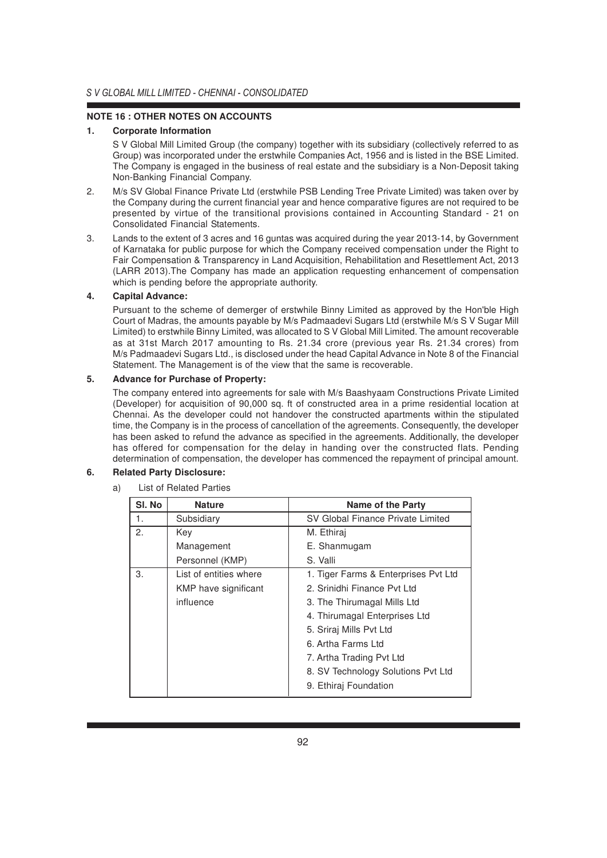#### **NOTE 16 : OTHER NOTES ON ACCOUNTS**

### **1. Corporate Information**

S V Global Mill Limited Group (the company) together with its subsidiary (collectively referred to as Group) was incorporated under the erstwhile Companies Act, 1956 and is listed in the BSE Limited. The Company is engaged in the business of real estate and the subsidiary is a Non-Deposit taking Non-Banking Financial Company.

- 2. M/s SV Global Finance Private Ltd (erstwhile PSB Lending Tree Private Limited) was taken over by the Company during the current financial year and hence comparative figures are not required to be presented by virtue of the transitional provisions contained in Accounting Standard - 21 on Consolidated Financial Statements.
- 3. Lands to the extent of 3 acres and 16 guntas was acquired during the year 2013-14, by Government of Karnataka for public purpose for which the Company received compensation under the Right to Fair Compensation & Transparency in Land Acquisition, Rehabilitation and Resettlement Act, 2013 (LARR 2013).The Company has made an application requesting enhancement of compensation which is pending before the appropriate authority.

## **4. Capital Advance:**

Pursuant to the scheme of demerger of erstwhile Binny Limited as approved by the Hon'ble High Court of Madras, the amounts payable by M/s Padmaadevi Sugars Ltd (erstwhile M/s S V Sugar Mill Limited) to erstwhile Binny Limited, was allocated to S V Global Mill Limited. The amount recoverable as at 31st March 2017 amounting to Rs. 21.34 crore (previous year Rs. 21.34 crores) from M/s Padmaadevi Sugars Ltd., is disclosed under the head Capital Advance in Note 8 of the Financial Statement. The Management is of the view that the same is recoverable.

# **5. Advance for Purchase of Property:**

The company entered into agreements for sale with M/s Baashyaam Constructions Private Limited (Developer) for acquisition of 90,000 sq. ft of constructed area in a prime residential location at Chennai. As the developer could not handover the constructed apartments within the stipulated time, the Company is in the process of cancellation of the agreements. Consequently, the developer has been asked to refund the advance as specified in the agreements. Additionally, the developer has offered for compensation for the delay in handing over the constructed flats. Pending determination of compensation, the developer has commenced the repayment of principal amount.

# **6. Related Party Disclosure:**

## a) List of Related Parties

| SI. No | <b>Nature</b>          | <b>Name of the Party</b>             |
|--------|------------------------|--------------------------------------|
| 1.     | Subsidiary             | SV Global Finance Private Limited    |
| 2.     | Key                    | M. Ethirai                           |
|        | Management             | E. Shanmugam                         |
|        | Personnel (KMP)        | S. Valli                             |
| З.     | List of entities where | 1. Tiger Farms & Enterprises Pvt Ltd |
|        | KMP have significant   | 2. Srinidhi Finance Pvt Ltd          |
|        | influence              | 3. The Thirumagal Mills Ltd          |
|        |                        | 4. Thirumagal Enterprises Ltd        |
|        |                        | 5. Sriraj Mills Pvt Ltd              |
|        |                        | 6. Artha Farms Ltd                   |
|        |                        | 7. Artha Trading Pvt Ltd             |
|        |                        | 8. SV Technology Solutions Pvt Ltd   |
|        |                        | 9. Ethiraj Foundation                |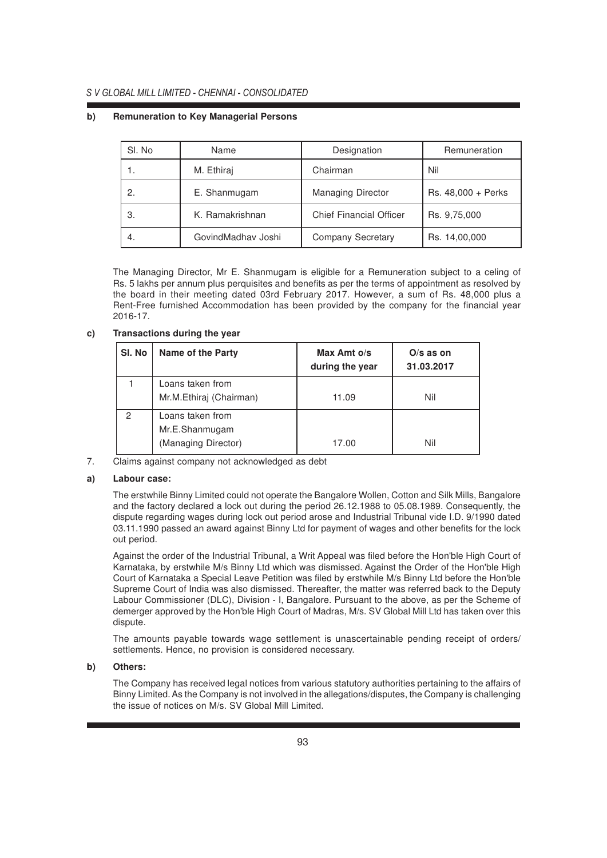#### **b) Remuneration to Key Managerial Persons**

| SI. No | Name               | Designation                    | Remuneration       |
|--------|--------------------|--------------------------------|--------------------|
|        | M. Ethirai         | Chairman                       | Nil                |
| 2.     | E. Shanmugam       | <b>Managing Director</b>       | Rs. 48,000 + Perks |
| З.     | K. Ramakrishnan    | <b>Chief Financial Officer</b> | Rs. 9,75,000       |
| 4.     | GovindMadhav Joshi | <b>Company Secretary</b>       | Rs. 14,00,000      |

The Managing Director, Mr E. Shanmugam is eligible for a Remuneration subject to a celing of Rs. 5 lakhs per annum plus perquisites and benefits as per the terms of appointment as resolved by the board in their meeting dated 03rd February 2017. However, a sum of Rs. 48,000 plus a Rent-Free furnished Accommodation has been provided by the company for the financial year 2016-17.

## **c) Transactions during the year**

| SI. No        | <b>Name of the Party</b>                                  | Max Amt o/s<br>during the year | $O/s$ as on<br>31.03.2017 |  |  |
|---------------|-----------------------------------------------------------|--------------------------------|---------------------------|--|--|
|               | Loans taken from<br>Mr.M.Ethiraj (Chairman)               | 11.09                          | Nil                       |  |  |
| $\mathcal{P}$ | Loans taken from<br>Mr.E.Shanmugam<br>(Managing Director) | 17.00                          | Nil                       |  |  |

7. Claims against company not acknowledged as debt

## **a) Labour case:**

The erstwhile Binny Limited could not operate the Bangalore Wollen, Cotton and Silk Mills, Bangalore and the factory declared a lock out during the period 26.12.1988 to 05.08.1989. Consequently, the dispute regarding wages during lock out period arose and Industrial Tribunal vide I.D. 9/1990 dated 03.11.1990 passed an award against Binny Ltd for payment of wages and other benefits for the lock out period.

Against the order of the Industrial Tribunal, a Writ Appeal was filed before the Hon'ble High Court of Karnataka, by erstwhile M/s Binny Ltd which was dismissed. Against the Order of the Hon'ble High Court of Karnataka a Special Leave Petition was filed by erstwhile M/s Binny Ltd before the Hon'ble Supreme Court of India was also dismissed. Thereafter, the matter was referred back to the Deputy Labour Commissioner (DLC), Division - I, Bangalore. Pursuant to the above, as per the Scheme of demerger approved by the Hon'ble High Court of Madras, M/s. SV Global Mill Ltd has taken over this dispute.

The amounts payable towards wage settlement is unascertainable pending receipt of orders/ settlements. Hence, no provision is considered necessary.

# **b) Others:**

The Company has received legal notices from various statutory authorities pertaining to the affairs of Binny Limited. As the Company is not involved in the allegations/disputes, the Company is challenging the issue of notices on M/s. SV Global Mill Limited.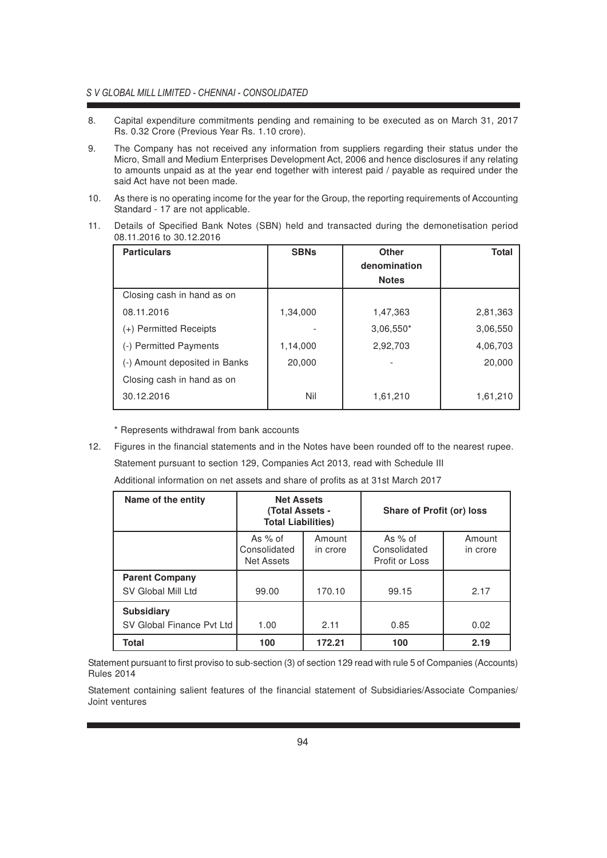- 8. Capital expenditure commitments pending and remaining to be executed as on March 31, 2017 Rs. 0.32 Crore (Previous Year Rs. 1.10 crore).
- 9. The Company has not received any information from suppliers regarding their status under the Micro, Small and Medium Enterprises Development Act, 2006 and hence disclosures if any relating to amounts unpaid as at the year end together with interest paid / payable as required under the said Act have not been made.
- 10. As there is no operating income for the year for the Group, the reporting requirements of Accounting Standard - 17 are not applicable.
- 11. Details of Specified Bank Notes (SBN) held and transacted during the demonetisation period 08.11.2016 to 30.12.2016

| <b>Particulars</b>            | <b>SBNs</b> | Other        | <b>Total</b> |
|-------------------------------|-------------|--------------|--------------|
|                               |             | denomination |              |
|                               |             | <b>Notes</b> |              |
| Closing cash in hand as on    |             |              |              |
| 08.11.2016                    | 1,34,000    | 1,47,363     | 2,81,363     |
| (+) Permitted Receipts        |             | $3,06,550*$  | 3,06,550     |
| (-) Permitted Payments        | 1,14,000    | 2,92,703     | 4,06,703     |
| (-) Amount deposited in Banks | 20,000      |              | 20,000       |
| Closing cash in hand as on    |             |              |              |
| 30.12.2016                    | Nil         | 1,61,210     | 1,61,210     |

\* Represents withdrawal from bank accounts

12. Figures in the financial statements and in the Notes have been rounded off to the nearest rupee. Statement pursuant to section 129, Companies Act 2013, read with Schedule III

Additional information on net assets and share of profits as at 31st March 2017

| Name of the entity                             | <b>Net Assets</b><br>(Total Assets -<br><b>Total Liabilities)</b> |        | Share of Profit (or) loss                   |                    |  |  |
|------------------------------------------------|-------------------------------------------------------------------|--------|---------------------------------------------|--------------------|--|--|
|                                                | As $%$ of<br>Amount<br>Consolidated<br>in crore<br>Net Assets     |        | As $%$ of<br>Consolidated<br>Profit or Loss | Amount<br>in crore |  |  |
| <b>Parent Company</b><br>SV Global Mill Ltd    | 99.00                                                             | 170.10 | 99.15                                       | 2.17               |  |  |
| <b>Subsidiary</b><br>SV Global Finance Pvt Ltd | 2.11<br>1.00                                                      |        | 0.85                                        | 0.02               |  |  |
| Total                                          | 100                                                               | 172.21 | 100                                         | 2.19               |  |  |

Statement pursuant to first proviso to sub-section (3) of section 129 read with rule 5 of Companies (Accounts) Rules 2014

Statement containing salient features of the financial statement of Subsidiaries/Associate Companies/ Joint ventures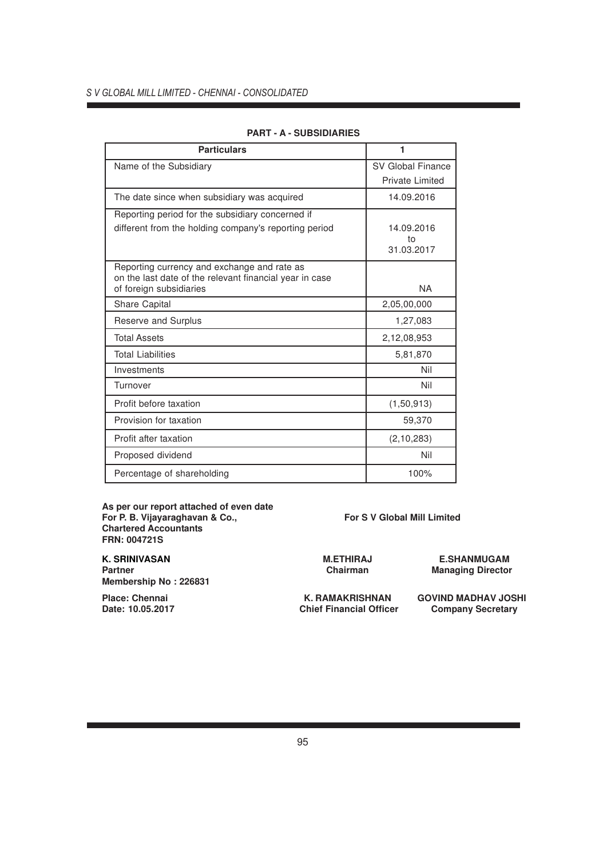| <b>Particulars</b>                                                                                     | 1                      |
|--------------------------------------------------------------------------------------------------------|------------------------|
| Name of the Subsidiary                                                                                 | SV Global Finance      |
|                                                                                                        | <b>Private Limited</b> |
| The date since when subsidiary was acquired                                                            | 14.09.2016             |
| Reporting period for the subsidiary concerned if                                                       |                        |
| different from the holding company's reporting period                                                  | 14.09.2016             |
|                                                                                                        | t٥<br>31.03.2017       |
| Reporting currency and exchange and rate as<br>on the last date of the relevant financial year in case |                        |
| of foreign subsidiaries                                                                                | <b>NA</b>              |
| <b>Share Capital</b>                                                                                   | 2,05,00,000            |
| Reserve and Surplus                                                                                    | 1,27,083               |
| <b>Total Assets</b>                                                                                    | 2,12,08,953            |
| <b>Total Liabilities</b>                                                                               | 5,81,870               |
| Investments                                                                                            | Nil                    |
| Turnover                                                                                               | Nil                    |
| Profit before taxation                                                                                 | (1,50,913)             |
| Provision for taxation                                                                                 | 59,370                 |
| Profit after taxation                                                                                  | (2, 10, 283)           |
| Proposed dividend                                                                                      | Nil                    |
| Percentage of shareholding                                                                             | 100%                   |

|  |  |  |  |  |  |  |  |  |  |  |  |  |  |  | <b>PART - A - SUBSIDIARIES</b> |  |
|--|--|--|--|--|--|--|--|--|--|--|--|--|--|--|--------------------------------|--|
|--|--|--|--|--|--|--|--|--|--|--|--|--|--|--|--------------------------------|--|

**As per our report attached of even date For P. B. Vijayaraghavan & Co., For S V Global Mill Limited Chartered Accountants FRN: 004721S**

**K. SRINIVASAN M.ETHIRAJ E.SHANMUGAM**<br> **Partner M.ETHIRAJ E.SHANMUGAM**<br> **Partner Managing Director Membership No : 226831**

**Managing Director** 

**Place: Chennai K. RAMAKRISHNAN GOVIND MADHAV JOSHI Company Secretary**